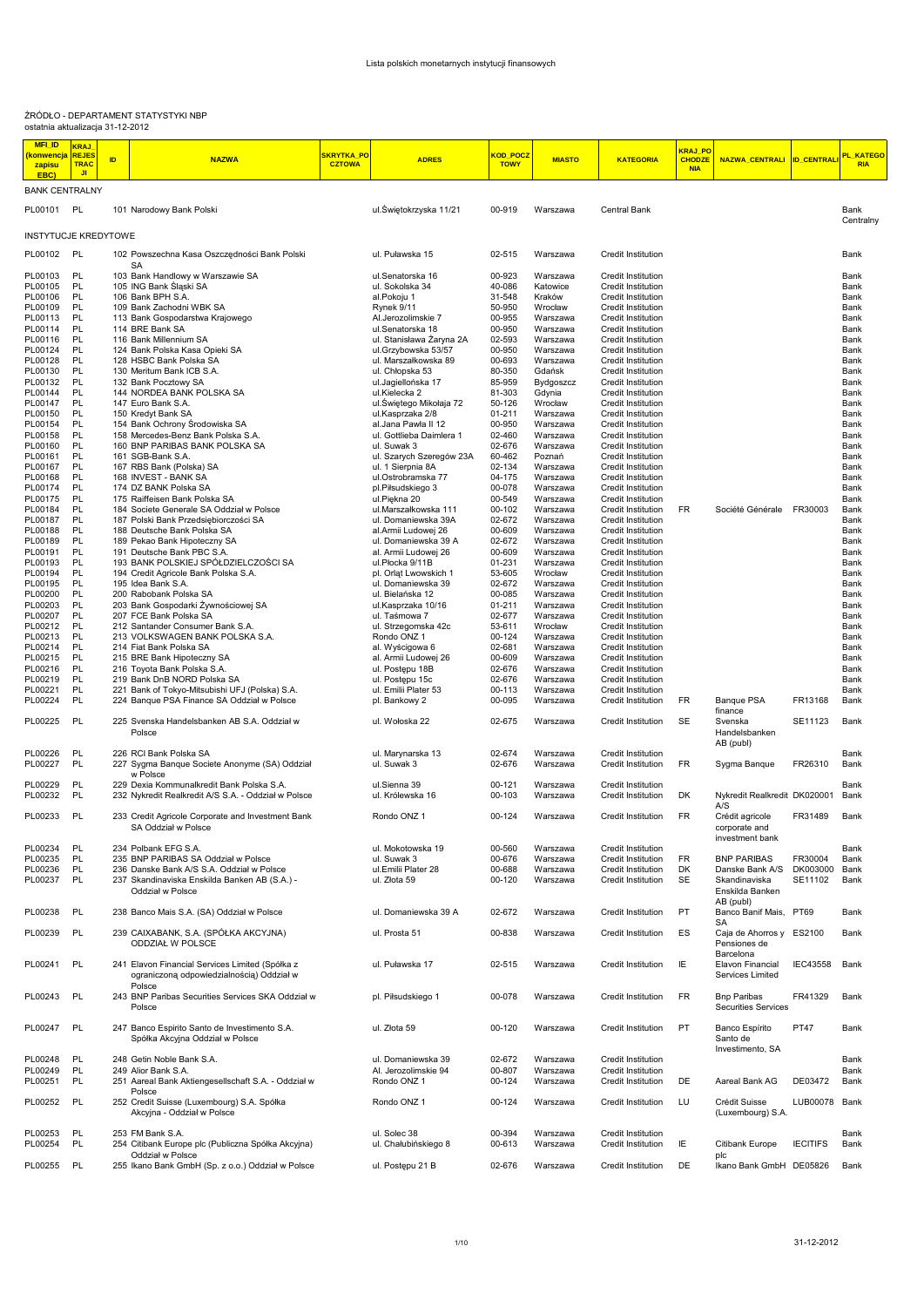## ŹRÓDŁO - DEPARTAMENT STATYSTYKI NBP ostatnia aktualizacja 31-12-2012

| <b>MFI_ID</b><br><mark>konwencja</mark><br>zapisu<br>EBC) | <b>KRAJ</b><br><b>REJES</b><br><b>TRAC</b><br>JI. | <b>ID</b> | <b>NAZWA</b>                                                                                                   | SKRYTKA_PO<br><b>CZTOWA</b> | <b>ADRES</b>                                | <mark>KOD_POCZ</mark><br><b>TOWY</b> | <b>MIASTO</b>        | <b>KATEGORIA</b>                                       | <b>KRAJ PO</b><br><b>CHODZE</b><br><b>NIA</b> | <b>NAZWA_CENTRALI</b>                               | <b>ID CENTRAL</b>   | KATEGO<br><b>RIA</b> |
|-----------------------------------------------------------|---------------------------------------------------|-----------|----------------------------------------------------------------------------------------------------------------|-----------------------------|---------------------------------------------|--------------------------------------|----------------------|--------------------------------------------------------|-----------------------------------------------|-----------------------------------------------------|---------------------|----------------------|
| <b>BANK CENTRALNY</b>                                     |                                                   |           |                                                                                                                |                             |                                             |                                      |                      |                                                        |                                               |                                                     |                     |                      |
| PL00101 PL                                                |                                                   |           | 101 Narodowy Bank Polski                                                                                       |                             | ul.Świętokrzyska 11/21                      | 00-919                               | Warszawa             | Central Bank                                           |                                               |                                                     |                     | Bank<br>Centralny    |
| <b>INSTYTUCJE KREDYTOWE</b>                               |                                                   |           |                                                                                                                |                             |                                             |                                      |                      |                                                        |                                               |                                                     |                     |                      |
| PL00102 PL                                                |                                                   |           | 102 Powszechna Kasa Oszczędności Bank Polski<br><b>SA</b>                                                      |                             | ul. Puławska 15                             | 02-515                               | Warszawa             | Credit Institution                                     |                                               |                                                     |                     | Bank                 |
| PL00103                                                   | PL                                                |           | 103 Bank Handlowy w Warszawie SA                                                                               |                             | ul.Senatorska 16                            | 00-923                               | Warszawa             | Credit Institution                                     |                                               |                                                     |                     | Bank                 |
| PL00105                                                   | PL                                                |           | 105 ING Bank Śląski SA                                                                                         |                             | ul. Sokolska 34                             | 40-086                               | Katowice             | Credit Institution                                     |                                               |                                                     |                     | Bank                 |
| PL00106<br>PL00109                                        | PL<br>PL                                          |           | 106 Bank BPH S.A.<br>109 Bank Zachodni WBK SA                                                                  |                             | al.Pokoju 1<br>Rynek 9/11                   | 31-548<br>50-950                     | Kraków<br>Wrocław    | Credit Institution<br>Credit Institution               |                                               |                                                     |                     | Bank<br>Bank         |
| PL00113                                                   | PL                                                |           | 113 Bank Gospodarstwa Krajowego                                                                                |                             | Al.Jerozolimskie 7                          | 00-955                               | Warszawa             | Credit Institution                                     |                                               |                                                     |                     | Bank                 |
| PL00114                                                   | PL                                                |           | 114 BRE Bank SA                                                                                                |                             | ul.Senatorska 18                            | 00-950                               | Warszawa             | Credit Institution                                     |                                               |                                                     |                     | Bank                 |
| PL00116                                                   | PL                                                |           | 116 Bank Millennium SA                                                                                         |                             | ul. Stanisława Żaryna 2A                    | 02-593                               | Warszawa             | Credit Institution                                     |                                               |                                                     |                     | Bank                 |
| PL00124<br>PL00128                                        | PL<br>PL                                          |           | 124 Bank Polska Kasa Opieki SA<br>128 HSBC Bank Polska SA                                                      |                             | ul.Grzybowska 53/57<br>ul. Marszałkowska 89 | 00-950<br>00-693                     | Warszawa<br>Warszawa | Credit Institution<br>Credit Institution               |                                               |                                                     |                     | Bank<br>Bank         |
| PL00130                                                   | PL                                                |           | 130 Meritum Bank ICB S.A.                                                                                      |                             | ul. Chłopska 53                             | 80-350                               | Gdańsk               | Credit Institution                                     |                                               |                                                     |                     | Bank                 |
| PL00132                                                   | PL                                                |           | 132 Bank Pocztowy SA                                                                                           |                             | ul.Jagiellońska 17                          | 85-959                               | Bydgoszcz            | Credit Institution                                     |                                               |                                                     |                     | Bank                 |
| PL00144<br>PL00147                                        | PL<br>PL                                          |           | 144 NORDEA BANK POLSKA SA<br>147 Euro Bank S.A.                                                                |                             | ul.Kielecka 2<br>ul. Świętego Mikołaja 72   | 81-303<br>50-126                     | Gdynia<br>Wrocław    | Credit Institution<br>Credit Institution               |                                               |                                                     |                     | Bank<br>Bank         |
| PL00150                                                   | PL                                                |           | 150 Kredyt Bank SA                                                                                             |                             | ul.Kasprzaka 2/8                            | 01-211                               | Warszawa             | Credit Institution                                     |                                               |                                                     |                     | Bank                 |
| PL00154                                                   | PL                                                |           | 154 Bank Ochrony Środowiska SA                                                                                 |                             | al. Jana Pawła II 12                        | 00-950                               | Warszawa             | Credit Institution                                     |                                               |                                                     |                     | Bank                 |
| PL00158                                                   | <b>PL</b>                                         |           | 158 Mercedes-Benz Bank Polska S.A.                                                                             |                             | ul. Gottlieba Daimlera 1                    | 02-460                               | Warszawa             | Credit Institution                                     |                                               |                                                     |                     | Bank                 |
| PL00160<br>PL00161                                        | PL<br>PL                                          |           | 160 BNP PARIBAS BANK POLSKA SA<br>161 SGB-Bank S.A.                                                            |                             | ul. Suwak 3<br>ul. Szarych Szeregów 23A     | 02-676<br>60-462                     | Warszawa<br>Poznań   | Credit Institution<br>Credit Institution               |                                               |                                                     |                     | Bank<br>Bank         |
| PL00167                                                   | PL                                                |           | 167 RBS Bank (Polska) SA                                                                                       |                             | ul. 1 Sierpnia 8A                           | 02-134                               | Warszawa             | Credit Institution                                     |                                               |                                                     |                     | Bank                 |
| PL00168                                                   | PL                                                |           | 168 INVEST - BANK SA                                                                                           |                             | ul.Ostrobramska 77                          | 04-175                               | Warszawa             | Credit Institution                                     |                                               |                                                     |                     | Bank                 |
| PL00174                                                   | PL                                                |           | 174 DZ BANK Polska SA                                                                                          |                             | pl.Piłsudskiego 3                           | 00-078                               | Warszawa             | <b>Credit Institution</b>                              |                                               |                                                     |                     | Bank                 |
| PL00175<br>PL00184                                        | PL<br>PL                                          |           | 175 Raiffeisen Bank Polska SA<br>184 Societe Generale SA Oddział w Polsce                                      |                             | ul.Piękna 20<br>ul.Marszałkowska 111        | 00-549<br>00-102                     | Warszawa<br>Warszawa | Credit Institution<br>Credit Institution               | FR                                            | Société Générale                                    | FR30003             | Bank<br>Bank         |
| PL00187                                                   | PL                                                |           | 187 Polski Bank Przedsiębiorczości SA                                                                          |                             | ul. Domaniewska 39A                         | 02-672                               | Warszawa             | Credit Institution                                     |                                               |                                                     |                     | Bank                 |
| PL00188                                                   | PL                                                |           | 188 Deutsche Bank Polska SA                                                                                    |                             | al.Armii Ludowej 26                         | 00-609                               | Warszawa             | Credit Institution                                     |                                               |                                                     |                     | Bank                 |
| PL00189                                                   | PL                                                |           | 189 Pekao Bank Hipoteczny SA                                                                                   |                             | ul. Domaniewska 39 A                        | 02-672                               | Warszawa             | <b>Credit Institution</b>                              |                                               |                                                     |                     | Bank                 |
| PL00191<br>PL00193                                        | PL<br>PL                                          |           | 191 Deutsche Bank PBC S.A.<br>193 BANK POLSKIEJ SPÓŁDZIELCZOŚCI SA                                             |                             | al. Armii Ludowej 26<br>ul.Płocka 9/11B     | 00-609<br>01-231                     | Warszawa<br>Warszawa | Credit Institution<br><b>Credit Institution</b>        |                                               |                                                     |                     | Bank<br>Bank         |
| PL00194                                                   | PL                                                |           | 194 Credit Agricole Bank Polska S.A.                                                                           |                             | pl. Orlat Lwowskich 1                       | 53-605                               | Wrocław              | Credit Institution                                     |                                               |                                                     |                     | Bank                 |
| PL00195                                                   | PL                                                |           | 195 Idea Bank S.A.                                                                                             |                             | ul. Domaniewska 39                          | 02-672                               | Warszawa             | <b>Credit Institution</b>                              |                                               |                                                     |                     | Bank                 |
| PL00200                                                   | PL                                                |           | 200 Rabobank Polska SA                                                                                         |                             | ul. Bielańska 12                            | 00-085                               | Warszawa             | Credit Institution                                     |                                               |                                                     |                     | Bank                 |
| PL00203<br>PL00207                                        | PL<br>PL                                          |           | 203 Bank Gospodarki Żywnościowej SA<br>207 FCE Bank Polska SA                                                  |                             | ul.Kasprzaka 10/16<br>ul. Taśmowa 7         | $01 - 211$<br>02-677                 | Warszawa<br>Warszawa | <b>Credit Institution</b><br><b>Credit Institution</b> |                                               |                                                     |                     | Bank<br>Bank         |
| PL00212                                                   | PL                                                |           | 212 Santander Consumer Bank S.A.                                                                               |                             | ul. Strzegomska 42c                         | 53-611                               | Wrocław              | Credit Institution                                     |                                               |                                                     |                     | Bank                 |
| PL00213                                                   | PL                                                |           | 213 VOLKSWAGEN BANK POLSKA S.A.                                                                                |                             | Rondo ONZ 1                                 | 00-124                               | Warszawa             | Credit Institution                                     |                                               |                                                     |                     | Bank                 |
| PL00214                                                   | PL                                                |           | 214 Fiat Bank Polska SA                                                                                        |                             | al. Wyścigowa 6                             | 02-681                               | Warszawa             | Credit Institution                                     |                                               |                                                     |                     | Bank                 |
| PL00215<br>PL00216                                        | PL<br>PL                                          |           | 215 BRE Bank Hipoteczny SA<br>216 Toyota Bank Polska S.A.                                                      |                             | al. Armii Ludowej 26<br>ul. Postępu 18B     | 00-609<br>02-676                     | Warszawa<br>Warszawa | <b>Credit Institution</b><br>Credit Institution        |                                               |                                                     |                     | Bank<br>Bank         |
| PL00219                                                   | PL                                                |           | 219 Bank DnB NORD Polska SA                                                                                    |                             | ul. Postępu 15c                             | 02-676                               | Warszawa             | <b>Credit Institution</b>                              |                                               |                                                     |                     | Bank                 |
| PL00221                                                   | PL                                                |           | 221 Bank of Tokyo-Mitsubishi UFJ (Polska) S.A.                                                                 |                             | ul. Emilii Plater 53                        | 00-113                               | Warszawa             | Credit Institution                                     |                                               |                                                     |                     | Bank                 |
| PL00224<br>PL00225                                        | PL<br>PL                                          |           | 224 Banque PSA Finance SA Oddział w Polsce<br>225 Svenska Handelsbanken AB S.A. Oddział w                      |                             | pl. Bankowy 2<br>ul. Wołoska 22             | 00-095<br>02-675                     | Warszawa<br>Warszawa | <b>Credit Institution</b>                              | FR.<br><b>SE</b>                              | Banque PSA<br>finance<br>Svenska                    | FR13168<br>SE11123  | Bank<br>Bank         |
|                                                           |                                                   |           | Polsce                                                                                                         |                             |                                             |                                      |                      | Credit Institution                                     |                                               | Handelsbanken<br>AB (publ)                          |                     |                      |
| PL00226<br>PL00227                                        | PL<br>PL                                          |           | 226 RCI Bank Polska SA<br>227 Sygma Banque Societe Anonyme (SA) Oddział<br>w Polsce                            |                             | ul. Marynarska 13<br>ul. Suwak 3            | 02-674<br>02-676                     | Warszawa<br>Warszawa | <b>Credit Institution</b><br>Credit Institution        | FR                                            | Sygma Banque                                        | FR26310             | Bank<br>Bank         |
| PL00229                                                   | PL                                                |           | 229 Dexia Kommunalkredit Bank Polska S.A.                                                                      |                             | ul.Sienna 39                                | 00-121                               | Warszawa             | Credit Institution                                     |                                               |                                                     |                     | Bank                 |
| PL00232                                                   | PL                                                |           | 232 Nykredit Realkredit A/S S.A. - Oddział w Polsce                                                            |                             | ul. Królewska 16                            | 00-103                               | Warszawa             | Credit Institution                                     | DK                                            | Nykredit Realkredit DK020001<br>A/S                 |                     | Bank                 |
| PL00233                                                   | PL                                                |           | 233 Credit Agricole Corporate and Investment Bank<br>SA Oddział w Polsce                                       |                             | Rondo ONZ 1                                 | 00-124                               | Warszawa             | Credit Institution                                     | <b>FR</b>                                     | Crédit agricole<br>corporate and<br>investment bank | FR31489             | Bank                 |
| PL00234                                                   | PL                                                |           | 234 Polbank EFG S.A.                                                                                           |                             | ul. Mokotowska 19                           | 00-560                               | Warszawa             | Credit Institution                                     |                                               |                                                     |                     | Bank                 |
| PL00235                                                   | PL                                                |           | 235 BNP PARIBAS SA Oddział w Polsce                                                                            |                             | ul. Suwak 3                                 | 00-676                               | Warszawa             | Credit Institution                                     | FR                                            | <b>BNP PARIBAS</b>                                  | FR30004             | Bank                 |
| PL00236<br>PL00237                                        | PL<br>PL                                          |           | 236 Danske Bank A/S S.A. Oddział w Polsce<br>237 Skandinaviska Enskilda Banken AB (S.A.) -<br>Oddział w Polsce |                             | ul.Emilii Plater 28<br>ul. Złota 59         | 00-688<br>00-120                     | Warszawa<br>Warszawa | Credit Institution<br>Credit Institution               | DK<br><b>SE</b>                               | Danske Bank A/S<br>Skandinaviska<br>Enskilda Banken | DK003000<br>SE11102 | Bank<br>Bank         |
| PL00238                                                   | PL                                                |           | 238 Banco Mais S.A. (SA) Oddział w Polsce                                                                      |                             | ul. Domaniewska 39 A                        | 02-672                               | Warszawa             | <b>Credit Institution</b>                              | PT                                            | AB (publ)<br>Banco Banif Mais, PT69<br>SA           |                     | Bank                 |
| PL00239                                                   | PL                                                |           | 239 CAIXABANK, S.A. (SPÓŁKA AKCYJNA)<br>ODDZIAŁ W POLSCE                                                       |                             | ul. Prosta 51                               | 00-838                               | Warszawa             | Credit Institution                                     | ES                                            | Caja de Ahorros y ES2100<br>Pensiones de            |                     | Bank                 |
| PL00241                                                   | PL                                                |           | 241 Elavon Financial Services Limited (Spółka z<br>ograniczoną odpowiedzialnością) Oddział w                   |                             | ul. Puławska 17                             | 02-515                               | Warszawa             | Credit Institution                                     | IE                                            | Barcelona<br>Elavon Financial<br>Services Limited   | <b>IEC43558</b>     | Bank                 |
| PL00243                                                   | PL                                                |           | Polsce<br>243 BNP Paribas Securities Services SKA Oddział w<br>Polsce                                          |                             | pl. Piłsudskiego 1                          | 00-078                               | Warszawa             | Credit Institution                                     | <b>FR</b>                                     | <b>Bnp Paribas</b><br><b>Securities Services</b>    | FR41329             | Bank                 |
| PL00247                                                   | PL                                                |           | 247 Banco Espirito Santo de Investimento S.A.<br>Spółka Akcyjna Oddział w Polsce                               |                             | ul. Złota 59                                | 00-120                               | Warszawa             | Credit Institution                                     | PT                                            | Banco Espírito<br>Santo de                          | PT47                | Bank                 |
| PL00248                                                   | PL                                                |           | 248 Getin Noble Bank S.A.                                                                                      |                             | ul. Domaniewska 39                          | 02-672                               | Warszawa             | Credit Institution                                     |                                               | Investimento, SA                                    |                     | Bank                 |
| PL00249                                                   | PL                                                |           | 249 Alior Bank S.A.                                                                                            |                             | Al. Jerozolimskie 94                        | 00-807                               | Warszawa             | Credit Institution                                     |                                               |                                                     |                     | Bank                 |
| PL00251                                                   | PL                                                |           | 251 Aareal Bank Aktiengesellschaft S.A. - Oddział w                                                            |                             | Rondo ONZ 1                                 | 00-124                               | Warszawa             | Credit Institution                                     | DE                                            | Aareal Bank AG                                      | DE03472             | Bank                 |
| PL00252                                                   | PL                                                |           | Polsce<br>252 Credit Suisse (Luxembourg) S.A. Spółka<br>Akcyjna - Oddział w Polsce                             |                             | Rondo ONZ 1                                 | 00-124                               | Warszawa             | Credit Institution                                     | LU                                            | Crédit Suisse<br>(Luxembourg) S.A.                  | LUB00078 Bank       |                      |
| PL00253                                                   | PL                                                |           | 253 FM Bank S.A.                                                                                               |                             | ul. Solec 38                                | 00-394                               | Warszawa             | Credit Institution                                     |                                               |                                                     |                     | Bank                 |
| PL00254                                                   | PL                                                |           | 254 Citibank Europe plc (Publiczna Spółka Akcyjna)<br>Oddział w Polsce                                         |                             | ul. Chałubińskiego 8                        | 00-613                               | Warszawa             | Credit Institution                                     | ΙE                                            | Citibank Europe<br>plc                              | <b>IECITIFS</b>     | Bank                 |
| PL00255                                                   | PL                                                |           | 255 Ikano Bank GmbH (Sp. z o.o.) Oddział w Polsce                                                              |                             | ul. Postępu 21 B                            | 02-676                               | Warszawa             | Credit Institution                                     | DE                                            | Ikano Bank GmbH DE05826                             |                     | Bank                 |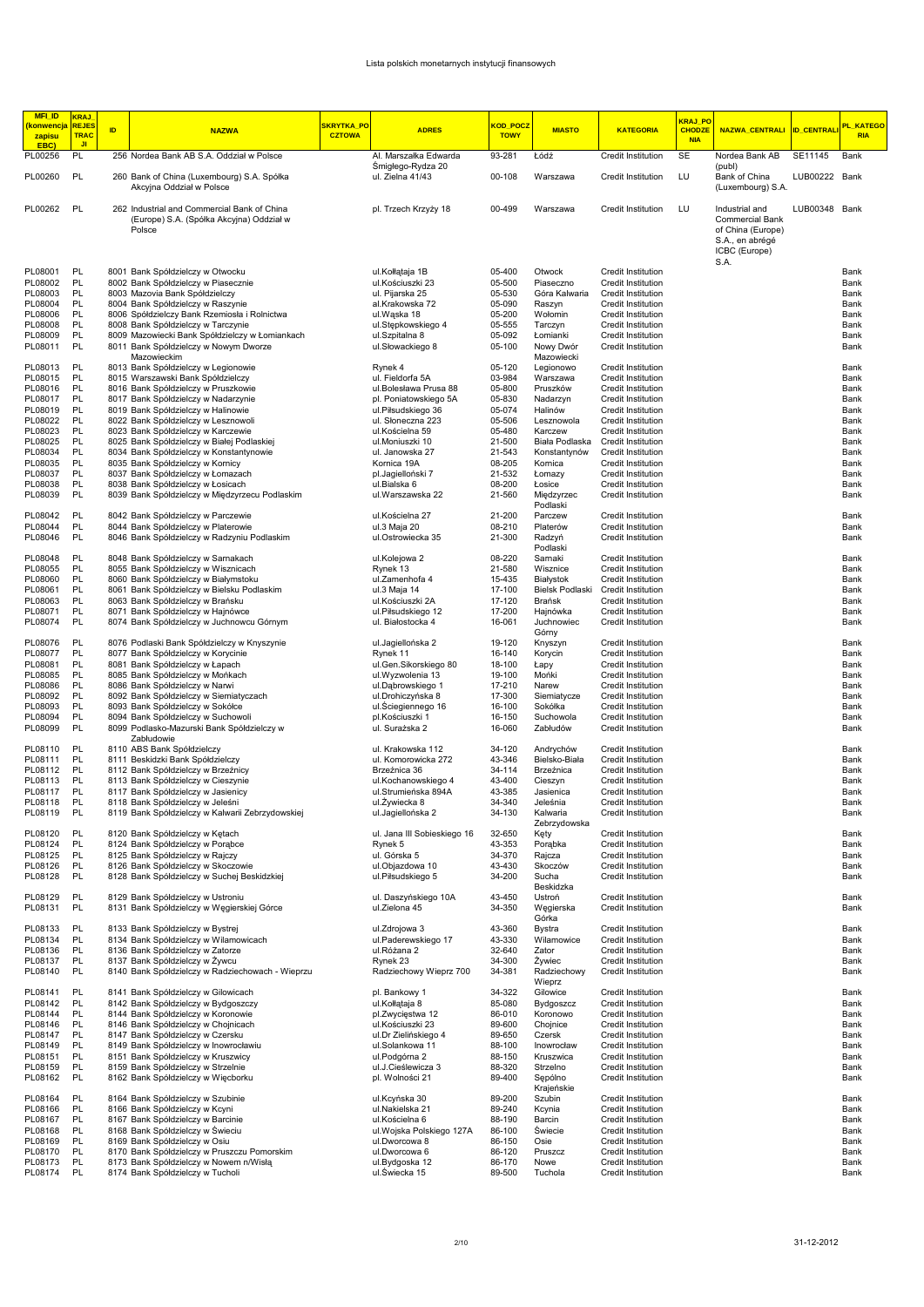| <b>MFI_ID</b><br><mark>konwencja  </mark> REJES<br>zapisu | <b>KRAJ</b><br><b>TRAC</b> | ID | <b>NAZWA</b>                                                                                      | SKRYTKA PO<br><b>CZTOWA</b> | <b>ADRES</b>                              | KOD POCZ<br><b>TOWY</b> | <b>MIASTO</b>                | <b>KATEGORIA</b>                         | KRAJ PO<br><b>CHODZE</b><br><b>NIA</b> | NAZWA_CENTRALI  ID_CENTRALI                                                                               |               | PL KATEGO<br><b>RIA</b> |
|-----------------------------------------------------------|----------------------------|----|---------------------------------------------------------------------------------------------------|-----------------------------|-------------------------------------------|-------------------------|------------------------------|------------------------------------------|----------------------------------------|-----------------------------------------------------------------------------------------------------------|---------------|-------------------------|
| EBC)<br>PL00256                                           | J <sub>1</sub><br>PL       |    | 256 Nordea Bank AB S.A. Oddział w Polsce                                                          |                             | Al. Marszałka Edwarda                     | 93-281                  | Łódź                         | Credit Institution                       | <b>SE</b>                              | Nordea Bank AB                                                                                            | SE11145       | Bank                    |
| PL00260                                                   | PL                         |    | 260 Bank of China (Luxembourg) S.A. Spółka<br>Akcyjna Oddział w Polsce                            |                             | Smigłego-Rydza 20<br>ul. Zielna 41/43     | 00-108                  | Warszawa                     | Credit Institution                       | LU                                     | (publ)<br>Bank of China<br>(Luxembourg) S.A.                                                              | LUB00222 Bank |                         |
| PL00262                                                   | PL                         |    | 262 Industrial and Commercial Bank of China<br>(Europe) S.A. (Spółka Akcyjna) Oddział w<br>Polsce |                             | pl. Trzech Krzyży 18                      | 00-499                  | Warszawa                     | Credit Institution                       | LU                                     | Industrial and<br><b>Commercial Bank</b><br>of China (Europe)<br>S.A., en abrégé<br>ICBC (Europe)<br>S.A. | LUB00348 Bank |                         |
| PL08001                                                   | PL                         |    | 8001 Bank Spółdzielczy w Otwocku                                                                  |                             | ul.Kołłataja 1B                           | 05-400                  | Otwock                       | Credit Institution                       |                                        |                                                                                                           |               | Bank                    |
| PL08002<br>PL08003                                        | PL<br>PL                   |    | 8002 Bank Spółdzielczy w Piasecznie<br>8003 Mazovia Bank Spółdzielczy                             |                             | ul.Kościuszki 23<br>ul. Pijarska 25       | 05-500<br>05-530        | Piaseczno<br>Góra Kalwaria   | Credit Institution<br>Credit Institution |                                        |                                                                                                           |               | Bank<br>Bank            |
| PL08004                                                   | PL                         |    | 8004 Bank Spółdzielczy w Raszynie                                                                 |                             | al.Krakowska 72                           | 05-090                  | Raszyn                       | Credit Institution                       |                                        |                                                                                                           |               | Bank                    |
| PL08006<br>PL08008                                        | <b>PL</b><br>PL            |    | 8006 Spółdzielczy Bank Rzemiosła i Rolnictwa<br>8008 Bank Spółdzielczy w Tarczynie                |                             | ul.Waska 18<br>ul.Stępkowskiego 4         | 05-200<br>05-555        | Wołomin<br>Tarczyn           | Credit Institution<br>Credit Institution |                                        |                                                                                                           |               | Bank<br>Bank            |
| PL08009                                                   | PL                         |    | 8009 Mazowiecki Bank Spółdzielczy w Łomiankach                                                    |                             | ul.Szpitalna 8                            | 05-092                  | Łomianki                     | Credit Institution                       |                                        |                                                                                                           |               | Bank                    |
| PL08011                                                   | PL                         |    | 8011 Bank Spółdzielczy w Nowym Dworze<br>Mazowieckim                                              |                             | ul.Słowackiego 8                          | 05-100                  | Nowy Dwór<br>Mazowiecki      | Credit Institution                       |                                        |                                                                                                           |               | Bank                    |
| PL08013                                                   | PL                         |    | 8013 Bank Spółdzielczy w Legionowie                                                               |                             | Rynek 4                                   | 05-120                  | Legionowo                    | Credit Institution                       |                                        |                                                                                                           |               | Bank                    |
| PL08015<br>PL08016                                        | PL<br>PL                   |    | 8015 Warszawski Bank Spółdzielczy<br>8016 Bank Spółdzielczy w Pruszkowie                          |                             | ul. Fieldorfa 5A<br>ul.Bolesława Prusa 88 | 03-984<br>05-800        | Warszawa<br>Pruszków         | Credit Institution<br>Credit Institution |                                        |                                                                                                           |               | Bank<br>Bank            |
| PL08017                                                   | PL                         |    | 8017 Bank Spółdzielczy w Nadarzynie                                                               |                             | pl. Poniatowskiego 5A                     | 05-830                  | Nadarzyn                     | Credit Institution                       |                                        |                                                                                                           |               | Bank                    |
| PL08019<br>PL08022                                        | PL<br>PL                   |    | 8019 Bank Spółdzielczy w Halinowie<br>8022 Bank Spółdzielczy w Lesznowoli                         |                             | ul.Piłsudskiego 36<br>ul. Słoneczna 223   | 05-074<br>05-506        | Halinów<br>Lesznowola        | Credit Institution<br>Credit Institution |                                        |                                                                                                           |               | Bank<br>Bank            |
| PL08023                                                   | PL                         |    | 8023 Bank Spółdzielczy w Karczewie                                                                |                             | ul.Kościelna 59                           | 05-480                  | Karczew                      | Credit Institution                       |                                        |                                                                                                           |               | Bank                    |
| PL08025                                                   | PL                         |    | 8025 Bank Spółdzielczy w Białej Podlaskiej                                                        |                             | ul.Moniuszki 10                           | 21-500                  | Biała Podlaska               | Credit Institution                       |                                        |                                                                                                           |               | Bank                    |
| PL08034<br>PL08035                                        | PL<br>PL                   |    | 8034 Bank Spółdzielczy w Konstantynowie<br>8035 Bank Spółdzielczy w Kornicy                       |                             | ul. Janowska 27<br>Kornica 19A            | 21-543<br>08-205        | Konstantynów<br>Kornica      | Credit Institution<br>Credit Institution |                                        |                                                                                                           |               | Bank<br>Bank            |
| PL08037                                                   | PL                         |    | 8037 Bank Spółdzielczy w Łomazach                                                                 |                             | pl.Jaqielloński 7                         | 21-532                  | Łomazy                       | Credit Institution                       |                                        |                                                                                                           |               | Bank                    |
| PL08038                                                   | PL                         |    | 8038 Bank Spółdzielczy w Łosicach                                                                 |                             | ul.Bialska 6                              | 08-200                  | Łosice                       | Credit Institution                       |                                        |                                                                                                           |               | Bank                    |
| PL08039                                                   | PL                         |    | 8039 Bank Spółdzielczy w Międzyrzecu Podlaskim                                                    |                             | ul.Warszawska 22                          | 21-560                  | Międzyrzec<br>Podlaski       | Credit Institution                       |                                        |                                                                                                           |               | Bank                    |
| PL08042<br>PL08044                                        | PL<br>PL                   |    | 8042 Bank Spółdzielczy w Parczewie<br>8044 Bank Spółdzielczy w Platerowie                         |                             | ul.Kościelna 27<br>ul.3 Maja 20           | 21-200<br>08-210        | Parczew<br>Platerów          | Credit Institution<br>Credit Institution |                                        |                                                                                                           |               | Bank<br>Bank            |
| PL08046                                                   | PL                         |    | 8046 Bank Spółdzielczy w Radzyniu Podlaskim                                                       |                             | ul.Ostrowiecka 35                         | 21-300                  | Radzyń<br>Podlaski           | Credit Institution                       |                                        |                                                                                                           |               | Bank                    |
| PL08048                                                   | PL                         |    | 8048 Bank Spółdzielczy w Sarnakach                                                                |                             | ul.Kolejowa 2                             | 08-220                  | Sarnaki                      | Credit Institution                       |                                        |                                                                                                           |               | Bank                    |
| PL08055                                                   | PL                         |    | 8055 Bank Spółdzielczy w Wisznicach                                                               |                             | Rynek 13                                  | 21-580                  | Wisznice                     | Credit Institution                       |                                        |                                                                                                           |               | Bank                    |
| PL08060<br>PL08061                                        | PL<br>PL                   |    | 8060 Bank Spółdzielczy w Białymstoku<br>8061 Bank Spółdzielczy w Bielsku Podlaskim                |                             | ul.Zamenhofa 4<br>ul.3 Maja 14            | 15-435<br>17-100        | Białystok<br>Bielsk Podlaski | Credit Institution<br>Credit Institution |                                        |                                                                                                           |               | Bank<br>Bank            |
| PL08063                                                   | PL                         |    | 8063 Bank Spółdzielczy w Brańsku                                                                  |                             | ul.Kościuszki 2A                          | 17-120                  | Brańsk                       | Credit Institution                       |                                        |                                                                                                           |               | Bank                    |
| PL08071                                                   | PL                         |    | 8071 Bank Spółdzielczy w Hajnówce                                                                 |                             | ul.Piłsudskiego 12                        | 17-200                  | Hajnówka                     | Credit Institution                       |                                        |                                                                                                           |               | Bank                    |
| PL08074<br>PL08076                                        | PL<br>PL                   |    | 8074 Bank Spółdzielczy w Juchnowcu Górnym                                                         |                             | ul. Białostocka 4                         | 16-061<br>19-120        | Juchnowiec<br>Górny          | Credit Institution                       |                                        |                                                                                                           |               | Bank                    |
| PL08077                                                   | PL                         |    | 8076 Podlaski Bank Spółdzielczy w Knyszynie<br>8077 Bank Spółdzielczy w Korycinie                 |                             | ul.Jagiellońska 2<br>Rynek 11             | 16-140                  | Knyszyn<br>Korycin           | Credit Institution<br>Credit Institution |                                        |                                                                                                           |               | Bank<br>Bank            |
| PL08081                                                   | PL                         |    | 8081 Bank Spółdzielczy w Łapach                                                                   |                             | ul.Gen.Sikorskiego 80                     | 18-100                  | Łapy                         | Credit Institution                       |                                        |                                                                                                           |               | Bank                    |
| PL08085<br>PL08086                                        | PL<br>PL                   |    | 8085 Bank Spółdzielczy w Mońkach<br>8086 Bank Spółdzielczy w Narwi                                |                             | ul.Wyzwolenia 13<br>ul.Dąbrowskiego 1     | 19-100<br>17-210        | Mońki<br>Narew               | Credit Institution<br>Credit Institution |                                        |                                                                                                           |               | Bank<br>Bank            |
| PL08092                                                   | PL                         |    | 8092 Bank Spółdzielczy w Siemiatyczach                                                            |                             | ul.Drohiczyńska 8                         | 17-300                  | Siemiatycze                  | Credit Institution                       |                                        |                                                                                                           |               | Bank                    |
| PL08093                                                   | PL                         |    | 8093 Bank Spółdzielczy w Sokółce                                                                  |                             | ul.Sciegiennego 16                        | 16-100                  | Sokółka                      | Credit Institution                       |                                        |                                                                                                           |               | Bank                    |
| PL08094<br>PL08099                                        | PL<br>PL                   |    | 8094 Bank Spółdzielczy w Suchowoli<br>8099 Podlasko-Mazurski Bank Spółdzielczy w                  |                             | pl.Kościuszki 1<br>ul. Surażska 2         | 16-150<br>16-060        | Suchowola<br>Zabłudów        | Credit Institution<br>Credit Institution |                                        |                                                                                                           |               | Bank<br>Bank            |
| PL08110                                                   | PL                         |    | Zabłudowie<br>8110 ABS Bank Spółdzielczy                                                          |                             | ul. Krakowska 112                         | 34-120                  | Andrychów                    | Credit Institution                       |                                        |                                                                                                           |               | Bank                    |
| PL08111                                                   | PL                         |    | 8111 Beskidzki Bank Spółdzielczy                                                                  |                             | ul. Komorowicka 272                       | 43-346                  | Bielsko-Biała                | <b>Credit Institution</b>                |                                        |                                                                                                           |               | Bank                    |
| PL08112<br>PL08113                                        | PL<br>PL                   |    | 8112 Bank Spółdzielczy w Brzeźnicy<br>8113 Bank Spółdzielczy w Cieszynie                          |                             | Brzeźnica 36<br>ul.Kochanowskiego 4       | 34-114<br>43-400        | Brzeźnica<br>Cieszyn         | Credit Institution<br>Credit Institution |                                        |                                                                                                           |               | Bank<br>Bank            |
| PL08117                                                   | PL                         |    | 8117 Bank Spółdzielczy w Jasienicy                                                                |                             | ul.Strumieńska 894A                       | 43-385                  | Jasienica                    | Credit Institution                       |                                        |                                                                                                           |               | Bank                    |
| PL08118<br>PL08119                                        | PL<br>PL                   |    | 8118 Bank Spółdzielczy w Jeleśni<br>8119 Bank Spółdzielczy w Kalwarii Zebrzydowskiej              |                             | ul. Żywiecka 8<br>ul.Jagiellońska 2       | 34-340<br>34-130        | Jeleśnia<br>Kalwaria         | Credit Institution<br>Credit Institution |                                        |                                                                                                           |               | Bank<br>Bank            |
| PL08120                                                   | <b>PL</b>                  |    | 8120 Bank Spółdzielczy w Ketach                                                                   |                             | ul. Jana III Sobieskiego 16               | 32-650                  | Zebrzydowska<br>Kęty         | Credit Institution                       |                                        |                                                                                                           |               | Bank                    |
| PL08124                                                   | PL                         |    | 8124 Bank Spółdzielczy w Porąbce                                                                  |                             | Rynek 5                                   | 43-353                  | Porabka                      | Credit Institution                       |                                        |                                                                                                           |               | Bank                    |
| PL08125                                                   | PL                         |    | 8125 Bank Spółdzielczy w Rajczy                                                                   |                             | ul. Górska 5                              | 34-370                  | Rajcza                       | Credit Institution                       |                                        |                                                                                                           |               | Bank                    |
| PL08126<br>PL08128                                        | PL<br>PL                   |    | 8126 Bank Spółdzielczy w Skoczowie<br>8128 Bank Spółdzielczy w Suchej Beskidzkiej                 |                             | ul.Objazdowa 10<br>ul.Piłsudskiego 5      | 43-430<br>34-200        | Skoczów<br>Sucha             | Credit Institution<br>Credit Institution |                                        |                                                                                                           |               | Bank<br>Bank            |
| PL08129                                                   | PL                         |    | 8129 Bank Spółdzielczy w Ustroniu                                                                 |                             | ul. Daszyńskiego 10A                      | 43-450                  | Beskidzka<br>Ustroń          | Credit Institution                       |                                        |                                                                                                           |               | Bank                    |
| PL08131                                                   | PL                         |    | 8131 Bank Spółdzielczy w Węgierskiej Górce                                                        |                             | ul.Zielona 45                             | 34-350                  | Węgierska<br>Górka           | Credit Institution                       |                                        |                                                                                                           |               | Bank                    |
| PL08133                                                   | PL                         |    | 8133 Bank Spółdzielczy w Bystrej                                                                  |                             | ul.Zdrojowa 3                             | 43-360                  | Bystra                       | Credit Institution                       |                                        |                                                                                                           |               | Bank                    |
| PL08134                                                   | PL                         |    | 8134 Bank Spółdzielczy w Wilamowicach                                                             |                             | ul.Paderewskiego 17                       | 43-330                  | Wilamowice                   | Credit Institution<br>Credit Institution |                                        |                                                                                                           |               | Bank                    |
| PL08136<br>PL08137                                        | PL<br>PL                   |    | 8136 Bank Spółdzielczy w Zatorze<br>8137 Bank Spółdzielczy w Żywcu                                |                             | ul.Różana 2<br>Rynek 23                   | 32-640<br>34-300        | Zator<br>Żywiec              | Credit Institution                       |                                        |                                                                                                           |               | Bank<br>Bank            |
| PL08140                                                   | PL                         |    | 8140 Bank Spółdzielczy w Radziechowach - Wieprzu                                                  |                             | Radziechowy Wieprz 700                    | 34-381                  | Radziechowy<br>Wieprz        | Credit Institution                       |                                        |                                                                                                           |               | Bank                    |
| PL08141                                                   | PL                         |    | 8141 Bank Spółdzielczy w Gilowicach                                                               |                             | pl. Bankowy 1                             | 34-322                  | Gilowice                     | Credit Institution                       |                                        |                                                                                                           |               | Bank                    |
| PL08142<br>PL08144                                        | PL<br>PL                   |    | 8142 Bank Spółdzielczy w Bydgoszczy<br>8144 Bank Spółdzielczy w Koronowie                         |                             | ul.Kołłątaja 8<br>pl.Zwycięstwa 12        | 85-080<br>86-010        | Bydgoszcz<br>Koronowo        | Credit Institution<br>Credit Institution |                                        |                                                                                                           |               | Bank<br>Bank            |
| PL08146                                                   | PL                         |    | 8146 Bank Spółdzielczy w Chojnicach                                                               |                             | ul.Kościuszki 23                          | 89-600                  | Chojnice                     | Credit Institution                       |                                        |                                                                                                           |               | Bank                    |
| PL08147                                                   | PL                         |    | 8147 Bank Spółdzielczy w Czersku                                                                  |                             | ul.Dr Zielińskiego 4                      | 89-650                  | Czersk                       | Credit Institution                       |                                        |                                                                                                           |               | Bank                    |
| PL08149<br>PL08151                                        | PL<br>PL                   |    | 8149 Bank Spółdzielczy w Inowrocławiu<br>8151 Bank Spółdzielczy w Kruszwicy                       |                             | ul.Solankowa 11<br>ul.Podgórna 2          | 88-100<br>88-150        | Inowrocław<br>Kruszwica      | Credit Institution<br>Credit Institution |                                        |                                                                                                           |               | Bank<br>Bank            |
| PL08159                                                   | PL                         |    | 8159 Bank Spółdzielczy w Strzelnie                                                                |                             | ul.J.Cieślewicza 3                        | 88-320                  | Strzelno                     | Credit Institution                       |                                        |                                                                                                           |               | Bank                    |
| PL08162                                                   | PL                         |    | 8162 Bank Spółdzielczy w Więcborku                                                                |                             | pl. Wolności 21                           | 89-400                  | Sepólno<br>Krajeńskie        | Credit Institution                       |                                        |                                                                                                           |               | Bank                    |
| PL08164                                                   | PL                         |    | 8164 Bank Spółdzielczy w Szubinie                                                                 |                             | ul.Kcyńska 30                             | 89-200                  | Szubin                       | Credit Institution                       |                                        |                                                                                                           |               | Bank                    |
| PL08166<br>PL08167                                        | PL<br>PL                   |    | 8166 Bank Spółdzielczy w Kcyni<br>8167 Bank Spółdzielczy w Barcinie                               |                             | ul.Nakielska 21<br>ul.Kościelna 6         | 89-240<br>88-190        | Kcynia<br>Barcin             | Credit Institution<br>Credit Institution |                                        |                                                                                                           |               | Bank<br>Bank            |
| PL08168                                                   | PL                         |    | 8168 Bank Spółdzielczy w Świeciu                                                                  |                             | ul. Wojska Polskiego 127A                 | 86-100                  | Świecie                      | Credit Institution                       |                                        |                                                                                                           |               | Bank                    |
| PL08169<br>PL08170                                        | PL<br>PL                   |    | 8169 Bank Spółdzielczy w Osiu                                                                     |                             | ul.Dworcowa 8                             | 86-150<br>86-120        | Osie                         | Credit Institution                       |                                        |                                                                                                           |               | Bank                    |
| PL08173                                                   | PL                         |    | 8170 Bank Spółdzielczy w Pruszczu Pomorskim<br>8173 Bank Spółdzielczy w Nowem n/Wisłą             |                             | ul.Dworcowa 6<br>ul.Bydgoska 12           | 86-170                  | Pruszcz<br>Nowe              | Credit Institution<br>Credit Institution |                                        |                                                                                                           |               | Bank<br>Bank            |
| PL08174                                                   | PL                         |    | 8174 Bank Spółdzielczy w Tucholi                                                                  |                             | ul.Swiecka 15                             | 89-500                  | Tuchola                      | Credit Institution                       |                                        |                                                                                                           |               | Bank                    |
|                                                           |                            |    |                                                                                                   |                             |                                           |                         |                              |                                          |                                        |                                                                                                           |               |                         |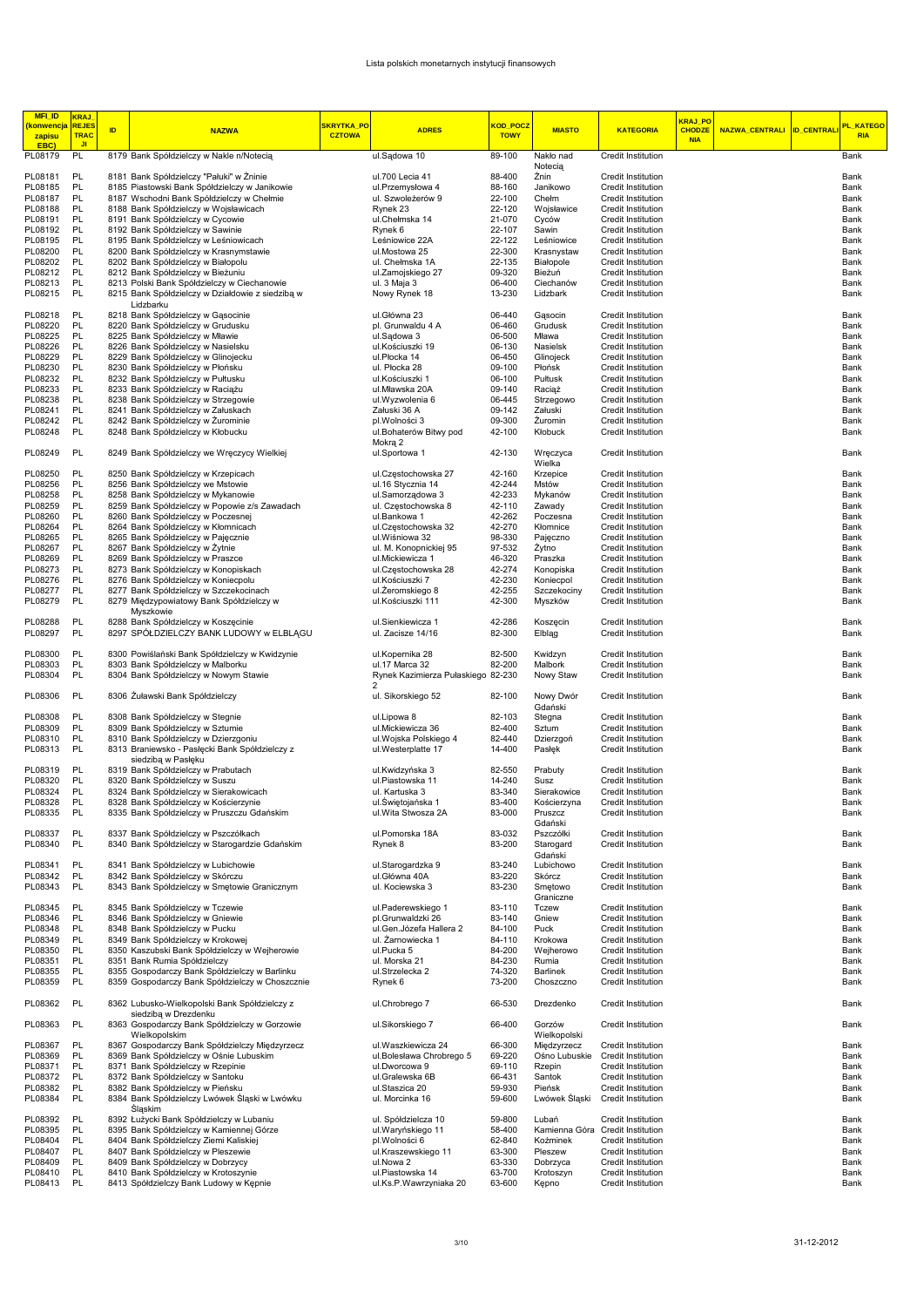| <b>MFI_ID</b><br><u>(konwencja</u> | <b>KRAJ</b><br><b>REJES</b> |    |                                                                                                 | SKRYTKA_PO    |                                        | <mark>KOD_POCZ</mark> |                             |                                                 | <mark>KRAJ_PO</mark> |                       |                   | <mark>PL_KATEGO</mark> |
|------------------------------------|-----------------------------|----|-------------------------------------------------------------------------------------------------|---------------|----------------------------------------|-----------------------|-----------------------------|-------------------------------------------------|----------------------|-----------------------|-------------------|------------------------|
| zapisu                             | <b>TRAC</b>                 | ID | <b>NAZWA</b>                                                                                    | <b>CZTOWA</b> | <b>ADRES</b>                           | <b>TOWY</b>           | <b>MIASTO</b>               | <b>KATEGORIA</b>                                | <b>CHODZE</b>        | <b>NAZWA_CENTRALI</b> | <b>ID_CENTRAL</b> | <b>RIA</b>             |
| EBC)                               | JI.                         |    |                                                                                                 |               |                                        |                       |                             |                                                 | <b>NIA</b>           |                       |                   |                        |
| PL08179                            | PL                          |    | 8179 Bank Spółdzielczy w Nakle n/Notecią                                                        |               | ul.Sadowa 10                           | 89-100                | Nakło nad                   | Credit Institution                              |                      |                       |                   | Bank                   |
|                                    |                             |    |                                                                                                 |               |                                        |                       | Notecia                     |                                                 |                      |                       |                   |                        |
| PL08181<br>PL08185                 | PL<br>PL                    |    | 8181 Bank Spółdzielczy "Pałuki" w Żninie                                                        |               | ul.700 Lecia 41                        | 88-400<br>88-160      | Żnin<br>Janikowo            | Credit Institution<br><b>Credit Institution</b> |                      |                       |                   | Bank<br>Bank           |
| PL08187                            | PL                          |    | 8185 Piastowski Bank Spółdzielczy w Janikowie<br>8187 Wschodni Bank Spółdzielczy w Chełmie      |               | ul.Przemysłowa 4<br>ul. Szwoleżerów 9  | 22-100                | Chełm                       | <b>Credit Institution</b>                       |                      |                       |                   | Bank                   |
| PL08188                            | PL                          |    | 8188 Bank Spółdzielczy w Wojsławicach                                                           |               | Rynek 23                               | 22-120                | Wojsławice                  | Credit Institution                              |                      |                       |                   | Bank                   |
| PL08191                            | PL                          |    | 8191 Bank Spółdzielczy w Cycowie                                                                |               | ul.Chełmska 14                         | 21-070                | Cyców                       | Credit Institution                              |                      |                       |                   | Bank                   |
| PL08192                            | PL                          |    | 8192 Bank Spółdzielczy w Sawinie                                                                |               | Rynek 6                                | 22-107                | Sawin                       | Credit Institution                              |                      |                       |                   | Bank                   |
| PL08195                            | PL                          |    | 8195 Bank Spółdzielczy w Leśniowicach                                                           |               | Leśniowice 22A                         | 22-122                | Leśniowice                  | Credit Institution                              |                      |                       |                   | Bank                   |
| PL08200                            | PL                          |    | 8200 Bank Spółdzielczy w Krasnymstawie                                                          |               | ul.Mostowa 25                          | 22-300                | Krasnystaw                  | Credit Institution                              |                      |                       |                   | Bank                   |
| PL08202                            | PL                          |    | 8202 Bank Spółdzielczy w Białopolu                                                              |               | ul. Chełmska 1A                        | 22-135                | Białopole                   | Credit Institution                              |                      |                       |                   | Bank                   |
| PL08212                            | PL<br>PL                    |    | 8212 Bank Spółdzielczy w Bieżuniu                                                               |               | ul.Zamojskiego 27                      | 09-320<br>06-400      | Bieżuń<br>Ciechanów         | <b>Credit Institution</b>                       |                      |                       |                   | Bank<br>Bank           |
| PL08213<br>PL08215                 | PL                          |    | 8213 Polski Bank Spółdzielczy w Ciechanowie<br>8215 Bank Spółdzielczy w Działdowie z siedziba w |               | ul. 3 Maja 3<br>Nowy Rynek 18          | 13-230                | Lidzbark                    | Credit Institution<br>Credit Institution        |                      |                       |                   | Bank                   |
|                                    |                             |    | Lidzbarku                                                                                       |               |                                        |                       |                             |                                                 |                      |                       |                   |                        |
| PL08218                            | PL                          |    | 8218 Bank Spółdzielczy w Gasocinie                                                              |               | ul.Główna 23                           | 06-440                | Gasocin                     | Credit Institution                              |                      |                       |                   | Bank                   |
| PL08220                            | PL                          |    | 8220 Bank Spółdzielczy w Grudusku                                                               |               | pl. Grunwaldu 4 A                      | 06-460                | Grudusk                     | Credit Institution                              |                      |                       |                   | Bank                   |
| PL08225                            | PL                          |    | 8225 Bank Spółdzielczy w Mławie                                                                 |               | ul.Sadowa 3                            | 06-500                | Mława                       | <b>Credit Institution</b>                       |                      |                       |                   | Bank                   |
| PL08226                            | PL                          |    | 8226 Bank Spółdzielczy w Nasielsku                                                              |               | ul.Kościuszki 19                       | 06-130                | Nasielsk                    | Credit Institution                              |                      |                       |                   | Bank                   |
| PL08229                            | PL                          |    | 8229 Bank Spółdzielczy w Glinojecku                                                             |               | ul.Płocka 14                           | 06-450                | Glinojeck                   | Credit Institution                              |                      |                       |                   | Bank                   |
| PL08230<br>PL08232                 | PL<br><b>PL</b>             |    | 8230 Bank Spółdzielczy w Płońsku<br>8232 Bank Spółdzielczy w Pułtusku                           |               | ul. Płocka 28<br>ul.Kościuszki 1       | 09-100<br>06-100      | Płońsk<br>Pułtusk           | Credit Institution<br>Credit Institution        |                      |                       |                   | Bank<br>Bank           |
| PL08233                            | PL                          |    | 8233 Bank Spółdzielczy w Raciążu                                                                |               | ul.Mławska 20A                         | 09-140                | Raciąż                      | Credit Institution                              |                      |                       |                   | Bank                   |
| PL08238                            | PL                          |    | 8238 Bank Spółdzielczy w Strzegowie                                                             |               | ul.Wyzwolenia 6                        | 06-445                | Strzegowo                   | Credit Institution                              |                      |                       |                   | Bank                   |
| PL08241                            | PL                          |    | 8241 Bank Spółdzielczy w Załuskach                                                              |               | Załuski 36 A                           | 09-142                | Załuski                     | Credit Institution                              |                      |                       |                   | Bank                   |
| PL08242                            | PL                          |    | 8242 Bank Spółdzielczy w Żurominie                                                              |               | pl.Wolności 3                          | 09-300                | Zuromin                     | <b>Credit Institution</b>                       |                      |                       |                   | Bank                   |
| PL08248                            | PL                          |    | 8248 Bank Spółdzielczy w Kłobucku                                                               |               | ul.Bohaterów Bitwy pod                 | 42-100                | Kłobuck                     | Credit Institution                              |                      |                       |                   | Bank                   |
|                                    |                             |    |                                                                                                 |               | Mokrą 2                                |                       |                             |                                                 |                      |                       |                   |                        |
| PL08249                            | PL                          |    | 8249 Bank Spółdzielczy we Wreczycy Wielkiej                                                     |               | ul.Sportowa 1                          | 42-130                | Wręczyca                    | Credit Institution                              |                      |                       |                   | Bank                   |
| PL08250                            | PL                          |    | 8250 Bank Spółdzielczy w Krzepicach                                                             |               | ul.Częstochowska 27                    | 42-160                | Wielka<br>Krzepice          | <b>Credit Institution</b>                       |                      |                       |                   | Bank                   |
| PL08256                            | PL                          |    | 8256 Bank Spółdzielczy we Mstowie                                                               |               | ul.16 Stycznia 14                      | 42-244                | Mstów                       | Credit Institution                              |                      |                       |                   | Bank                   |
| PL08258                            | <b>PL</b>                   |    | 8258 Bank Spółdzielczy w Mykanowie                                                              |               | ul.Samorządowa 3                       | 42-233                | Mykanów                     | Credit Institution                              |                      |                       |                   | Bank                   |
| PL08259                            | PL                          |    | 8259 Bank Spółdzielczy w Popowie z/s Zawadach                                                   |               | ul. Częstochowska 8                    | 42-110                | Zawady                      | Credit Institution                              |                      |                       |                   | Bank                   |
| PL08260                            | PL                          |    | 8260 Bank Spółdzielczy w Poczesnej                                                              |               | ul.Bankowa 1                           | 42-262                | Poczesna                    | Credit Institution                              |                      |                       |                   | Bank                   |
| PL08264                            | PL                          |    | 8264 Bank Spółdzielczy w Kłomnicach                                                             |               | ul.Czestochowska 32                    | 42-270                | Kłomnice                    | Credit Institution                              |                      |                       |                   | Bank                   |
| PL08265                            | PL                          |    | 8265 Bank Spółdzielczy w Pajęcznie                                                              |               | ul. Wiśniowa 32                        | 98-330                | Pajęczno                    | Credit Institution                              |                      |                       |                   | Bank                   |
| PL08267                            | PL                          |    | 8267 Bank Spółdzielczy w Żytnie                                                                 |               | ul. M. Konopnickiej 95                 | 97-532                | Żytno                       | <b>Credit Institution</b>                       |                      |                       |                   | Bank                   |
| PL08269                            | PL                          |    | 8269 Bank Spółdzielczy w Praszce                                                                |               | ul.Mickiewicza 1                       | 46-320                | Praszka                     | Credit Institution                              |                      |                       |                   | Bank                   |
| PL08273<br>PL08276                 | PL<br>PL                    |    | 8273 Bank Spółdzielczy w Konopiskach<br>8276 Bank Spółdzielczy w Koniecpolu                     |               | ul.Częstochowska 28<br>ul.Kościuszki 7 | 42-274<br>42-230      | Konopiska<br>Koniecpol      | Credit Institution<br>Credit Institution        |                      |                       |                   | Bank<br>Bank           |
| PL08277                            | PL                          |    | 8277 Bank Spółdzielczy w Szczekocinach                                                          |               | ul. Zeromskiego 8                      | 42-255                | Szczekociny                 | Credit Institution                              |                      |                       |                   | Bank                   |
| PL08279                            | PL                          |    | 8279 Międzypowiatowy Bank Spółdzielczy w                                                        |               | ul.Kościuszki 111                      | 42-300                | Myszków                     | Credit Institution                              |                      |                       |                   | Bank                   |
|                                    |                             |    | Myszkowie                                                                                       |               |                                        |                       |                             |                                                 |                      |                       |                   |                        |
| PL08288                            | PL                          |    | 8288 Bank Spółdzielczy w Koszęcinie                                                             |               | ul.Sienkiewicza 1                      | 42-286                | Koszęcin                    | Credit Institution                              |                      |                       |                   | Bank                   |
| PL08297                            | PL                          |    | 8297 SPÓŁDZIELCZY BANK LUDOWY w ELBLĄGU                                                         |               | ul. Zacisze 14/16                      | 82-300                | Elblag                      | Credit Institution                              |                      |                       |                   | Bank                   |
|                                    |                             |    |                                                                                                 |               |                                        |                       |                             |                                                 |                      |                       |                   |                        |
| PL08300<br>PL08303                 | PL<br>PL                    |    | 8300 Powiślański Bank Spółdzielczy w Kwidzynie<br>8303 Bank Spółdzielczy w Malborku             |               | ul.Kopernika 28<br>ul.17 Marca 32      | 82-500<br>82-200      | Kwidzyn<br>Malbork          | Credit Institution<br>Credit Institution        |                      |                       |                   | Bank<br>Bank           |
| PL08304                            | PL                          |    | 8304 Bank Spółdzielczy w Nowym Stawie                                                           |               | Rynek Kazimierza Pułaskiego 82-230     |                       | Nowy Staw                   | Credit Institution                              |                      |                       |                   | Bank                   |
|                                    |                             |    |                                                                                                 |               | 2                                      |                       |                             |                                                 |                      |                       |                   |                        |
| PL08306                            | PL                          |    | 8306 Zuławski Bank Spółdzielczy                                                                 |               | ul. Sikorskiego 52                     | 82-100                | Nowy Dwór<br>Gdański        | Credit Institution                              |                      |                       |                   | Bank                   |
| PL08308                            | PL                          |    | 8308 Bank Spółdzielczy w Stegnie                                                                |               | ul.Lipowa 8                            | 82-103                | Stegna                      | Credit Institution                              |                      |                       |                   | Bank                   |
| PL08309                            | <b>PL</b>                   |    | 8309 Bank Spółdzielczy w Sztumie                                                                |               | ul.Mickiewicza 36                      | 82-400                | Sztum                       | Credit Institution                              |                      |                       |                   | Bank                   |
| PL08310                            | PL                          |    | 8310 Bank Spółdzielczy w Dzierzgoniu                                                            |               | ul. Wojska Polskiego 4                 | 82-440                | Dzierzgoń                   | Credit Institution                              |                      |                       |                   | Bank                   |
| PL08313                            | PL                          |    | 8313 Braniewsko - Pasłęcki Bank Spółdzielczy z                                                  |               | ul.Westerplatte 17                     | 14-400                | Pasłęk                      | Credit Institution                              |                      |                       |                   | Bank                   |
|                                    | PL                          |    | siedziba w Pasłeku                                                                              |               |                                        | 82-550                |                             | <b>Credit Institution</b>                       |                      |                       |                   |                        |
| PL08319<br>PL08320                 | PL                          |    | 8319 Bank Spółdzielczy w Prabutach<br>8320 Bank Spółdzielczy w Suszu                            |               | ul.Kwidzyńska 3<br>ul.Piastowska 11    | 14-240                | Prabuty<br>Susz             | Credit Institution                              |                      |                       |                   | Bank<br>Bank           |
| PL08324                            | PL                          |    | 8324 Bank Spółdzielczy w Sierakowicach                                                          |               | ul. Kartuska 3                         | 83-340                | Sierakowice                 | Credit Institution                              |                      |                       |                   | Bank                   |
| PL08328                            | PL                          |    | 8328 Bank Spółdzielczy w Kościerzynie                                                           |               | ul.Swiętojańska 1                      | 83-400                | Kościerzyna                 | Credit Institution                              |                      |                       |                   | Bank                   |
| PL08335                            | PL                          |    | 8335 Bank Spółdzielczy w Pruszczu Gdańskim                                                      |               | ul.Wita Stwosza 2A                     | 83-000                | Pruszcz                     | Credit Institution                              |                      |                       |                   | Bank                   |
|                                    |                             |    |                                                                                                 |               |                                        |                       | Gdański                     |                                                 |                      |                       |                   |                        |
| PL08337                            | PL                          |    | 8337 Bank Spółdzielczy w Pszczółkach                                                            |               | ul.Pomorska 18A                        | 83-032                | Pszczółki                   | Credit Institution                              |                      |                       |                   | Bank                   |
| PL08340                            | PL                          |    | 8340 Bank Spółdzielczy w Starogardzie Gdańskim                                                  |               | Rynek 8                                | 83-200                | Starogard                   | Credit Institution                              |                      |                       |                   | Bank                   |
| PL08341                            | PL                          |    | 8341 Bank Spółdzielczy w Lubichowie                                                             |               | ul.Starogardzka 9                      | 83-240                | Gdański<br>Lubichowo        | Credit Institution                              |                      |                       |                   | Bank                   |
| PL08342                            | PL                          |    | 8342 Bank Spółdzielczy w Skórczu                                                                |               | ul. Główna 40A                         | 83-220                | Skórcz                      | Credit Institution                              |                      |                       |                   | Bank                   |
| PL08343                            | PL                          |    | 8343 Bank Spółdzielczy w Smętowie Granicznym                                                    |               | ul. Kociewska 3                        | 83-230                | Smętowo                     | Credit Institution                              |                      |                       |                   | Bank                   |
|                                    |                             |    |                                                                                                 |               |                                        |                       | Graniczne                   |                                                 |                      |                       |                   |                        |
| PL08345                            | PL                          |    | 8345 Bank Spółdzielczy w Tczewie                                                                |               | ul.Paderewskiego 1                     | 83-110                | <b>Tczew</b>                | Credit Institution                              |                      |                       |                   | Bank                   |
| PL08346                            | PL                          |    | 8346 Bank Spółdzielczy w Gniewie                                                                |               | pl.Grunwaldzki 26                      | 83-140                | Gniew                       | Credit Institution                              |                      |                       |                   | Bank                   |
| PL08348                            | PL                          |    | 8348 Bank Spółdzielczy w Pucku                                                                  |               | ul. Gen. Józefa Hallera 2              | 84-100                | Puck                        | Credit Institution                              |                      |                       |                   | Bank                   |
| PL08349                            | PL<br>PL                    |    | 8349 Bank Spółdzielczy w Krokowej<br>8350 Kaszubski Bank Spółdzielczy w Wejherowie              |               | ul. Żarnowiecka 1                      | 84-110                | Krokowa                     | Credit Institution<br><b>Credit Institution</b> |                      |                       |                   | Bank                   |
| PL08350<br>PL08351                 | PL                          |    | 8351 Bank Rumia Spółdzielczy                                                                    |               | ul.Pucka 5<br>ul. Morska 21            | 84-200<br>84-230      | Wejherowo<br>Rumia          | Credit Institution                              |                      |                       |                   | Bank<br>Bank           |
| PL08355                            | PL                          |    | 8355 Gospodarczy Bank Spółdzielczy w Barlinku                                                   |               | ul.Strzelecka 2                        | 74-320                | Barlinek                    | Credit Institution                              |                      |                       |                   | Bank                   |
| PL08359                            | PL                          |    | 8359 Gospodarczy Bank Spółdzielczy w Choszcznie                                                 |               | Rynek 6                                | 73-200                | Choszczno                   | Credit Institution                              |                      |                       |                   | Bank                   |
|                                    |                             |    |                                                                                                 |               |                                        |                       |                             |                                                 |                      |                       |                   |                        |
| PL08362                            | PL                          |    | 8362 Lubusko-Wielkopolski Bank Spółdzielczy z                                                   |               | ul.Chrobrego 7                         | 66-530                | Drezdenko                   | Credit Institution                              |                      |                       |                   | Bank                   |
|                                    |                             |    | siedziba w Drezdenku                                                                            |               |                                        |                       |                             |                                                 |                      |                       |                   |                        |
| PL08363                            | PL                          |    | 8363 Gospodarczy Bank Spółdzielczy w Gorzowie                                                   |               | ul.Sikorskiego 7                       | 66-400                | Gorzów                      | Credit Institution                              |                      |                       |                   | Bank                   |
| PL08367                            | PL                          |    | Wielkopolskim<br>8367 Gospodarczy Bank Spółdzielczy Międzyrzecz                                 |               | ul. Waszkiewicza 24                    | 66-300                | Wielkopolski<br>Międzyrzecz | Credit Institution                              |                      |                       |                   | Bank                   |
| PL08369                            | PL                          |    | 8369 Bank Spółdzielczy w Ośnie Lubuskim                                                         |               | ul.Bolesława Chrobrego 5               | 69-220                | Ośno Lubuskie               | Credit Institution                              |                      |                       |                   | Bank                   |
| PL08371                            | PL                          |    | 8371 Bank Spółdzielczy w Rzepinie                                                               |               | ul.Dworcowa 9                          | 69-110                | Rzepin                      | Credit Institution                              |                      |                       |                   | Bank                   |
| PL08372                            | PL                          |    | 8372 Bank Spółdzielczy w Santoku                                                                |               | ul.Gralewska 6B                        | 66-431                | Santok                      | Credit Institution                              |                      |                       |                   | Bank                   |
| PL08382                            | PL                          |    | 8382 Bank Spółdzielczy w Pieńsku                                                                |               | ul.Staszica 20                         | 59-930                | Pieńsk                      | Credit Institution                              |                      |                       |                   | Bank                   |
| PL08384                            | PL                          |    | 8384 Bank Spółdzielczy Lwówek Śląski w Lwówku                                                   |               | ul. Morcinka 16                        | 59-600                | Lwówek Śląski               | Credit Institution                              |                      |                       |                   | Bank                   |
|                                    |                             |    | Śląskim                                                                                         |               |                                        |                       |                             |                                                 |                      |                       |                   |                        |
| PL08392                            | PL                          |    | 8392 Łużycki Bank Spółdzielczy w Lubaniu                                                        |               | ul. Spółdzielcza 10                    | 59-800                | Lubań                       | Credit Institution                              |                      |                       |                   | Bank                   |
| PL08395<br>PL08404                 | PL<br>PL                    |    | 8395 Bank Spółdzielczy w Kamiennej Górze<br>8404 Bank Spółdzielczy Ziemi Kaliskiej              |               | ul. Waryńskiego 11<br>pl.Wolności 6    | 58-400<br>62-840      | Kamienna Góra<br>Koźminek   | <b>Credit Institution</b><br>Credit Institution |                      |                       |                   | Bank                   |
| PL08407                            | PL                          |    | 8407 Bank Spółdzielczy w Pleszewie                                                              |               | ul.Kraszewskiego 11                    | 63-300                | Pleszew                     | Credit Institution                              |                      |                       |                   | Bank<br>Bank           |
| PL08409                            | PL                          |    | 8409 Bank Spółdzielczy w Dobrzycy                                                               |               | ul.Nowa 2                              | 63-330                | Dobrzyca                    | Credit Institution                              |                      |                       |                   | Bank                   |
| PL08410                            | PL                          |    | 8410 Bank Spółdzielczy w Krotoszynie                                                            |               | ul.Piastowska 14                       | 63-700                | Krotoszyn                   | Credit Institution                              |                      |                       |                   | Bank                   |
| PL08413                            | PL                          |    | 8413 Spółdzielczy Bank Ludowy w Kępnie                                                          |               | ul.Ks.P.Wawrzyniaka 20                 | 63-600                | Kepno                       | Credit Institution                              |                      |                       |                   | Bank                   |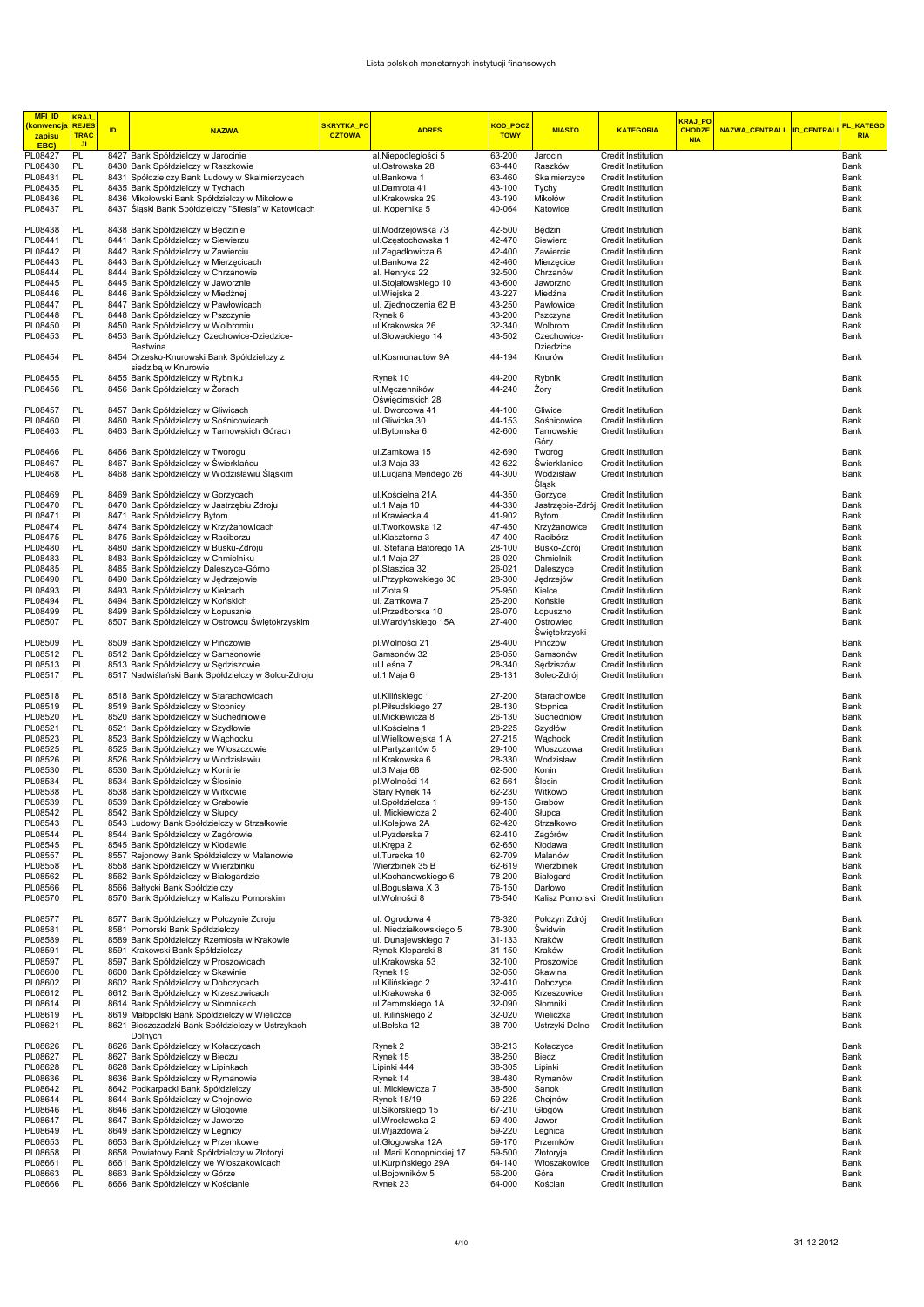| <b>MFI_ID</b><br><b>konwencja</b> | <b>KRAJ</b><br><b>REJE</b> |    |                                                                                                       | <mark>SKRYTKA_PO</mark> |                                               | KOD POCZ         |                           |                                          | <mark>KRAJ PO</mark>        |                           | PL KATEGO    |
|-----------------------------------|----------------------------|----|-------------------------------------------------------------------------------------------------------|-------------------------|-----------------------------------------------|------------------|---------------------------|------------------------------------------|-----------------------------|---------------------------|--------------|
| zapisu                            | <b>TRAC</b><br><b>JI</b>   | ID | <b>NAZWA</b>                                                                                          | <b>CZTOWA</b>           | <b>ADRES</b>                                  | <b>TOWY</b>      | <b>MIASTO</b>             | <b>KATEGORIA</b>                         | <b>CHODZE</b><br><b>NIA</b> | NAZWA_CENTRALI ID_CENTRAL | <b>RIA</b>   |
| EBC)<br>PL08427                   | PL                         |    | 8427 Bank Spółdzielczy w Jarocinie                                                                    |                         | al.Niepodległości 5                           | 63-200           | Jarocin                   | Credit Institution                       |                             |                           | Bank         |
| PL08430                           | PL                         |    | 8430 Bank Spółdzielczy w Raszkowie                                                                    |                         | ul.Ostrowska 28                               | 63-440           | Raszków                   | Credit Institution                       |                             |                           | Bank         |
| PL08431                           | PL                         |    | 8431 Spółdzielczy Bank Ludowy w Skalmierzycach                                                        |                         | ul.Bankowa 1                                  | 63-460           | Skalmierzyce              | Credit Institution                       |                             |                           | Bank         |
| PL08435                           | PL                         |    | 8435 Bank Spółdzielczy w Tychach                                                                      |                         | ul.Damrota 41                                 | 43-100           | Tychy                     | Credit Institution                       |                             |                           | Bank         |
| PL08436<br>PL08437                | PL<br>PL                   |    | 8436 Mikołowski Bank Spółdzielczy w Mikołowie<br>8437 Śląski Bank Spółdzielczy "Silesia" w Katowicach |                         | ul.Krakowska 29<br>ul. Kopernika 5            | 43-190<br>40-064 | Mikołów<br>Katowice       | Credit Institution<br>Credit Institution |                             |                           | Bank<br>Bank |
|                                   |                            |    |                                                                                                       |                         |                                               |                  |                           |                                          |                             |                           |              |
| PL08438                           | PL                         |    | 8438 Bank Spółdzielczy w Będzinie                                                                     |                         | ul.Modrzejowska 73                            | 42-500           | Będzin                    | Credit Institution                       |                             |                           | Bank         |
| PL08441                           | PL                         |    | 8441 Bank Spółdzielczy w Siewierzu                                                                    |                         | ul.Częstochowska 1                            | 42-470           | Siewierz                  | Credit Institution                       |                             |                           | Bank         |
| PL08442                           | PL                         |    | 8442 Bank Spółdzielczy w Zawierciu                                                                    |                         | ul.Zegadłowicza 6                             | 42-400           | Zawiercie                 | Credit Institution                       |                             |                           | Bank         |
| PL08443<br>PL08444                | PL<br>PL                   |    | 8443 Bank Spółdzielczy w Mierzęcicach<br>8444 Bank Spółdzielczy w Chrzanowie                          |                         | ul.Bankowa 22<br>al. Henryka 22               | 42-460<br>32-500 | Mierzęcice<br>Chrzanów    | Credit Institution<br>Credit Institution |                             |                           | Bank<br>Bank |
| PL08445                           | PL                         |    | 8445 Bank Spółdzielczy w Jaworznie                                                                    |                         | ul.Stojałowskiego 10                          | 43-600           | Jaworzno                  | Credit Institution                       |                             |                           | Bank         |
| PL08446                           | PL                         |    | 8446 Bank Spółdzielczy w Miedźnej                                                                     |                         | ul.Wiejska 2                                  | 43-227           | Miedźna                   | Credit Institution                       |                             |                           | Bank         |
| PL08447                           | PL                         |    | 8447 Bank Spółdzielczy w Pawłowicach                                                                  |                         | ul. Zjednoczenia 62 B                         | 43-250           | Pawłowice                 | Credit Institution                       |                             |                           | Bank         |
| PL08448                           | PL                         |    | 8448 Bank Spółdzielczy w Pszczynie                                                                    |                         | Rynek 6                                       | 43-200           | Pszczyna                  | Credit Institution                       |                             |                           | Bank         |
| PL08450<br>PL08453                | PL<br>PL                   |    | 8450 Bank Spółdzielczy w Wolbromiu<br>8453 Bank Spółdzielczy Czechowice-Dziedzice-                    |                         | ul.Krakowska 26<br>ul.Słowackiego 14          | 32-340<br>43-502 | Wolbrom<br>Czechowice-    | Credit Institution<br>Credit Institution |                             |                           | Bank<br>Bank |
|                                   |                            |    | Bestwina                                                                                              |                         |                                               |                  | Dziedzice                 |                                          |                             |                           |              |
| PL08454                           | PL                         |    | 8454 Orzesko-Knurowski Bank Spółdzielczy z                                                            |                         | ul.Kosmonautów 9A                             | 44-194           | Knurów                    | Credit Institution                       |                             |                           | Bank         |
|                                   |                            |    | siedziba w Knurowie                                                                                   |                         |                                               |                  |                           |                                          |                             |                           |              |
| PL08455                           | PL                         |    | 8455 Bank Spółdzielczy w Rybniku                                                                      |                         | Rynek 10                                      | 44-200           | Rybnik                    | Credit Institution                       |                             |                           | Bank         |
| PL08456                           | PL                         |    | 8456 Bank Spółdzielczy w Żorach                                                                       |                         | ul.Męczenników<br>Oświęcimskich 28            | 44-240           | Żory                      | Credit Institution                       |                             |                           | Bank         |
| PL08457                           | PL                         |    | 8457 Bank Spółdzielczy w Gliwicach                                                                    |                         | ul. Dworcowa 41                               | 44-100           | Gliwice                   | Credit Institution                       |                             |                           | Bank         |
| PL08460                           | PL                         |    | 8460 Bank Spółdzielczy w Sośnicowicach                                                                |                         | ul.Gliwicka 30                                | 44-153           | Sośnicowice               | Credit Institution                       |                             |                           | Bank         |
| PL08463                           | PL                         |    | 8463 Bank Spółdzielczy w Tarnowskich Górach                                                           |                         | ul.Bytomska 6                                 | 42-600           | Tarnowskie                | Credit Institution                       |                             |                           | Bank         |
|                                   |                            |    |                                                                                                       |                         |                                               |                  | Góry                      |                                          |                             |                           |              |
| PL08466                           | PL                         |    | 8466 Bank Spółdzielczy w Tworogu                                                                      |                         | ul.Zamkowa 15                                 | 42-690           | Tworóg                    | Credit Institution                       |                             |                           | Bank         |
| PL08467<br>PL08468                | PL<br>PL                   |    | 8467 Bank Spółdzielczy w Świerklańcu                                                                  |                         | ul.3 Maja 33                                  | 42-622<br>44-300 | Świerklaniec<br>Wodzisław | Credit Institution<br>Credit Institution |                             |                           | Bank<br>Bank |
|                                   |                            |    | 8468 Bank Spółdzielczy w Wodzisławiu Śląskim                                                          |                         | ul.Lucjana Mendego 26                         |                  | Sląski                    |                                          |                             |                           |              |
| PL08469                           | PL                         |    | 8469 Bank Spółdzielczy w Gorzycach                                                                    |                         | ul.Kościelna 21A                              | 44-350           | Gorzyce                   | Credit Institution                       |                             |                           | Bank         |
| PL08470                           | PL                         |    | 8470 Bank Spółdzielczy w Jastrzębiu Zdroju                                                            |                         | ul.1 Maja 10                                  | 44-330           | Jastrzębie-Zdrój          | Credit Institution                       |                             |                           | Bank         |
| PL08471                           | PL                         |    | 8471 Bank Spółdzielczy Bytom                                                                          |                         | ul.Krawiecka 4                                | 41-902           | Bytom                     | Credit Institution                       |                             |                           | Bank         |
| PL08474                           | PL                         |    | 8474 Bank Spółdzielczy w Krzyżanowicach                                                               |                         | ul.Tworkowska 12                              | 47-450           | Krzyżanowice              | Credit Institution                       |                             |                           | Bank         |
| PL08475<br>PL08480                | PL<br>PL                   |    | 8475 Bank Spółdzielczy w Raciborzu<br>8480 Bank Spółdzielczy w Busku-Zdroju                           |                         | ul.Klasztorna 3<br>ul. Stefana Batorego 1A    | 47-400<br>28-100 | Racibórz<br>Busko-Zdrój   | Credit Institution<br>Credit Institution |                             |                           | Bank<br>Bank |
| PL08483                           | PL                         |    | 8483 Bank Spółdzielczy w Chmielniku                                                                   |                         | ul.1 Maja 27                                  | 26-020           | Chmielnik                 | Credit Institution                       |                             |                           | Bank         |
| PL08485                           | <b>PL</b>                  |    | 8485 Bank Spółdzielczy Daleszyce-Górno                                                                |                         | pl.Staszica 32                                | 26-021           | Daleszyce                 | Credit Institution                       |                             |                           | Bank         |
| PL08490                           | PL                         |    | 8490 Bank Spółdzielczy w Jędrzejowie                                                                  |                         | ul.Przypkowskiego 30                          | 28-300           | Jędrzejów                 | Credit Institution                       |                             |                           | Bank         |
| PL08493                           | PL                         |    | 8493 Bank Spółdzielczy w Kielcach                                                                     |                         | ul.Złota 9                                    | 25-950           | Kielce                    | Credit Institution                       |                             |                           | Bank         |
| PL08494                           | PL                         |    | 8494 Bank Spółdzielczy w Końskich                                                                     |                         | ul. Zamkowa 7                                 | 26-200           | Końskie                   | Credit Institution                       |                             |                           | Bank         |
| PL08499<br>PL08507                | PL<br>PL                   |    | 8499 Bank Spółdzielczy w Łopusznie<br>8507 Bank Spółdzielczy w Ostrowcu Świętokrzyskim                |                         | ul.Przedborska 10<br>ul. Wardyńskiego 15A     | 26-070<br>27-400 | Łopuszno<br>Ostrowiec     | Credit Institution<br>Credit Institution |                             |                           | Bank<br>Bank |
|                                   |                            |    |                                                                                                       |                         |                                               |                  | Swiętokrzyski             |                                          |                             |                           |              |
| PL08509                           | PL                         |    | 8509 Bank Spółdzielczy w Pińczowie                                                                    |                         | pl.Wolności 21                                | 28-400           | Pińczów                   | Credit Institution                       |                             |                           | Bank         |
| PL08512                           | PL                         |    | 8512 Bank Spółdzielczy w Samsonowie                                                                   |                         | Samsonów 32                                   | 26-050           | Samsonów                  | Credit Institution                       |                             |                           | Bank         |
| PL08513                           | PL                         |    | 8513 Bank Spółdzielczy w Sędziszowie                                                                  |                         | ul.Leśna 7                                    | 28-340           | Sędziszów                 | Credit Institution                       |                             |                           | Bank         |
| PL08517                           | PL                         |    | 8517 Nadwiślański Bank Spółdzielczy w Solcu-Zdroju                                                    |                         | ul.1 Maja 6                                   | 28-131           | Solec-Zdrój               | Credit Institution                       |                             |                           | Bank         |
| PL08518                           | PL                         |    | 8518 Bank Spółdzielczy w Starachowicach                                                               |                         | ul.Kilińskiego 1                              | 27-200           | Starachowice              | Credit Institution                       |                             |                           | Bank         |
| PL08519                           | PL                         |    | 8519 Bank Spółdzielczy w Stopnicy                                                                     |                         | pl.Piłsudskiego 27                            | 28-130           | Stopnica                  | Credit Institution                       |                             |                           | Bank         |
| PL08520                           | PL                         |    | 8520 Bank Spółdzielczy w Suchedniowie                                                                 |                         | ul.Mickiewicza 8                              | 26-130           | Suchedniów                | Credit Institution                       |                             |                           | Bank         |
| PL08521                           | PL                         |    | 8521 Bank Spółdzielczy w Szydłowie                                                                    |                         | ul.Kościelna 1                                | 28-225           | Szydłów                   | Credit Institution                       |                             |                           | Bank         |
| PL08523<br>PL08525                | PL<br>PL                   |    | 8523 Bank Spółdzielczy w Wachocku<br>8525 Bank Spółdzielczy we Włoszczowie                            |                         | ul.Wielkowiejska 1 A<br>ul.Partyzantów 5      | 27-215<br>29-100 | Wąchock<br>Włoszczowa     | Credit Institution<br>Credit Institution |                             |                           | Bank<br>Bank |
| PL08526                           | <b>PL</b>                  |    | 8526 Bank Spółdzielczy w Wodzisławiu                                                                  |                         | ul.Krakowska 6                                | 28-330           | Wodzisław                 | Credit Institution                       |                             |                           | Bank         |
| PL08530                           | PL                         |    | 8530 Bank Spółdzielczy w Koninie                                                                      |                         | ul.3 Maja 68                                  | 62-500           | Konin                     | Credit Institution                       |                             |                           | Bank         |
| PL08534                           | PL                         |    | 8534 Bank Spółdzielczy w Slesinie                                                                     |                         | pl.Wolności 14                                | 62-561           | Slesin                    | Credit Institution                       |                             |                           | Bank         |
| PL08538                           | PL                         |    | 8538 Bank Spółdzielczy w Witkowie                                                                     |                         | Stary Rynek 14                                | 62-230           | Witkowo                   | Credit Institution                       |                             |                           | Bank         |
| PL08539                           | PL                         |    | 8539 Bank Spółdzielczy w Grabowie                                                                     |                         | ul.Spółdzielcza 1                             | 99-150           | Grabów                    | Credit Institution                       |                             |                           | Bank         |
| PL08542<br>PL08543                | PL<br>PL                   |    | 8542 Bank Spółdzielczy w Słupcy<br>8543 Ludowy Bank Spółdzielczy w Strzałkowie                        |                         | ul. Mickiewicza 2<br>ul.Kolejowa 2A           | 62-400<br>62-420 | Słupca<br>Strzałkowo      | Credit Institution<br>Credit Institution |                             |                           | Bank<br>Bank |
| PL08544                           | PL                         |    | 8544 Bank Spółdzielczy w Zagórowie                                                                    |                         | ul.Pyzderska 7                                | 62-410           | Zagórów                   | Credit Institution                       |                             |                           | Bank         |
| PL08545                           | PL                         |    | 8545 Bank Spółdzielczy w Kłodawie                                                                     |                         | ul.Krępa 2                                    | 62-650           | Kłodawa                   | Credit Institution                       |                             |                           | Bank         |
| PL08557                           | PL                         |    | 8557 Rejonowy Bank Spółdzielczy w Malanowie                                                           |                         | ul.Turecka 10                                 | 62-709           | Malanów                   | Credit Institution                       |                             |                           | Bank         |
| PL08558                           | PL                         |    | 8558 Bank Spółdzielczy w Wierzbinku                                                                   |                         | Wierzbinek 35 B                               | 62-619           | Wierzbinek                | Credit Institution                       |                             |                           | Bank         |
| PL08562<br>PL08566                | PL<br>PL                   |    | 8562 Bank Spółdzielczy w Białogardzie<br>8566 Bałtycki Bank Spółdzielczy                              |                         | ul.Kochanowskiego 6<br>ul.Bogusława X 3       | 78-200<br>76-150 | Białogard<br>Darłowo      | Credit Institution<br>Credit Institution |                             |                           | Bank<br>Bank |
| PL08570                           | PL                         |    | 8570 Bank Spółdzielczy w Kaliszu Pomorskim                                                            |                         | ul. Wolności 8                                | 78-540           | Kalisz Pomorski           | Credit Institution                       |                             |                           | Bank         |
|                                   |                            |    |                                                                                                       |                         |                                               |                  |                           |                                          |                             |                           |              |
| PL08577                           | PL                         |    | 8577 Bank Spółdzielczy w Połczynie Zdroju                                                             |                         | ul. Ogrodowa 4                                | 78-320           | Połczyn Zdrój             | Credit Institution                       |                             |                           | Bank         |
| PL08581                           | PL                         |    | 8581 Pomorski Bank Spółdzielczy                                                                       |                         | ul. Niedziałkowskiego 5                       | 78-300           | Swidwin                   | Credit Institution                       |                             |                           | Bank         |
| PL08589<br>PL08591                | PL<br>PL                   |    | 8589 Bank Spółdzielczy Rzemiosła w Krakowie<br>8591 Krakowski Bank Spółdzielczy                       |                         | ul. Dunajewskiego 7<br>Rynek Kleparski 8      | 31-133<br>31-150 | Kraków<br>Kraków          | Credit Institution<br>Credit Institution |                             |                           | Bank<br>Bank |
| PL08597                           | PL                         |    | 8597 Bank Spółdzielczy w Proszowicach                                                                 |                         | ul.Krakowska 53                               | 32-100           | Proszowice                | Credit Institution                       |                             |                           | Bank         |
| PL08600                           | PL                         |    | 8600 Bank Spółdzielczy w Skawinie                                                                     |                         | Rynek 19                                      | 32-050           | Skawina                   | Credit Institution                       |                             |                           | Bank         |
| PL08602                           | PL                         |    | 8602 Bank Spółdzielczy w Dobczycach                                                                   |                         | ul.Kilińskiego 2                              | 32-410           | Dobczyce                  | Credit Institution                       |                             |                           | Bank         |
| PL08612                           | PL                         |    | 8612 Bank Spółdzielczy w Krzeszowicach                                                                |                         | ul.Krakowska 6                                | 32-065           | Krzeszowice               | Credit Institution                       |                             |                           | Bank         |
| PL08614<br>PL08619                | PL<br>PL                   |    | 8614 Bank Spółdzielczy w Słomnikach<br>8619 Małopolski Bank Spółdzielczy w Wieliczce                  |                         | ul. Zeromskiego 1A<br>ul. Kilińskiego 2       | 32-090<br>32-020 | Słomniki<br>Wieliczka     | Credit Institution<br>Credit Institution |                             |                           | Bank<br>Bank |
| PL08621                           | PL                         |    | 8621 Bieszczadzki Bank Spółdzielczy w Ustrzykach                                                      |                         | ul.Bełska 12                                  | 38-700           | Ustrzyki Dolne            | <b>Credit Institution</b>                |                             |                           | Bank         |
|                                   |                            |    | Dolnych                                                                                               |                         |                                               |                  |                           |                                          |                             |                           |              |
| PL08626                           | PL                         |    | 8626 Bank Spółdzielczy w Kołaczycach                                                                  |                         | Rynek <sub>2</sub>                            | 38-213           | Kołaczyce                 | Credit Institution                       |                             |                           | Bank         |
| PL08627                           | PL                         |    | 8627 Bank Spółdzielczy w Bieczu                                                                       |                         | Rynek 15                                      | 38-250           | Biecz                     | <b>Credit Institution</b>                |                             |                           | Bank         |
| PL08628<br>PL08636                | PL<br>PL                   |    | 8628 Bank Spółdzielczy w Lipinkach<br>8636 Bank Spółdzielczy w Rymanowie                              |                         | Lipinki 444<br>Rynek 14                       | 38-305<br>38-480 | Lipinki<br>Rymanów        | Credit Institution                       |                             |                           | Bank<br>Bank |
| PL08642                           | PL                         |    | 8642 Podkarpacki Bank Spółdzielczy                                                                    |                         | ul. Mickiewicza 7                             | 38-500           | Sanok                     | Credit Institution<br>Credit Institution |                             |                           | Bank         |
| PL08644                           | PL                         |    | 8644 Bank Spółdzielczy w Chojnowie                                                                    |                         | <b>Rynek 18/19</b>                            | 59-225           | Chojnów                   | <b>Credit Institution</b>                |                             |                           | Bank         |
| PL08646                           | PL                         |    | 8646 Bank Spółdzielczy w Głogowie                                                                     |                         | ul.Sikorskiego 15                             | 67-210           | Głogów                    | Credit Institution                       |                             |                           | Bank         |
| PL08647                           | PL                         |    | 8647 Bank Spółdzielczy w Jaworze                                                                      |                         | ul.Wrocławska 2                               | 59-400           | Jawor                     | Credit Institution                       |                             |                           | Bank         |
| PL08649                           | PL<br>PL                   |    | 8649 Bank Spółdzielczy w Legnicy                                                                      |                         | ul.Wjazdowa 2                                 | 59-220           | Legnica                   | <b>Credit Institution</b>                |                             |                           | Bank         |
| PL08653<br>PL08658                | PL                         |    | 8653 Bank Spółdzielczy w Przemkowie<br>8658 Powiatowy Bank Spółdzielczy w Złotoryi                    |                         | ul.Głogowska 12A<br>ul. Marii Konopnickiej 17 | 59-170<br>59-500 | Przemków<br>Złotoryja     | Credit Institution<br>Credit Institution |                             |                           | Bank<br>Bank |
| PL08661                           | PL                         |    | 8661 Bank Spółdzielczy we Włoszakowicach                                                              |                         | ul.Kurpińskiego 29A                           | 64-140           | Włoszakowice              | Credit Institution                       |                             |                           | Bank         |
| PL08663                           | PL                         |    | 8663 Bank Spółdzielczy w Górze                                                                        |                         | ul.Bojowników 5                               | 56-200           | Góra                      | Credit Institution                       |                             |                           | Bank         |
| PL08666                           | PL                         |    | 8666 Bank Spółdzielczy w Kościanie                                                                    |                         | Rynek 23                                      | 64-000           | Kościan                   | Credit Institution                       |                             |                           | Bank         |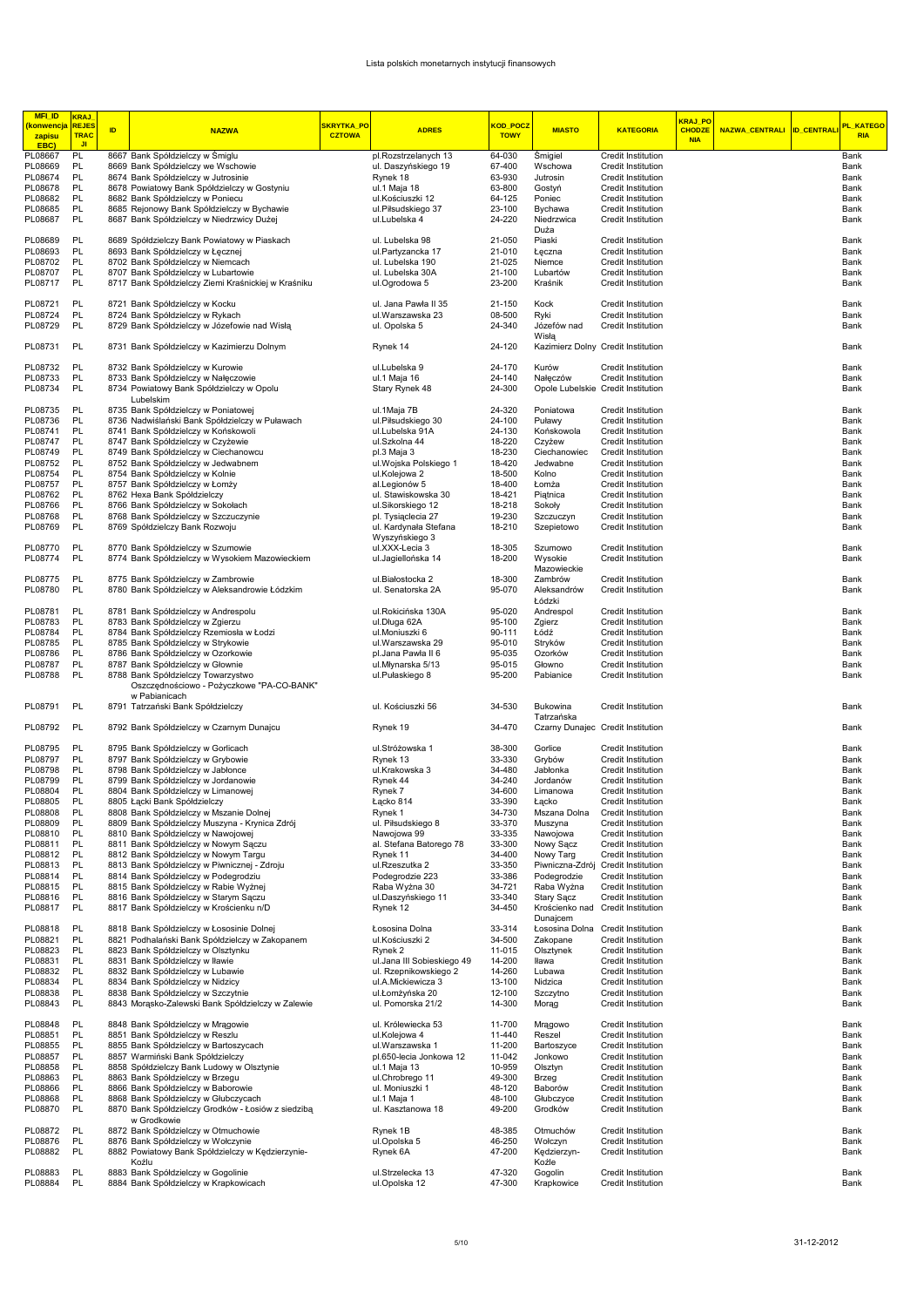| <b>MFI_ID</b><br><mark>(konwencja</mark><br>zapisu<br>EBC) | <b>KRAJ</b><br><b>REJE</b><br><b>TRAC</b><br><b>JI</b> | ID | <b>NAZWA</b>                                                                               | SKRYTKA_PO<br><b>CZTOWA</b> | <b>ADRES</b>                            | KOD POCZ<br><b>TOWY</b> | <b>MIASTO</b>                      | <b>KATEGORIA</b>                                        | KRAJ PO<br><b>CHODZE</b><br><b>NIA</b> | NAZWA_CENTRALI ID_CENTRAL | PL_KATEGO<br><b>RIA</b> |
|------------------------------------------------------------|--------------------------------------------------------|----|--------------------------------------------------------------------------------------------|-----------------------------|-----------------------------------------|-------------------------|------------------------------------|---------------------------------------------------------|----------------------------------------|---------------------------|-------------------------|
| PL08667                                                    | PL                                                     |    | 8667 Bank Spółdzielczy w Śmiglu                                                            |                             | pl.Rozstrzelanych 13                    | 64-030                  | Śmigiel                            | Credit Institution                                      |                                        |                           | Bank                    |
| PL08669                                                    | PL                                                     |    | 8669 Bank Spółdzielczy we Wschowie                                                         |                             | ul. Daszyńskiego 19                     | 67-400                  | Wschowa                            | Credit Institution                                      |                                        |                           | Bank                    |
| PL08674                                                    | PL                                                     |    | 8674 Bank Spółdzielczy w Jutrosinie                                                        |                             | Rynek 18                                | 63-930                  | Jutrosin                           | Credit Institution                                      |                                        |                           | Bank                    |
| PL08678                                                    | PL                                                     |    | 8678 Powiatowy Bank Spółdzielczy w Gostyniu                                                |                             | ul.1 Maja 18                            | 63-800                  | Gostyń                             | Credit Institution                                      |                                        |                           | Bank                    |
| PL08682                                                    | PL<br>PL                                               |    | 8682 Bank Spółdzielczy w Poniecu                                                           |                             | ul.Kościuszki 12                        | 64-125<br>23-100        | Poniec                             | Credit Institution                                      |                                        |                           | Bank                    |
| PL08685<br>PL08687                                         | PL                                                     |    | 8685 Rejonowy Bank Spółdzielczy w Bychawie<br>8687 Bank Spółdzielczy w Niedrzwicy Dużej    |                             | ul.Piłsudskiego 37<br>ul.Lubelska 4     | 24-220                  | Bychawa<br>Niedrzwica              | Credit Institution<br>Credit Institution                |                                        |                           | Bank<br>Bank            |
|                                                            |                                                        |    |                                                                                            |                             |                                         |                         | Duża                               |                                                         |                                        |                           |                         |
| PL08689                                                    | PL                                                     |    | 8689 Spółdzielczy Bank Powiatowy w Piaskach                                                |                             | ul. Lubelska 98                         | 21-050                  | Piaski                             | Credit Institution                                      |                                        |                           | Bank                    |
| PL08693                                                    | PL                                                     |    | 8693 Bank Spółdzielczy w Łęcznej                                                           |                             | ul.Partyzancka 17                       | 21-010                  | Łęczna                             | Credit Institution                                      |                                        |                           | Bank                    |
| PL08702                                                    | PL                                                     |    | 8702 Bank Spółdzielczy w Niemcach                                                          |                             | ul. Lubelska 190                        | 21-025                  | Niemce                             | Credit Institution                                      |                                        |                           | Bank                    |
| PL08707                                                    | PL                                                     |    | 8707 Bank Spółdzielczy w Lubartowie                                                        |                             | ul. Lubelska 30A                        | 21-100                  | Lubartów                           | Credit Institution                                      |                                        |                           | Bank                    |
| PL08717                                                    | PL                                                     |    | 8717 Bank Spółdzielczy Ziemi Kraśnickiej w Kraśniku                                        |                             | ul.Ogrodowa 5                           | 23-200                  | Kraśnik                            | Credit Institution                                      |                                        |                           | Bank                    |
|                                                            |                                                        |    |                                                                                            |                             |                                         |                         |                                    |                                                         |                                        |                           |                         |
| PL08721                                                    | PL                                                     |    | 8721 Bank Spółdzielczy w Kocku                                                             |                             | ul. Jana Pawła II 35                    | 21-150                  | Kock                               | Credit Institution                                      |                                        |                           | Bank                    |
| PL08724                                                    | PL                                                     |    | 8724 Bank Spółdzielczy w Rykach                                                            |                             | ul.Warszawska 23                        | 08-500                  | Ryki                               | Credit Institution                                      |                                        |                           | Bank                    |
| PL08729                                                    | PL                                                     |    | 8729 Bank Spółdzielczy w Józefowie nad Wisłą                                               |                             | ul. Opolska 5                           | 24-340                  | Józefów nad<br>Wisła               | Credit Institution                                      |                                        |                           | Bank                    |
| PL08731                                                    | PL                                                     |    | 8731 Bank Spółdzielczy w Kazimierzu Dolnym                                                 |                             | Rynek 14                                | 24-120                  |                                    | Kazimierz Dolny Credit Institution                      |                                        |                           | Bank                    |
| PL08732                                                    | PL                                                     |    | 8732 Bank Spółdzielczy w Kurowie                                                           |                             | ul.Lubelska 9                           | 24-170                  | Kurów                              | Credit Institution                                      |                                        |                           | Bank                    |
| PL08733                                                    | PL                                                     |    | 8733 Bank Spółdzielczy w Nałęczowie                                                        |                             | ul.1 Maja 16                            | 24-140                  | Nałęczów                           | Credit Institution                                      |                                        |                           | Bank                    |
| PL08734                                                    | PL                                                     |    | 8734 Powiatowy Bank Spółdzielczy w Opolu                                                   |                             | Stary Rynek 48                          | 24-300                  | Opole Lubelskie Credit Institution |                                                         |                                        |                           | Bank                    |
|                                                            |                                                        |    | Lubelskim                                                                                  |                             |                                         |                         |                                    |                                                         |                                        |                           |                         |
| PL08735                                                    | PL                                                     |    | 8735 Bank Spółdzielczy w Poniatowej                                                        |                             | ul.1Maja 7B                             | 24-320                  | Poniatowa                          | Credit Institution                                      |                                        |                           | Bank                    |
| PL08736                                                    | PL                                                     |    | 8736 Nadwiślański Bank Spółdzielczy w Puławach                                             |                             | ul.Piłsudskiego 30                      | 24-100                  | Puławy                             | Credit Institution                                      |                                        |                           | Bank                    |
| PL08741                                                    | PL                                                     |    | 8741 Bank Spółdzielczy w Końskowoli                                                        |                             | ul.Lubelska 91A                         | 24-130                  | Końskowola                         | Credit Institution                                      |                                        |                           | Bank                    |
| PL08747                                                    | PL                                                     |    | 8747 Bank Spółdzielczy w Czyżewie                                                          |                             | ul.Szkolna 44                           | 18-220                  | Czyżew                             | Credit Institution                                      |                                        |                           | Bank                    |
| PL08749<br>PL08752                                         | PL<br>PL                                               |    | 8749 Bank Spółdzielczy w Ciechanowcu                                                       |                             | pl.3 Maja 3                             | 18-230                  | Ciechanowiec                       | <b>Credit Institution</b>                               |                                        |                           | Bank                    |
| PL08754                                                    | PL                                                     |    | 8752 Bank Spółdzielczy w Jedwabnem<br>8754 Bank Spółdzielczy w Kolnie                      |                             | ul. Wojska Polskiego 1<br>ul.Kolejowa 2 | 18-420<br>18-500        | Jedwabne<br>Kolno                  | Credit Institution<br>Credit Institution                |                                        |                           | Bank<br>Bank            |
| PL08757                                                    | PL                                                     |    | 8757 Bank Spółdzielczy w Łomży                                                             |                             | al.Legionów 5                           | 18-400                  | Łomża                              | Credit Institution                                      |                                        |                           | Bank                    |
| PL08762                                                    | PL                                                     |    | 8762 Hexa Bank Spółdzielczy                                                                |                             | ul. Stawiskowska 30                     | 18-421                  | Piątnica                           | Credit Institution                                      |                                        |                           | Bank                    |
| PL08766                                                    | PL                                                     |    | 8766 Bank Spółdzielczy w Sokołach                                                          |                             | ul.Sikorskiego 12                       | 18-218                  | Sokoły                             | Credit Institution                                      |                                        |                           | Bank                    |
| PL08768                                                    | PL                                                     |    | 8768 Bank Spółdzielczy w Szczuczynie                                                       |                             | pl. Tysiaclecia 27                      | 19-230                  | Szczuczyn                          | Credit Institution                                      |                                        |                           | Bank                    |
| PL08769                                                    | PL                                                     |    | 8769 Spółdzielczy Bank Rozwoju                                                             |                             | ul. Kardynała Stefana                   | 18-210                  | Szepietowo                         | Credit Institution                                      |                                        |                           | Bank                    |
|                                                            |                                                        |    |                                                                                            |                             | Wyszyńskiego 3                          |                         |                                    |                                                         |                                        |                           |                         |
| PL08770                                                    | PL                                                     |    | 8770 Bank Spółdzielczy w Szumowie                                                          |                             | ul.XXX-Lecia 3                          | 18-305                  | Szumowo                            | Credit Institution                                      |                                        |                           | Bank                    |
| PL08774                                                    | PL                                                     |    | 8774 Bank Spółdzielczy w Wysokiem Mazowieckiem                                             |                             | ul.Jagiellońska 14                      | 18-200                  | Wysokie                            | Credit Institution                                      |                                        |                           | Bank                    |
|                                                            |                                                        |    |                                                                                            |                             |                                         |                         | Mazowieckie                        |                                                         |                                        |                           |                         |
| PL08775                                                    | PL                                                     |    | 8775 Bank Spółdzielczy w Zambrowie                                                         |                             | ul.Białostocka 2                        | 18-300                  | Zambrów                            | Credit Institution                                      |                                        |                           | Bank                    |
| PL08780                                                    | PL                                                     |    | 8780 Bank Spółdzielczy w Aleksandrowie Łódzkim                                             |                             | ul. Senatorska 2A                       | 95-070                  | Aleksandrów                        | Credit Institution                                      |                                        |                           | Bank                    |
|                                                            |                                                        |    |                                                                                            |                             |                                         |                         | Łódzki                             |                                                         |                                        |                           |                         |
| PL08781                                                    | PL                                                     |    | 8781 Bank Spółdzielczy w Andrespolu                                                        |                             | ul.Rokicińska 130A                      | 95-020                  | Andrespol                          | Credit Institution                                      |                                        |                           | Bank                    |
| PL08783                                                    | PL<br>PL                                               |    | 8783 Bank Spółdzielczy w Zgierzu                                                           |                             | ul.Długa 62A<br>ul.Moniuszki 6          | 95-100<br>90-111        | Zgierz                             | Credit Institution                                      |                                        |                           | Bank                    |
| PL08784<br>PL08785                                         | PL                                                     |    | 8784 Bank Spółdzielczy Rzemiosła w Łodzi<br>8785 Bank Spółdzielczy w Strykowie             |                             | ul.Warszawska 29                        | 95-010                  | Łódź<br>Stryków                    | Credit Institution<br>Credit Institution                |                                        |                           | Bank<br>Bank            |
| PL08786                                                    | PL                                                     |    | 8786 Bank Spółdzielczy w Ozorkowie                                                         |                             | pl.Jana Pawła II 6                      | 95-035                  | Ozorków                            | Credit Institution                                      |                                        |                           | Bank                    |
| PL08787                                                    | PL                                                     |    | 8787 Bank Spółdzielczy w Głownie                                                           |                             | ul.Młynarska 5/13                       | 95-015                  | Głowno                             | Credit Institution                                      |                                        |                           | Bank                    |
| PL08788                                                    | PL                                                     |    | 8788 Bank Spółdzielczy Towarzystwo                                                         |                             | ul.Pułaskiego 8                         | 95-200                  | Pabianice                          | Credit Institution                                      |                                        |                           | Bank                    |
|                                                            |                                                        |    | Oszczędnościowo - Pożyczkowe "PA-CO-BANK"                                                  |                             |                                         |                         |                                    |                                                         |                                        |                           |                         |
| PL08791                                                    | PL                                                     |    | w Pabianicach<br>8791 Tatrzański Bank Spółdzielczy                                         |                             | ul. Kościuszki 56                       | 34-530                  | Bukowina                           | Credit Institution                                      |                                        |                           | Bank                    |
|                                                            |                                                        |    |                                                                                            |                             |                                         |                         | Tatrzańska                         |                                                         |                                        |                           |                         |
| PL08792                                                    | PL                                                     |    | 8792 Bank Spółdzielczy w Czarnym Dunajcu                                                   |                             | Rynek 19                                | 34-470                  |                                    | Czarny Dunajec Credit Institution                       |                                        |                           | Bank                    |
| PL08795                                                    | PL                                                     |    | 8795 Bank Spółdzielczy w Gorlicach                                                         |                             | ul.Stróżowska 1                         | 38-300                  | Gorlice                            | Credit Institution                                      |                                        |                           | Bank                    |
| PL08797                                                    | PL                                                     |    | 8797 Bank Spółdzielczy w Grybowie                                                          |                             | Rynek 13                                | 33-330                  | Grybów                             | Credit Institution                                      |                                        |                           | Bank                    |
| PL08798                                                    | PL                                                     |    | 8798 Bank Spółdzielczy w Jabłonce                                                          |                             | ul.Krakowska 3                          | 34-480                  | Jabłonka                           | Credit Institution                                      |                                        |                           | Bank                    |
| PL08799                                                    | PL                                                     |    | 8799 Bank Spółdzielczy w Jordanowie                                                        |                             | Rynek 44                                | 34-240                  | Jordanów                           | Credit Institution                                      |                                        |                           | Bank                    |
| PL08804                                                    | PL                                                     |    | 8804 Bank Spółdzielczy w Limanowej                                                         |                             | Rynek 7                                 | 34-600                  | Limanowa                           | Credit Institution                                      |                                        |                           | Bank                    |
| PL08805                                                    | PL                                                     |    | 8805 Łącki Bank Spółdzielczy                                                               |                             | Łacko 814                               | 33-390                  | Łacko                              | Credit Institution                                      |                                        |                           | Bank                    |
| PL08808                                                    | PL                                                     |    | 8808 Bank Spółdzielczy w Mszanie Dolnej                                                    |                             | Rynek 1                                 | 34-730                  | Mszana Dolna                       | Credit Institution                                      |                                        |                           | Bank                    |
| PL08809                                                    | PL                                                     |    | 8809 Bank Spółdzielczy Muszyna - Krynica Zdrój                                             |                             | ul. Piłsudskiego 8                      | 33-370                  | Muszyna                            | Credit Institution                                      |                                        |                           | Bank                    |
| PL08810                                                    | PL                                                     |    | 8810 Bank Spółdzielczy w Nawojowej                                                         |                             | Nawojowa 99                             | 33-335                  | Nawojowa                           | Credit Institution                                      |                                        |                           | Bank                    |
| PL08811                                                    | PL                                                     |    | 8811 Bank Spółdzielczy w Nowym Sączu                                                       |                             | al. Stefana Batorego 78                 | 33-300                  | Nowy Sącz                          | Credit Institution                                      |                                        |                           | Bank                    |
| PL08812                                                    | PL                                                     |    | 8812 Bank Spółdzielczy w Nowym Targu                                                       |                             | Rynek 11                                | 34-400                  | Nowy Targ                          | Credit Institution                                      |                                        |                           | Bank                    |
| PL08813                                                    | PL                                                     |    | 8813 Bank Spółdzielczy w Piwnicznej - Zdroju                                               |                             | ul.Rzeszutka 2                          | 33-350                  | Piwniczna-Zdrój                    | Credit Institution                                      |                                        |                           | Bank                    |
| PL08814                                                    | PL<br>PL                                               |    | 8814 Bank Spółdzielczy w Podegrodziu                                                       |                             | Podegrodzie 223                         | 33-386                  | Podegrodzie                        | Credit Institution                                      |                                        |                           | Bank                    |
| PL08815                                                    |                                                        |    | 8815 Bank Spółdzielczy w Rabie Wyżnej                                                      |                             | Raba Wyżna 30                           | 34-721                  | Raba Wyżna<br>Stary Sącz           | Credit Institution                                      |                                        |                           | Bank                    |
| PL08816<br>PL08817                                         | PL<br>PL                                               |    | 8816 Bank Spółdzielczy w Starym Sączu<br>8817 Bank Spółdzielczy w Krościenku n/D           |                             | ul.Daszyńskiego 11<br>Rynek 12          | 33-340<br>34-450        |                                    | Credit Institution<br>Krościenko nad Credit Institution |                                        |                           | Bank<br>Bank            |
|                                                            |                                                        |    |                                                                                            |                             |                                         |                         | Dunajcem                           |                                                         |                                        |                           |                         |
| PL08818                                                    | PL                                                     |    | 8818 Bank Spółdzielczy w Łososinie Dolnej                                                  |                             | Łososina Dolna                          | 33-314                  | Łososina Dolna Credit Institution  |                                                         |                                        |                           | Bank                    |
| PL08821                                                    | PL                                                     |    | 8821 Podhalański Bank Spółdzielczy w Zakopanem                                             |                             | ul.Kościuszki 2                         | 34-500                  | Zakopane                           | Credit Institution                                      |                                        |                           | Bank                    |
| PL08823                                                    | PL                                                     |    | 8823 Bank Spółdzielczy w Olsztynku                                                         |                             | Rynek 2                                 | 11-015                  | Olsztynek                          | Credit Institution                                      |                                        |                           | Bank                    |
| PL08831                                                    | PL                                                     |    | 8831 Bank Spółdzielczy w Iławie                                                            |                             | ul.Jana III Sobieskiego 49              | 14-200                  | Iława                              | Credit Institution                                      |                                        |                           | Bank                    |
| PL08832                                                    | PL                                                     |    | 8832 Bank Spółdzielczy w Lubawie                                                           |                             | ul. Rzepnikowskiego 2                   | 14-260                  | Lubawa                             | Credit Institution                                      |                                        |                           | Bank                    |
| PL08834                                                    | PL                                                     |    | 8834 Bank Spółdzielczy w Nidzicy                                                           |                             | ul.A.Mickiewicza 3                      | 13-100                  | Nidzica                            | Credit Institution                                      |                                        |                           | Bank                    |
| PL08838                                                    | PL                                                     |    | 8838 Bank Spółdzielczy w Szczytnie                                                         |                             | ul.Łomżyńska 20                         | 12-100                  | Szczytno                           | Credit Institution                                      |                                        |                           | Bank                    |
| PL08843                                                    | PL                                                     |    | 8843 Morasko-Zalewski Bank Spółdzielczy w Zalewie                                          |                             | ul. Pomorska 21/2                       | 14-300                  | Morag                              | Credit Institution                                      |                                        |                           | Bank                    |
| PL08848                                                    | PL                                                     |    | 8848 Bank Spółdzielczy w Mrągowie                                                          |                             | ul. Królewiecka 53                      | 11-700                  | Mragowo                            | Credit Institution                                      |                                        |                           | Bank                    |
| PL08851                                                    | PL                                                     |    | 8851 Bank Spółdzielczy w Reszlu                                                            |                             | ul.Kolejowa 4                           | 11-440                  | Reszel                             | Credit Institution                                      |                                        |                           | Bank                    |
| PL08855                                                    | PL                                                     |    | 8855 Bank Spółdzielczy w Bartoszycach                                                      |                             | ul.Warszawska 1                         | 11-200                  | Bartoszyce                         | Credit Institution                                      |                                        |                           | Bank                    |
| PL08857                                                    | PL                                                     |    | 8857 Warmiński Bank Spółdzielczy                                                           |                             | pl.650-lecia Jonkowa 12                 | 11-042                  | Jonkowo                            | Credit Institution                                      |                                        |                           | Bank                    |
| PL08858                                                    | PL                                                     |    | 8858 Spółdzielczy Bank Ludowy w Olsztynie                                                  |                             | ul.1 Maja 13                            | 10-959                  | Olsztyn                            | Credit Institution                                      |                                        |                           | Bank                    |
| PL08863                                                    | PL                                                     |    | 8863 Bank Spółdzielczy w Brzegu                                                            |                             | ul.Chrobrego 11                         | 49-300                  | Brzeg                              | Credit Institution                                      |                                        |                           | Bank                    |
| PL08866<br>PL08868                                         | PL<br>PL                                               |    | 8866 Bank Spółdzielczy w Baborowie                                                         |                             | ul. Moniuszki 1                         | 48-120<br>48-100        | Baborów                            | Credit Institution                                      |                                        |                           | Bank<br>Bank            |
| PL08870                                                    | PL                                                     |    | 8868 Bank Spółdzielczy w Głubczycach<br>8870 Bank Spółdzielczy Grodków - Łosiów z siedzibą |                             | ul.1 Maja 1<br>ul. Kasztanowa 18        | 49-200                  | Głubczyce<br>Grodków               | Credit Institution<br>Credit Institution                |                                        |                           | Bank                    |
|                                                            |                                                        |    | w Grodkowie                                                                                |                             |                                         |                         |                                    |                                                         |                                        |                           |                         |
| PL08872                                                    | PL                                                     |    | 8872 Bank Spółdzielczy w Otmuchowie                                                        |                             | Rynek 1B                                | 48-385                  | Otmuchów                           | Credit Institution                                      |                                        |                           | Bank                    |
| PL08876                                                    | PL                                                     |    | 8876 Bank Spółdzielczy w Wołczynie                                                         |                             | ul.Opolska 5                            | 46-250                  | Wołczyn                            | Credit Institution                                      |                                        |                           | Bank                    |
| PL08882                                                    | PL                                                     |    | 8882 Powiatowy Bank Spółdzielczy w Kędzierzynie-                                           |                             | Rynek 6A                                | 47-200                  | Kędzierzyn-                        | Credit Institution                                      |                                        |                           | Bank                    |
|                                                            |                                                        |    | Koźlu                                                                                      |                             |                                         |                         | Koźle                              |                                                         |                                        |                           |                         |
| PL08883                                                    | PL                                                     |    | 8883 Bank Spółdzielczy w Gogolinie                                                         |                             | ul.Strzelecka 13                        | 47-320                  | Gogolin                            | Credit Institution                                      |                                        |                           | Bank                    |
| PL08884                                                    | PL                                                     |    | 8884 Bank Spółdzielczy w Krapkowicach                                                      |                             | ul.Opolska 12                           | 47-300                  | Krapkowice                         | Credit Institution                                      |                                        |                           | Bank                    |
|                                                            |                                                        |    |                                                                                            |                             |                                         |                         |                                    |                                                         |                                        |                           |                         |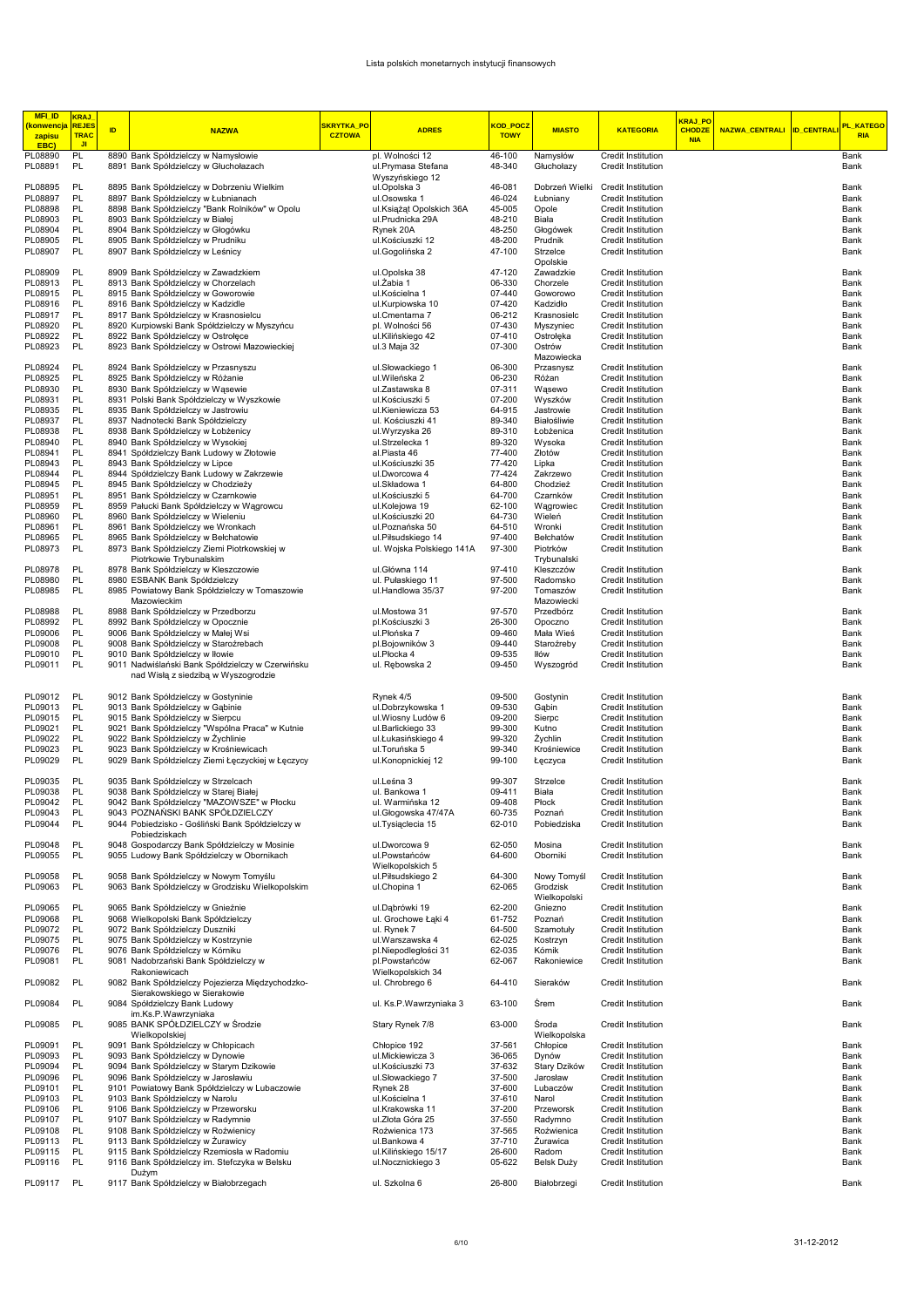| <b>MFI_ID</b><br><b>konwencja</b><br>zapisu<br>EBC) | <b>KRAJ</b><br><b>REJE</b><br>TRAC<br><b>JI</b> | ID | <b>NAZWA</b>                                                                               | SKRYTKA PO<br><b>CZTOWA</b> | <b>ADRES</b>                                       | KOD POC2<br><b>TOWY</b> | <b>MIASTO</b>                   | <b>KATEGORIA</b>                                | KRAJ PO<br><b>CHODZE</b><br><b>NIA</b> | NAZWA_CENTRALI  ID_CENTRALI | PL KATEGO<br><b>RIA</b> |
|-----------------------------------------------------|-------------------------------------------------|----|--------------------------------------------------------------------------------------------|-----------------------------|----------------------------------------------------|-------------------------|---------------------------------|-------------------------------------------------|----------------------------------------|-----------------------------|-------------------------|
| PL08890<br>PL08891                                  | PL<br>PL                                        |    | 8890 Bank Spółdzielczy w Namysłowie<br>8891 Bank Spółdzielczy w Głuchołazach               |                             | pl. Wolności 12<br>ul.Prymasa Stefana              | 46-100<br>48-340        | Namysłów<br>Głuchołazy          | Credit Institution<br>Credit Institution        |                                        |                             | Bank<br>Bank            |
| PL08895                                             | PL                                              |    | 8895 Bank Spółdzielczy w Dobrzeniu Wielkim                                                 |                             | Wyszyńskiego 12<br>ul.Opolska 3                    | 46-081                  | Dobrzeń Wielki                  | <b>Credit Institution</b>                       |                                        |                             | Bank                    |
| PL08897                                             | PL                                              |    | 8897 Bank Spółdzielczy w Łubnianach                                                        |                             | ul.Osowska 1                                       | 46-024                  | Łubniany                        | Credit Institution                              |                                        |                             | Bank                    |
| PL08898                                             | PL                                              |    | 8898 Bank Spółdzielczy "Bank Rolników" w Opolu                                             |                             | ul.Książat Opolskich 36A                           | 45-005                  | Opole                           | Credit Institution                              |                                        |                             | Bank                    |
| PL08903                                             | PL                                              |    | 8903 Bank Spółdzielczy w Białej                                                            |                             | ul.Prudnicka 29A                                   | 48-210                  | Biała                           | Credit Institution                              |                                        |                             | Bank                    |
| PL08904                                             | PL<br>PL                                        |    | 8904 Bank Spółdzielczy w Głogówku                                                          |                             | Rynek 20A                                          | 48-250                  | Głogówek                        | Credit Institution                              |                                        |                             | Bank                    |
| PL08905<br>PL08907                                  | PL                                              |    | 8905 Bank Spółdzielczy w Prudniku<br>8907 Bank Spółdzielczy w Leśnicy                      |                             | ul.Kościuszki 12<br>ul.Gogolińska 2                | 48-200<br>47-100        | Prudnik<br>Strzelce<br>Opolskie | Credit Institution<br>Credit Institution        |                                        |                             | Bank<br>Bank            |
| PL08909                                             | PL                                              |    | 8909 Bank Spółdzielczy w Zawadzkiem                                                        |                             | ul.Opolska 38                                      | 47-120                  | Zawadzkie                       | Credit Institution                              |                                        |                             | Bank                    |
| PL08913                                             | PL                                              |    | 8913 Bank Spółdzielczy w Chorzelach                                                        |                             | ul. Zabia 1                                        | 06-330                  | Chorzele                        | Credit Institution                              |                                        |                             | Bank                    |
| PL08915                                             | PL                                              |    | 8915 Bank Spółdzielczy w Goworowie                                                         |                             | ul.Kościelna 1                                     | 07-440                  | Goworowo                        | Credit Institution                              |                                        |                             | Bank                    |
| PL08916<br>PL08917                                  | PL<br>PL                                        |    | 8916 Bank Spółdzielczy w Kadzidle<br>8917 Bank Spółdzielczy w Krasnosielcu                 |                             | ul.Kurpiowska 10<br>ul.Cmentarna 7                 | 07-420<br>06-212        | Kadzidło<br>Krasnosielc         | Credit Institution<br>Credit Institution        |                                        |                             | Bank<br>Bank            |
| PL08920                                             | PL                                              |    | 8920 Kurpiowski Bank Spółdzielczy w Myszyńcu                                               |                             | pl. Wolności 56                                    | 07-430                  | Myszyniec                       | Credit Institution                              |                                        |                             | Bank                    |
| PL08922                                             | PL                                              |    | 8922 Bank Spółdzielczy w Ostrołęce                                                         |                             | ul.Kilińskiego 42                                  | 07-410                  | Ostrołęka                       | Credit Institution                              |                                        |                             | Bank                    |
| PL08923                                             | PL                                              |    | 8923 Bank Spółdzielczy w Ostrowi Mazowieckiej                                              |                             | ul.3 Maja 32                                       | 07-300                  | Ostrów<br>Mazowiecka            | Credit Institution                              |                                        |                             | Bank                    |
| PL08924<br>PL08925                                  | PL<br>PL                                        |    | 8924 Bank Spółdzielczy w Przasnyszu<br>8925 Bank Spółdzielczy w Różanie                    |                             | ul.Słowackiego 1<br>ul. Wileńska 2                 | 06-300<br>06-230        | Przasnysz<br>Różan              | Credit Institution<br>Credit Institution        |                                        |                             | Bank<br>Bank            |
| PL08930                                             | PL                                              |    | 8930 Bank Spółdzielczy w Wąsewie                                                           |                             | ul.Zastawska 8                                     | 07-311                  | Wąsewo                          | Credit Institution                              |                                        |                             | Bank                    |
| PL08931                                             | PL                                              |    | 8931 Polski Bank Spółdzielczy w Wyszkowie                                                  |                             | ul.Kościuszki 5                                    | 07-200                  | Wyszków                         | Credit Institution                              |                                        |                             | Bank                    |
| PL08935                                             | PL                                              |    | 8935 Bank Spółdzielczy w Jastrowiu                                                         |                             | ul.Kieniewicza 53                                  | 64-915                  | Jastrowie                       | Credit Institution                              |                                        |                             | Bank                    |
| PL08937                                             | PL<br>PL                                        |    | 8937 Nadnotecki Bank Spółdzielczy                                                          |                             | ul. Kościuszki 41<br>ul.Wyrzyska 26                | 89-340                  | Białośliwie                     | Credit Institution<br>Credit Institution        |                                        |                             | Bank                    |
| PL08938<br>PL08940                                  | PL                                              |    | 8938 Bank Spółdzielczy w Łobżenicy<br>8940 Bank Spółdzielczy w Wysokiej                    |                             | ul.Strzelecka 1                                    | 89-310<br>89-320        | Łobżenica<br>Wysoka             | Credit Institution                              |                                        |                             | Bank<br>Bank            |
| PL08941                                             | PL                                              |    | 8941 Spółdzielczy Bank Ludowy w Złotowie                                                   |                             | al.Piasta 46                                       | 77-400                  | Złotów                          | Credit Institution                              |                                        |                             | Bank                    |
| PL08943                                             | PL                                              |    | 8943 Bank Spółdzielczy w Lipce                                                             |                             | ul.Kościuszki 35                                   | 77-420                  | Lipka                           | Credit Institution                              |                                        |                             | Bank                    |
| PL08944                                             | PL                                              |    | 8944 Spółdzielczy Bank Ludowy w Zakrzewie                                                  |                             | ul.Dworcowa 4                                      | 77-424                  | Zakrzewo                        | Credit Institution                              |                                        |                             | Bank                    |
| PL08945<br>PL08951                                  | PL<br>PL                                        |    | 8945 Bank Spółdzielczy w Chodzieży<br>8951 Bank Spółdzielczy w Czarnkowie                  |                             | ul.Składowa 1<br>ul.Kościuszki 5                   | 64-800<br>64-700        | Chodzież<br>Czarnków            | Credit Institution<br>Credit Institution        |                                        |                             | Bank<br>Bank            |
| PL08959                                             | PL                                              |    | 8959 Pałucki Bank Spółdzielczy w Wągrowcu                                                  |                             | ul.Kolejowa 19                                     | 62-100                  | Wagrowiec                       | Credit Institution                              |                                        |                             | Bank                    |
| PL08960                                             | PL                                              |    | 8960 Bank Spółdzielczy w Wieleniu                                                          |                             | ul.Kościuszki 20                                   | 64-730                  | Wieleń                          | Credit Institution                              |                                        |                             | Bank                    |
| PL08961                                             | PL                                              |    | 8961 Bank Spółdzielczy we Wronkach                                                         |                             | ul.Poznańska 50                                    | 64-510                  | Wronki                          | Credit Institution                              |                                        |                             | Bank                    |
| PL08965                                             | PL                                              |    | 8965 Bank Spółdzielczy w Bełchatowie                                                       |                             | ul.Piłsudskiego 14                                 | 97-400                  | Bełchatów                       | Credit Institution                              |                                        |                             | Bank                    |
| PL08973                                             | PL                                              |    | 8973 Bank Spółdzielczy Ziemi Piotrkowskiej w<br>Piotrkowie Trybunalskim                    |                             | ul. Wojska Polskiego 141A                          | 97-300                  | Piotrków<br>Trybunalski         | Credit Institution                              |                                        |                             | Bank                    |
| PL08978                                             | PL                                              |    | 8978 Bank Spółdzielczy w Kleszczowie                                                       |                             | ul.Główna 114                                      | 97-410                  | Kleszczów                       | Credit Institution                              |                                        |                             | Bank                    |
| PL08980                                             | PL                                              |    | 8980 ESBANK Bank Spółdzielczy                                                              |                             | ul. Pułaskiego 11                                  | 97-500                  | Radomsko                        | Credit Institution                              |                                        |                             | Bank                    |
| PL08985                                             | PL                                              |    | 8985 Powiatowy Bank Spółdzielczy w Tomaszowie                                              |                             | ul.Handlowa 35/37                                  | 97-200                  | Tomaszów                        | Credit Institution                              |                                        |                             | Bank                    |
| PL08988                                             | PL                                              |    | Mazowieckim<br>8988 Bank Spółdzielczy w Przedborzu                                         |                             | ul.Mostowa 31                                      | 97-570                  | Mazowiecki<br>Przedbórz         | Credit Institution                              |                                        |                             | Bank                    |
| PL08992                                             | PL                                              |    | 8992 Bank Spółdzielczy w Opocznie                                                          |                             | pl.Kościuszki 3                                    | 26-300                  | Opoczno                         | Credit Institution                              |                                        |                             | Bank                    |
| PL09006                                             | PL                                              |    | 9006 Bank Spółdzielczy w Małej Wsi                                                         |                             | ul.Płońska 7                                       | 09-460                  | Mała Wieś                       | Credit Institution                              |                                        |                             | Bank                    |
| PL09008                                             | PL                                              |    | 9008 Bank Spółdzielczy w Staroźrebach                                                      |                             | pl.Bojowników 3                                    | 09-440                  | Staroźreby                      | Credit Institution                              |                                        |                             | Bank                    |
| PL09010<br>PL09011                                  | PL<br>PL                                        |    | 9010 Bank Spółdzielczy w Iłowie<br>9011 Nadwiślański Bank Spółdzielczy w Czerwińsku        |                             | ul.Płocka 4<br>ul. Rebowska 2                      | 09-535<br>09-450        | lłów<br>Wyszogród               | Credit Institution<br>Credit Institution        |                                        |                             | Bank<br>Bank            |
|                                                     |                                                 |    | nad Wisłą z siedzibą w Wyszogrodzie                                                        |                             |                                                    |                         |                                 |                                                 |                                        |                             |                         |
| PL09012                                             | PL                                              |    | 9012 Bank Spółdzielczy w Gostyninie                                                        |                             | Rynek 4/5                                          | 09-500                  | Gostynin                        | Credit Institution                              |                                        |                             | Bank                    |
| PL09013                                             | PL                                              |    | 9013 Bank Spółdzielczy w Gąbinie                                                           |                             | ul.Dobrzykowska 1                                  | 09-530                  | Gabin                           | Credit Institution                              |                                        |                             | Bank                    |
| PL09015                                             | PL                                              |    | 9015 Bank Spółdzielczy w Sierpcu<br>9021 Bank Spółdzielczy "Wspólna Praca" w Kutnie        |                             | ul. Wiosny Ludów 6                                 | 09-200                  | Sierpc                          | Credit Institution                              |                                        |                             | Bank                    |
| PL09021<br>PL09022                                  | PL<br>PL                                        |    | 9022 Bank Spółdzielczy w Żychlinie                                                         |                             | ul.Barlickiego 33<br>ul.Łukasińskiego 4            | 99-300<br>99-320        | Kutno<br>Żychlin                | Credit Institution<br>Credit Institution        |                                        |                             | Bank<br>Bank            |
| PL09023                                             | PL                                              |    | 9023 Bank Spółdzielczy w Krośniewicach                                                     |                             | ul. Toruńska 5                                     | 99-340                  | Krośniewice                     | Credit Institution                              |                                        |                             | Bank                    |
| PL09029                                             | PL                                              |    | 9029 Bank Spółdzielczy Ziemi Łęczyckiej w Łęczycy                                          |                             | ul.Konopnickiej 12                                 | 99-100                  | Łęczyca                         | Credit Institution                              |                                        |                             | Bank                    |
| PL09035                                             | PL                                              |    | 9035 Bank Spółdzielczy w Strzelcach                                                        |                             | ul.Leśna 3                                         | 99-307                  | Strzelce                        | Credit Institution                              |                                        |                             | Bank                    |
| PL09038<br>PL09042                                  | PL<br>PL                                        |    | 9038 Bank Spółdzielczy w Starej Białej<br>9042 Bank Spółdzielczy "MAZOWSZE" w Płocku       |                             | ul. Bankowa 1<br>ul. Warmińska 12                  | 09-411<br>09-408        | Biała<br>Płock                  | Credit Institution<br>Credit Institution        |                                        |                             | Bank<br>Bank            |
| PL09043                                             | PL                                              |    | 9043 POZNAŃSKI BANK SPÓŁDZIELCZY                                                           |                             | ul.Głogowska 47/47A                                | 60-735                  | Poznań                          | Credit Institution                              |                                        |                             | Bank                    |
| PL09044                                             | PL                                              |    | 9044 Pobiedzisko - Gośliński Bank Spółdzielczy w                                           |                             | ul.Tysiąclecia 15                                  | 62-010                  | Pobiedziska                     | Credit Institution                              |                                        |                             | Bank                    |
|                                                     |                                                 |    | Pobiedziskach                                                                              |                             |                                                    |                         |                                 |                                                 |                                        |                             |                         |
| PL09048<br>PL09055                                  | PL<br>PL                                        |    | 9048 Gospodarczy Bank Spółdzielczy w Mosinie<br>9055 Ludowy Bank Spółdzielczy w Obornikach |                             | ul.Dworcowa 9<br>ul.Powstańców<br>Wielkopolskich 5 | 62-050<br>64-600        | Mosina<br>Oborniki              | Credit Institution<br>Credit Institution        |                                        |                             | Bank<br>Bank            |
| PL09058                                             | PL                                              |    | 9058 Bank Spółdzielczy w Nowym Tomyślu                                                     |                             | ul.Piłsudskiego 2                                  | 64-300                  | Nowy Tomyśl                     | Credit Institution                              |                                        |                             | Bank                    |
| PL09063                                             | PL                                              |    | 9063 Bank Spółdzielczy w Grodzisku Wielkopolskim                                           |                             | ul.Chopina 1                                       | 62-065                  | Grodzisk                        | Credit Institution                              |                                        |                             | Bank                    |
| PL09065                                             | PL                                              |    | 9065 Bank Spółdzielczy w Gnieźnie                                                          |                             | ul.Dąbrówki 19                                     | 62-200                  | Wielkopolski<br>Gniezno         | Credit Institution                              |                                        |                             | Bank                    |
| PL09068                                             | PL                                              |    | 9068 Wielkopolski Bank Spółdzielczy                                                        |                             | ul. Grochowe Łąki 4                                | 61-752                  | Poznań                          | Credit Institution                              |                                        |                             | Bank                    |
| PL09072                                             | PL                                              |    | 9072 Bank Spółdzielczy Duszniki                                                            |                             | ul. Rynek 7                                        | 64-500                  | Szamotuły                       | Credit Institution                              |                                        |                             | Bank                    |
| PL09075                                             | PL                                              |    | 9075 Bank Spółdzielczy w Kostrzynie                                                        |                             | ul. Warszawska 4                                   | 62-025                  | Kostrzyn                        | Credit Institution                              |                                        |                             | Bank                    |
| PL09076                                             | PL                                              |    | 9076 Bank Spółdzielczy w Kórniku                                                           |                             | pl.Niepodległości 31                               | 62-035                  | Kórnik                          | Credit Institution                              |                                        |                             | Bank                    |
| PL09081                                             | PL                                              |    | 9081 Nadobrzański Bank Spółdzielczy w<br>Rakoniewicach                                     |                             | pl.Powstańców<br>Wielkopolskich 34                 | 62-067                  | Rakoniewice                     | Credit Institution                              |                                        |                             | Bank                    |
| PL09082                                             | PL                                              |    | 9082 Bank Spółdzielczy Pojezierza Międzychodzko-<br>Sierakowskiego w Sierakowie            |                             | ul. Chrobrego 6                                    | 64-410                  | Sieraków                        | Credit Institution                              |                                        |                             | Bank                    |
| PL09084                                             | PL                                              |    | 9084 Spółdzielczy Bank Ludowy<br>im.Ks.P.Wawrzyniaka                                       |                             | ul. Ks.P.Wawrzyniaka 3                             | 63-100                  | Śrem                            | Credit Institution                              |                                        |                             | Bank                    |
| PL09085                                             | PL                                              |    | 9085 BANK SPÓŁDZIELCZY w Środzie<br>Wielkopolskiej                                         |                             | Stary Rynek 7/8                                    | 63-000                  | Środa<br>Wielkopolska           | Credit Institution                              |                                        |                             | Bank                    |
| PL09091                                             | PL                                              |    | 9091 Bank Spółdzielczy w Chłopicach                                                        |                             | Chłopice 192                                       | 37-561                  | Chłopice                        | Credit Institution                              |                                        |                             | Bank                    |
| PL09093                                             | PL<br>PL                                        |    | 9093 Bank Spółdzielczy w Dynowie                                                           |                             | ul.Mickiewicza 3                                   | 36-065                  | Dynów                           | Credit Institution                              |                                        |                             | Bank<br>Bank            |
| PL09094<br>PL09096                                  | PL                                              |    | 9094 Bank Spółdzielczy w Starym Dzikowie<br>9096 Bank Spółdzielczy w Jarosławiu            |                             | ul.Kościuszki 73<br>ul.Słowackiego 7               | 37-632<br>37-500        | Stary Dzików<br>Jarosław        | <b>Credit Institution</b><br>Credit Institution |                                        |                             | Bank                    |
| PL09101                                             | PL                                              |    | 9101 Powiatowy Bank Spółdzielczy w Lubaczowie                                              |                             | Rynek 28                                           | 37-600                  | Lubaczów                        | Credit Institution                              |                                        |                             | Bank                    |
| PL09103                                             | PL                                              |    | 9103 Bank Spółdzielczy w Narolu                                                            |                             | ul.Kościelna 1                                     | 37-610                  | Narol                           | Credit Institution                              |                                        |                             | Bank                    |
| PL09106                                             | PL                                              |    | 9106 Bank Spółdzielczy w Przeworsku                                                        |                             | ul.Krakowska 11                                    | 37-200                  | Przeworsk                       | Credit Institution                              |                                        |                             | Bank                    |
| PL09107<br>PL09108                                  | PL<br>PL                                        |    | 9107 Bank Spółdzielczy w Radymnie<br>9108 Bank Spółdzielczy w Roźwienicy                   |                             | ul.Złota Góra 25<br>Roźwienica 173                 | 37-550<br>37-565        | Radymno<br>Roźwienica           | Credit Institution<br>Credit Institution        |                                        |                             | Bank<br>Bank            |
| PL09113                                             | PL                                              |    | 9113 Bank Spółdzielczy w Żurawicy                                                          |                             | ul.Bankowa 4                                       | 37-710                  | Żurawica                        | Credit Institution                              |                                        |                             | Bank                    |
| PL09115                                             | PL                                              |    | 9115 Bank Spółdzielczy Rzemiosła w Radomiu                                                 |                             | ul.Kilińskiego 15/17                               | 26-600                  | Radom                           | Credit Institution                              |                                        |                             | Bank                    |
| PL09116                                             | PL                                              |    | 9116 Bank Spółdzielczy im. Stefczyka w Belsku<br>Dużym                                     |                             | ul.Nocznickiego 3                                  | 05-622                  | Belsk Duży                      | Credit Institution                              |                                        |                             | Bank                    |
| PL09117                                             | PL                                              |    | 9117 Bank Spółdzielczy w Białobrzegach                                                     |                             | ul. Szkolna 6                                      | 26-800                  | Białobrzegi                     | Credit Institution                              |                                        |                             | Bank                    |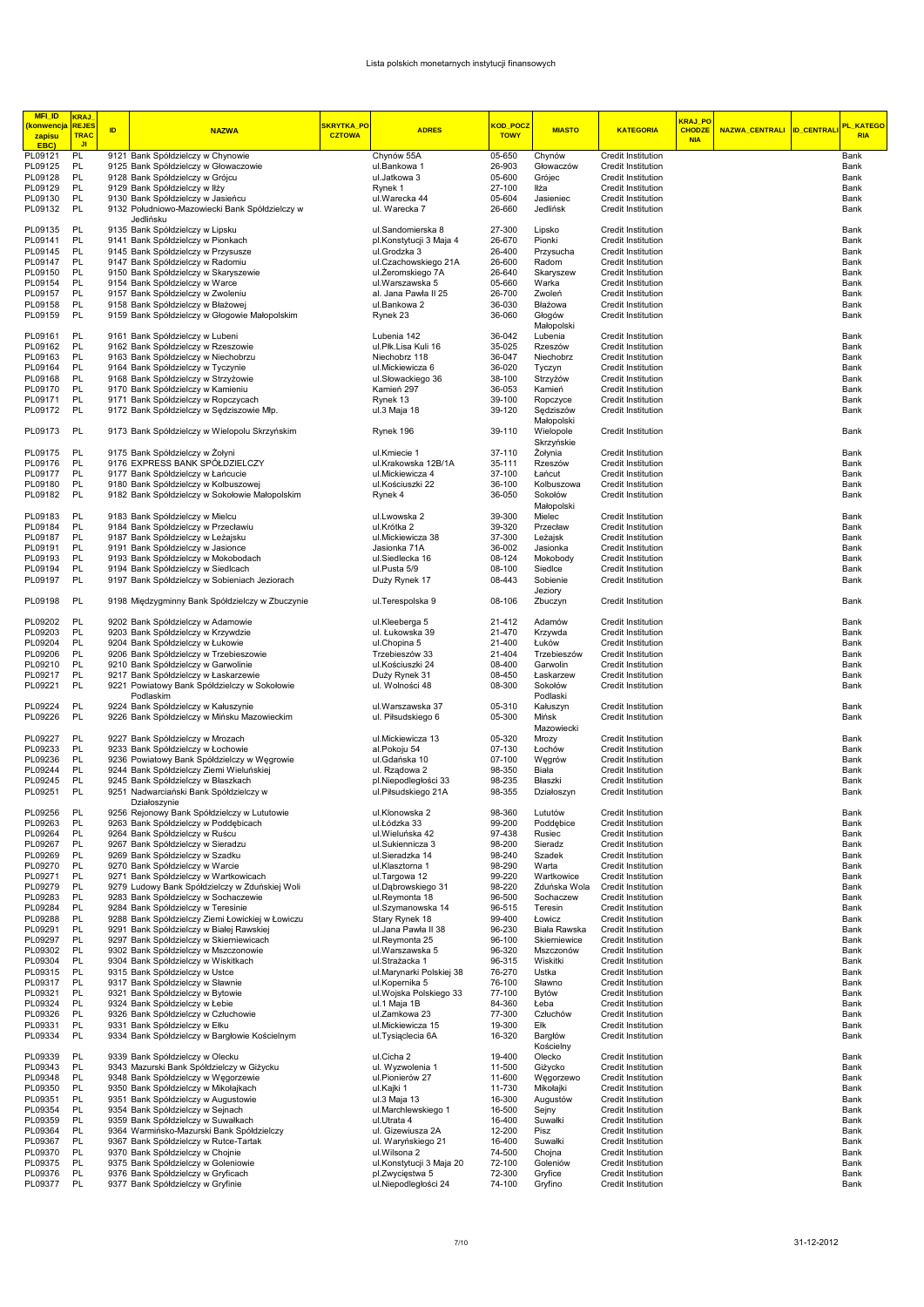| <b>MFI_ID</b><br><mark>(konwencja</mark> | <b>KRAJ</b><br><b>REJES</b> |    |                                                                             | SKRYTKA_PO    |                                      | <mark>KOD_POC2</mark> |                       |                                                 | KRAJ_PO       |                           | <mark>PL_KATEGO</mark> |
|------------------------------------------|-----------------------------|----|-----------------------------------------------------------------------------|---------------|--------------------------------------|-----------------------|-----------------------|-------------------------------------------------|---------------|---------------------------|------------------------|
| zapisu                                   | <b>TRAC</b>                 | ID | <b>NAZWA</b>                                                                | <b>CZTOWA</b> | <b>ADRES</b>                         | <b>TOWY</b>           | <b>MIASTO</b>         | <b>KATEGORIA</b>                                | <b>CHODZE</b> | NAZWA_CENTRALI ID_CENTRAL | <b>RIA</b>             |
| EBC)                                     | JI.                         |    |                                                                             |               |                                      |                       |                       |                                                 | <b>NIA</b>    |                           |                        |
| PL09121                                  | PL                          |    | 9121 Bank Spółdzielczy w Chynowie                                           |               | Chynów 55A                           | 05-650                | Chynów                | Credit Institution                              |               |                           | Bank                   |
| PL09125                                  | PL                          |    | 9125 Bank Spółdzielczy w Głowaczowie                                        |               | ul.Bankowa 1                         | 26-903                | Głowaczów             | <b>Credit Institution</b>                       |               |                           | Bank                   |
| PL09128                                  | PL                          |    | 9128 Bank Spółdzielczy w Grójcu                                             |               | ul.Jatkowa 3                         | 05-600                | Grójec                | <b>Credit Institution</b>                       |               |                           | Bank                   |
| PL09129<br>PL09130                       | PL<br>PL                    |    | 9129 Bank Spółdzielczy w lłży<br>9130 Bank Spółdzielczy w Jasieńcu          |               | Rynek 1                              | 27-100<br>05-604      | Iłża<br>Jasieniec     | <b>Credit Institution</b><br>Credit Institution |               |                           | Bank<br>Bank           |
| PL09132                                  | PL                          |    | 9132 Południowo-Mazowiecki Bank Spółdzielczy w                              |               | ul.Warecka 44<br>ul. Warecka 7       | 26-660                | Jedlińsk              | Credit Institution                              |               |                           | Bank                   |
|                                          |                             |    | Jedlińsku                                                                   |               |                                      |                       |                       |                                                 |               |                           |                        |
| PL09135                                  | <b>PL</b>                   |    | 9135 Bank Spółdzielczy w Lipsku                                             |               | ul.Sandomierska 8                    | 27-300                | Lipsko                | Credit Institution                              |               |                           | Bank                   |
| PL09141                                  | PL                          |    | 9141 Bank Spółdzielczy w Pionkach                                           |               | pl.Konstytucji 3 Maja 4              | 26-670                | Pionki                | Credit Institution                              |               |                           | Bank                   |
| PL09145                                  | PL                          |    | 9145 Bank Spółdzielczy w Przysusze                                          |               | ul.Grodzka 3                         | 26-400                | Przysucha             | Credit Institution                              |               |                           | Bank                   |
| PL09147                                  | PL                          |    | 9147 Bank Spółdzielczy w Radomiu                                            |               | ul.Czachowskiego 21A                 | 26-600                | Radom                 | <b>Credit Institution</b>                       |               |                           | Bank                   |
| PL09150                                  | PL                          |    | 9150 Bank Spółdzielczy w Skaryszewie                                        |               | ul. Zeromskiego 7A                   | 26-640                | Skaryszew             | Credit Institution                              |               |                           | Bank                   |
| PL09154                                  | PL<br>PL                    |    | 9154 Bank Spółdzielczy w Warce<br>9157 Bank Spółdzielczy w Zwoleniu         |               | ul.Warszawska 5                      | 05-660                | Warka                 | Credit Institution                              |               |                           | Bank                   |
| PL09157<br>PL09158                       | PL                          |    | 9158 Bank Spółdzielczy w Błażowej                                           |               | al. Jana Pawła II 25<br>ul.Bankowa 2 | 26-700<br>36-030      | Zwoleń<br>Błażowa     | Credit Institution<br>Credit Institution        |               |                           | Bank<br>Bank           |
| PL09159                                  | PL                          |    | 9159 Bank Spółdzielczy w Głogowie Małopolskim                               |               | Rynek 23                             | 36-060                | Głogów                | Credit Institution                              |               |                           | Bank                   |
|                                          |                             |    |                                                                             |               |                                      |                       | Małopolski            |                                                 |               |                           |                        |
| PL09161                                  | PL                          |    | 9161 Bank Spółdzielczy w Lubeni                                             |               | Lubenia 142                          | 36-042                | Lubenia               | <b>Credit Institution</b>                       |               |                           | Bank                   |
| PL09162                                  | PL                          |    | 9162 Bank Spółdzielczy w Rzeszowie                                          |               | ul.Płk.Lisa Kuli 16                  | 35-025                | Rzeszów               | Credit Institution                              |               |                           | Bank                   |
| PL09163                                  | PL                          |    | 9163 Bank Spółdzielczy w Niechobrzu                                         |               | Niechobrz 118                        | 36-047                | Niechobrz             | <b>Credit Institution</b>                       |               |                           | Bank                   |
| PL09164                                  | PL                          |    | 9164 Bank Spółdzielczy w Tyczynie                                           |               | ul.Mickiewicza 6                     | 36-020                | Tyczyn                | <b>Credit Institution</b>                       |               |                           | Bank                   |
| PL09168                                  | PL                          |    | 9168 Bank Spółdzielczy w Strzyżowie                                         |               | ul.Słowackiego 36                    | 38-100                | Strzyżów              | Credit Institution                              |               |                           | Bank                   |
| PL09170<br>PL09171                       | PL<br>PL                    |    | 9170 Bank Spółdzielczy w Kamieniu<br>9171 Bank Spółdzielczy w Ropczycach    |               | Kamień 297<br>Rynek 13               | 36-053<br>39-100      | Kamień                | Credit Institution<br>Credit Institution        |               |                           | Bank<br>Bank           |
| PL09172                                  | PL                          |    | 9172 Bank Spółdzielczy w Sędziszowie Młp.                                   |               | ul.3 Maja 18                         | 39-120                | Ropczyce<br>Sędziszów | <b>Credit Institution</b>                       |               |                           | Bank                   |
|                                          |                             |    |                                                                             |               |                                      |                       | Małopolski            |                                                 |               |                           |                        |
| PL09173                                  | PL                          |    | 9173 Bank Spółdzielczy w Wielopolu Skrzyńskim                               |               | Rynek 196                            | 39-110                | Wielopole             | Credit Institution                              |               |                           | Bank                   |
|                                          |                             |    |                                                                             |               |                                      |                       | Skrzyńskie            |                                                 |               |                           |                        |
| PL09175                                  | PL                          |    | 9175 Bank Spółdzielczy w Żołyni                                             |               | ul.Kmiecie 1                         | 37-110                | Żołynia               | <b>Credit Institution</b>                       |               |                           | Bank                   |
| PL09176                                  | PL                          |    | 9176 EXPRESS BANK SPÓŁDZIELCZY                                              |               | ul.Krakowska 12B/1A                  | 35-111                | Rzeszów               | Credit Institution                              |               |                           | Bank                   |
| PL09177                                  | PL                          |    | 9177 Bank Spółdzielczy w Łańcucie                                           |               | ul.Mickiewicza 4                     | 37-100                | Łańcut                | <b>Credit Institution</b>                       |               |                           | Bank                   |
| PL09180                                  | PL                          |    | 9180 Bank Spółdzielczy w Kolbuszowej                                        |               | ul.Kościuszki 22                     | 36-100                | Kolbuszowa            | <b>Credit Institution</b>                       |               |                           | Bank                   |
| PL09182                                  | PL                          |    | 9182 Bank Spółdzielczy w Sokołowie Małopolskim                              |               | Rynek 4                              | 36-050                | Sokołów<br>Małopolski | <b>Credit Institution</b>                       |               |                           | Bank                   |
| PL09183                                  | <b>PL</b>                   |    | 9183 Bank Spółdzielczy w Mielcu                                             |               | ul.Lwowska 2                         | 39-300                | Mielec                | <b>Credit Institution</b>                       |               |                           | Bank                   |
| PL09184                                  | PL                          |    | 9184 Bank Spółdzielczy w Przecławiu                                         |               | ul.Krótka 2                          | 39-320                | Przecław              | Credit Institution                              |               |                           | Bank                   |
| PL09187                                  | PL                          |    | 9187 Bank Spółdzielczy w Leżajsku                                           |               | ul.Mickiewicza 38                    | 37-300                | Leżajsk               | Credit Institution                              |               |                           | Bank                   |
| PL09191                                  | PL                          |    | 9191 Bank Spółdzielczy w Jasionce                                           |               | Jasionka 71A                         | 36-002                | Jasionka              | <b>Credit Institution</b>                       |               |                           | Bank                   |
| PL09193                                  | PL                          |    | 9193 Bank Spółdzielczy w Mokobodach                                         |               | ul.Siedlecka 16                      | 08-124                | Mokobody              | Credit Institution                              |               |                           | Bank                   |
| PL09194                                  | PL                          |    | 9194 Bank Spółdzielczy w Siedlcach                                          |               | ul.Pusta 5/9                         | 08-100                | Siedlce               | <b>Credit Institution</b>                       |               |                           | Bank                   |
| PL09197                                  | PL                          |    | 9197 Bank Spółdzielczy w Sobieniach Jeziorach                               |               | Duży Rynek 17                        | 08-443                | Sobienie              | Credit Institution                              |               |                           | Bank                   |
|                                          |                             |    |                                                                             |               |                                      |                       | Jeziory               |                                                 |               |                           |                        |
| PL09198                                  | PL                          |    | 9198 Międzygminny Bank Spółdzielczy w Zbuczynie                             |               | ul. Terespolska 9                    | 08-106                | Zbuczyn               | Credit Institution                              |               |                           | Bank                   |
| PL09202                                  | PL                          |    | 9202 Bank Spółdzielczy w Adamowie                                           |               | ul.Kleeberga 5                       | 21-412                | Adamów                | <b>Credit Institution</b>                       |               |                           | Bank                   |
| PL09203                                  | PL                          |    | 9203 Bank Spółdzielczy w Krzywdzie                                          |               | ul. Łukowska 39                      | 21-470                | Krzywda               | <b>Credit Institution</b>                       |               |                           | Bank                   |
| PL09204                                  | PL                          |    | 9204 Bank Spółdzielczy w Łukowie                                            |               | ul.Chopina 5                         | 21-400                | Łuków                 | <b>Credit Institution</b>                       |               |                           | Bank                   |
| PL09206                                  | PL                          |    | 9206 Bank Spółdzielczy w Trzebieszowie                                      |               | Trzebieszów 33                       | 21-404                | Trzebieszów           | Credit Institution                              |               |                           | Bank                   |
| PL09210                                  | PL                          |    | 9210 Bank Spółdzielczy w Garwolinie                                         |               | ul.Kościuszki 24                     | 08-400                | Garwolin              | <b>Credit Institution</b>                       |               |                           | Bank                   |
| PL09217                                  | PL                          |    | 9217 Bank Spółdzielczy w Łaskarzewie                                        |               | Duży Rynek 31                        | 08-450                | Łaskarzew             | Credit Institution                              |               |                           | Bank                   |
| PL09221                                  | PL                          |    | 9221 Powiatowy Bank Spółdzielczy w Sokołowie                                |               | ul. Wolności 48                      | 08-300                | Sokołów               | Credit Institution                              |               |                           | Bank                   |
|                                          |                             |    | Podlaskim                                                                   |               |                                      |                       | Podlaski              |                                                 |               |                           |                        |
| PL09224                                  | PL                          |    | 9224 Bank Spółdzielczy w Kałuszynie                                         |               | ul.Warszawska 37                     | 05-310                | Kałuszyn              | <b>Credit Institution</b>                       |               |                           | Bank                   |
| PL09226                                  | PL                          |    | 9226 Bank Spółdzielczy w Mińsku Mazowieckim                                 |               | ul. Piłsudskiego 6                   | 05-300                | Mińsk                 | <b>Credit Institution</b>                       |               |                           | Bank                   |
| PL09227                                  | PL                          |    | 9227 Bank Spółdzielczy w Mrozach                                            |               | ul.Mickiewicza 13                    | 05-320                | Mazowiecki<br>Mrozy   | Credit Institution                              |               |                           | Bank                   |
| PL09233                                  | PL                          |    | 9233 Bank Spółdzielczy w Łochowie                                           |               | al.Pokoju 54                         | 07-130                | Łochów                | Credit Institution                              |               |                           | Bank                   |
| PL09236                                  | PL                          |    | 9236 Powiatowy Bank Spółdzielczy w Węgrowie                                 |               | ul.Gdańska 10                        | 07-100                | Węgrów                | Credit Institution                              |               |                           | Bank                   |
| PL09244                                  | PL                          |    | 9244 Bank Spółdzielczy Ziemi Wieluńskiej                                    |               | ul. Rządowa 2                        | 98-350                | Biała                 | Credit Institution                              |               |                           | Bank                   |
| PL09245                                  | PL                          |    | 9245 Bank Spółdzielczy w Błaszkach                                          |               | pl.Niepodległości 33                 | 98-235                | Błaszki               | <b>Credit Institution</b>                       |               |                           | Bank                   |
| PL09251                                  | PL                          |    | 9251 Nadwarciański Bank Spółdzielczy w                                      |               | ul.Piłsudskiego 21A                  | 98-355                | Działoszyn            | Credit Institution                              |               |                           | Bank                   |
|                                          |                             |    | Działoszynie                                                                |               |                                      |                       |                       |                                                 |               |                           |                        |
| PL09256                                  | PL                          |    | 9256 Rejonowy Bank Spółdzielczy w Lututowie                                 |               | ul.Klonowska 2                       | 98-360                | Lututów               | Credit Institution                              |               |                           | Bank                   |
| PL09263                                  | PL                          |    | 9263 Bank Spółdzielczy w Poddębicach                                        |               | ul.Łódzka 33                         | 99-200                | Poddebice             | Credit Institution                              |               |                           | Bank                   |
| PL09264<br>PL09267                       | PL<br>PL                    |    | 9264 Bank Spółdzielczy w Ruścu<br>9267 Bank Spółdzielczy w Sieradzu         |               | ul. Wieluńska 42<br>ul.Sukiennicza 3 | 97-438<br>98-200      | Rusiec<br>Sieradz     | Credit Institution<br>Credit Institution        |               |                           | Bank<br>Bank           |
| PL09269                                  | PL                          |    | 9269 Bank Spółdzielczy w Szadku                                             |               | ul.Sieradzka 14                      | 98-240                | Szadek                | Credit Institution                              |               |                           | Bank                   |
| PL09270                                  | PL                          |    | 9270 Bank Spółdzielczy w Warcie                                             |               | ul.Klasztorna 1                      | 98-290                | Warta                 | Credit Institution                              |               |                           | Bank                   |
| PL09271                                  | PL                          |    | 9271 Bank Spółdzielczy w Wartkowicach                                       |               | ul.Targowa 12                        | 99-220                | Wartkowice            | <b>Credit Institution</b>                       |               |                           | Bank                   |
| PL09279                                  | PL                          |    | 9279 Ludowy Bank Spółdzielczy w Zduńskiej Woli                              |               | ul.Dąbrowskiego 31                   | 98-220                | Zduńska Wola          | Credit Institution                              |               |                           | Bank                   |
| PL09283                                  | PL                          |    | 9283 Bank Spółdzielczy w Sochaczewie                                        |               | ul.Reymonta 18                       | 96-500                | Sochaczew             | <b>Credit Institution</b>                       |               |                           | Bank                   |
| PL09284                                  | PL                          |    | 9284 Bank Spółdzielczy w Teresinie                                          |               | ul.Szymanowska 14                    | 96-515                | Teresin               | Credit Institution                              |               |                           | Bank                   |
| PL09288                                  | PL                          |    | 9288 Bank Spółdzielczy Ziemi Łowickiej w Łowiczu                            |               | Stary Rynek 18                       | 99-400                | Łowicz                | Credit Institution                              |               |                           | Bank                   |
| PL09291                                  | PL                          |    | 9291 Bank Spółdzielczy w Białej Rawskiej                                    |               | ul. Jana Pawła II 38                 | 96-230                | Biała Rawska          | <b>Credit Institution</b>                       |               |                           | Bank                   |
| PL09297<br>PL09302                       | PL<br>PL                    |    | 9297 Bank Spółdzielczy w Skierniewicach                                     |               | ul.Reymonta 25                       | 96-100<br>96-320      | Skierniewice          | Credit Institution<br><b>Credit Institution</b> |               |                           | Bank                   |
| PL09304                                  | PL                          |    | 9302 Bank Spółdzielczy w Mszczonowie<br>9304 Bank Spółdzielczy w Wiskitkach |               | ul. Warszawska 5<br>ul.Strażacka 1   | 96-315                | Mszczonów<br>Wiskitki | Credit Institution                              |               |                           | Bank<br>Bank           |
| PL09315                                  | PL                          |    | 9315 Bank Spółdzielczy w Ustce                                              |               | ul.Marynarki Polskiej 38             | 76-270                | Ustka                 | Credit Institution                              |               |                           | Bank                   |
| PL09317                                  | PL                          |    | 9317 Bank Spółdzielczy w Sławnie                                            |               | ul.Kopernika 5                       | 76-100                | Sławno                | Credit Institution                              |               |                           | Bank                   |
| PL09321                                  | PL                          |    | 9321 Bank Spółdzielczy w Bytowie                                            |               | ul. Wojska Polskiego 33              | 77-100                | Bytów                 | Credit Institution                              |               |                           | Bank                   |
| PL09324                                  | PL                          |    | 9324 Bank Spółdzielczy w Łebie                                              |               | ul.1 Maja 1B                         | 84-360                | Łeba                  | Credit Institution                              |               |                           | Bank                   |
| PL09326                                  | PL                          |    | 9326 Bank Spółdzielczy w Człuchowie                                         |               | ul.Zamkowa 23                        | 77-300                | Człuchów              | <b>Credit Institution</b>                       |               |                           | Bank                   |
| PL09331                                  | PL                          |    | 9331 Bank Spółdzielczy w Ełku                                               |               | ul.Mickiewicza 15                    | 19-300                | Ełk                   | Credit Institution                              |               |                           | Bank                   |
| PL09334                                  | PL                          |    | 9334 Bank Spółdzielczy w Bargłowie Kościelnym                               |               | ul. Tysiąclecia 6A                   | 16-320                | Bargłów               | Credit Institution                              |               |                           | Bank                   |
| PL09339                                  | PL                          |    | 9339 Bank Spółdzielczy w Olecku                                             |               |                                      | 19-400                | Kościelny<br>Olecko   |                                                 |               |                           |                        |
| PL09343                                  | PL                          |    | 9343 Mazurski Bank Spółdzielczy w Giżycku                                   |               | ul.Cicha 2<br>ul. Wyzwolenia 1       | 11-500                | Giżycko               | Credit Institution<br><b>Credit Institution</b> |               |                           | Bank<br>Bank           |
| PL09348                                  | PL                          |    | 9348 Bank Spółdzielczy w Węgorzewie                                         |               | ul.Pionierów 27                      | 11-600                | Węgorzewo             | Credit Institution                              |               |                           | Bank                   |
| PL09350                                  | PL                          |    | 9350 Bank Spółdzielczy w Mikołajkach                                        |               | ul.Kajki 1                           | 11-730                | Mikołajki             | Credit Institution                              |               |                           | Bank                   |
| PL09351                                  | PL                          |    | 9351 Bank Spółdzielczy w Augustowie                                         |               | ul.3 Maja 13                         | 16-300                | Augustów              | <b>Credit Institution</b>                       |               |                           | Bank                   |
| PL09354                                  | PL                          |    | 9354 Bank Spółdzielczy w Sejnach                                            |               | ul.Marchlewskiego 1                  | 16-500                | Sejny                 | Credit Institution                              |               |                           | Bank                   |
| PL09359                                  | PL                          |    | 9359 Bank Spółdzielczy w Suwałkach                                          |               | ul.Utrata 4                          | 16-400                | Suwałki               | Credit Institution                              |               |                           | Bank                   |
| PL09364                                  | PL                          |    | 9364 Warmińsko-Mazurski Bank Spółdzielczy                                   |               | ul. Gizewiusza 2A                    | 12-200                | Pisz                  | Credit Institution                              |               |                           | Bank                   |
| PL09367                                  | PL                          |    | 9367 Bank Spółdzielczy w Rutce-Tartak                                       |               | ul. Waryńskiego 21                   | 16-400                | Suwałki               | <b>Credit Institution</b>                       |               |                           | Bank                   |
| PL09370                                  | PL                          |    | 9370 Bank Spółdzielczy w Chojnie                                            |               | ul. Wilsona 2                        | 74-500                | Chojna                | Credit Institution                              |               |                           | Bank                   |
| PL09375                                  | PL                          |    | 9375 Bank Spółdzielczy w Goleniowie                                         |               | ul.Konstytucji 3 Maja 20             | 72-100                | Goleniów              | <b>Credit Institution</b>                       |               |                           | Bank                   |
| PL09376                                  | PL<br>PL                    |    | 9376 Bank Spółdzielczy w Gryficach                                          |               | pl.Zwycięstwa 5                      | 72-300                | Gryfice               | Credit Institution                              |               |                           | Bank                   |
| PL09377                                  |                             |    | 9377 Bank Spółdzielczy w Gryfinie                                           |               | ul.Niepodległości 24                 | 74-100                | Gryfino               | Credit Institution                              |               |                           | Bank                   |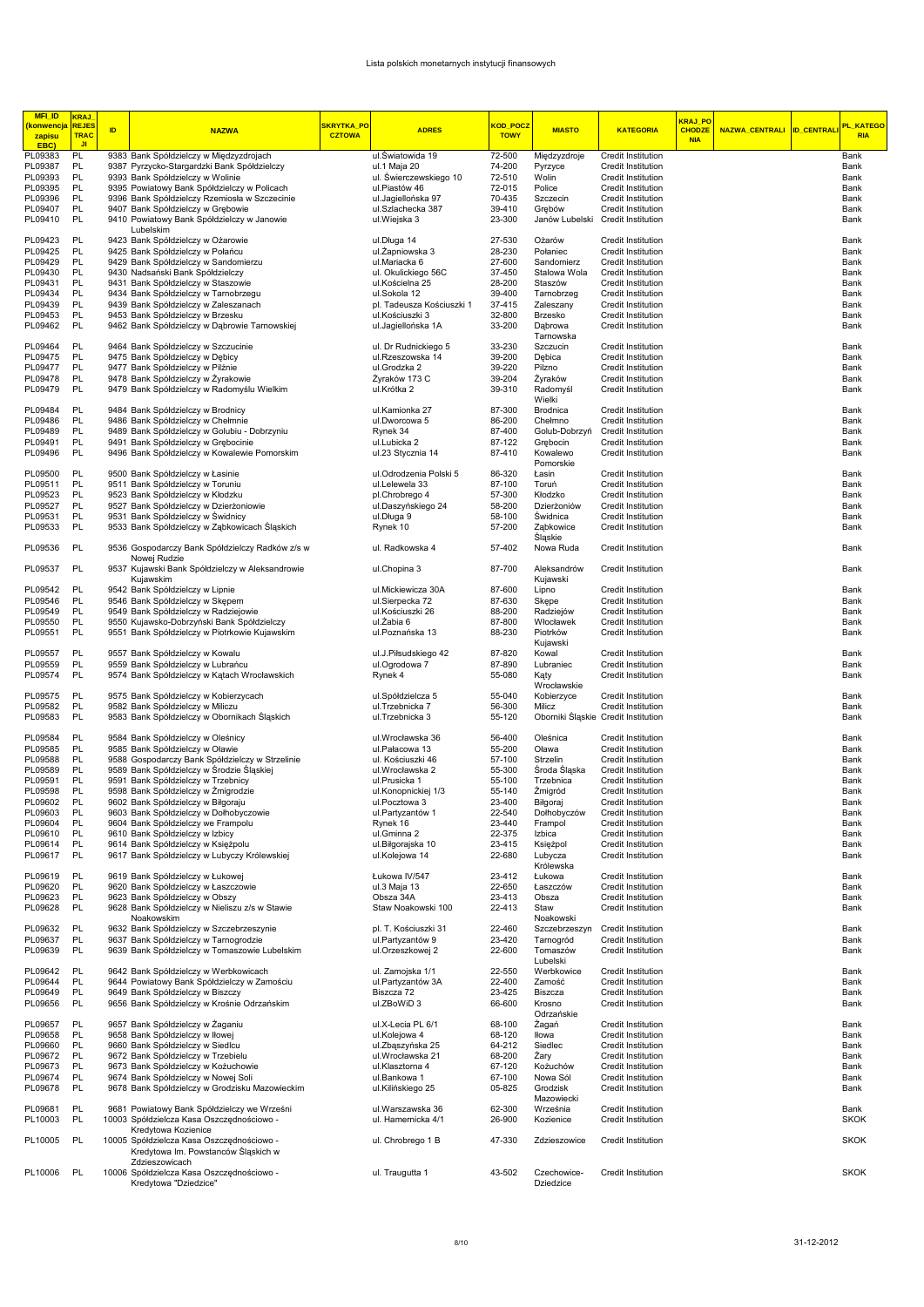| <b>MFI_ID</b><br><b>konwencja</b> | <b>KRAJ</b><br><b>REJES</b> |    |                                                                                              | SKRYTKA_PO    |                                          | <b>KOD POCZ</b>  |                           |                                          | KRAJ PO                     |                            | <b>PL KATEGO</b>    |
|-----------------------------------|-----------------------------|----|----------------------------------------------------------------------------------------------|---------------|------------------------------------------|------------------|---------------------------|------------------------------------------|-----------------------------|----------------------------|---------------------|
| zapisu                            | TRAC                        | ID | <b>NAZWA</b>                                                                                 | <b>CZTOWA</b> | <b>ADRES</b>                             | <b>TOWY</b>      | <b>MIASTO</b>             | <b>KATEGORIA</b>                         | <b>CHODZE</b><br><b>NIA</b> | NAZWA_CENTRALI ID_CENTRALI | <b>RIA</b>          |
| EBC)<br>PL09383                   | J <sub>1</sub><br>PL        |    | 9383 Bank Spółdzielczy w Międzyzdrojach                                                      |               | ul.Swiatowida 19                         | 72-500           | Międzyzdroje              | Credit Institution                       |                             |                            | Bank                |
| PL09387                           | PL                          |    | 9387 Pyrzycko-Stargardzki Bank Spółdzielczy                                                  |               | ul.1 Maja 20                             | 74-200           | Pyrzyce                   | Credit Institution                       |                             |                            | Bank                |
| PL09393                           | PL                          |    | 9393 Bank Spółdzielczy w Wolinie                                                             |               | ul. Swierczewskiego 10                   | 72-510           | Wolin                     | Credit Institution                       |                             |                            | Bank                |
| PL09395<br>PL09396                | PL<br>PL                    |    | 9395 Powiatowy Bank Spółdzielczy w Policach<br>9396 Bank Spółdzielczy Rzemiosła w Szczecinie |               | ul.Piastów 46<br>ul.Jagiellońska 97      | 72-015<br>70-435 | Police<br>Szczecin        | Credit Institution<br>Credit Institution |                             |                            | Bank<br>Bank        |
| PL09407                           | PL                          |    | 9407 Bank Spółdzielczy w Grębowie                                                            |               | ul.Szlachecka 387                        | 39-410           | Grebów                    | Credit Institution                       |                             |                            | Bank                |
| PL09410                           | PL                          |    | 9410 Powiatowy Bank Spółdzielczy w Janowie                                                   |               | ul.Wiejska 3                             | 23-300           | Janów Lubelski            | Credit Institution                       |                             |                            | Bank                |
| PL09423                           | PL                          |    | Lubelskim<br>9423 Bank Spółdzielczy w Ożarowie                                               |               | ul.Długa 14                              | 27-530           | Ożarów                    | Credit Institution                       |                             |                            | Bank                |
| PL09425                           | PL                          |    | 9425 Bank Spółdzielczy w Połańcu                                                             |               | ul. Zapniowska 3                         | 28-230           | Połaniec                  | Credit Institution                       |                             |                            | Bank                |
| PL09429<br>PL09430                | PL<br>PL                    |    | 9429 Bank Spółdzielczy w Sandomierzu                                                         |               | ul.Mariacka 6                            | 27-600<br>37-450 | Sandomierz                | Credit Institution<br>Credit Institution |                             |                            | Bank                |
| PL09431                           | PL                          |    | 9430 Nadsański Bank Spółdzielczy<br>9431 Bank Spółdzielczy w Staszowie                       |               | ul. Okulickiego 56C<br>ul.Kościelna 25   | 28-200           | Stalowa Wola<br>Staszów   | Credit Institution                       |                             |                            | Bank<br>Bank        |
| PL09434                           | PL                          |    | 9434 Bank Spółdzielczy w Tarnobrzegu                                                         |               | ul.Sokola 12                             | 39-400           | Tarnobrzeg                | Credit Institution                       |                             |                            | Bank                |
| PL09439                           | PL                          |    | 9439 Bank Spółdzielczy w Zaleszanach                                                         |               | pl. Tadeusza Kościuszki 1                | 37-415           | Zaleszany                 | Credit Institution                       |                             |                            | Bank                |
| PL09453<br>PL09462                | PL<br>PL                    |    | 9453 Bank Spółdzielczy w Brzesku<br>9462 Bank Spółdzielczy w Dąbrowie Tarnowskiej            |               | ul.Kościuszki 3<br>ul.Jaqiellońska 1A    | 32-800<br>33-200 | Brzesko<br>Dąbrowa        | Credit Institution<br>Credit Institution |                             |                            | Bank<br>Bank        |
|                                   |                             |    |                                                                                              |               |                                          |                  | Tarnowska                 |                                          |                             |                            |                     |
| PL09464<br>PL09475                | PL<br>PL                    |    | 9464 Bank Spółdzielczy w Szczucinie<br>9475 Bank Spółdzielczy w Dębicy                       |               | ul. Dr Rudnickiego 5<br>ul.Rzeszowska 14 | 33-230<br>39-200 | Szczucin<br>Debica        | Credit Institution<br>Credit Institution |                             |                            | Bank<br>Bank        |
| PL09477                           | PL                          |    | 9477 Bank Spółdzielczy w Pilźnie                                                             |               | ul.Grodzka 2                             | 39-220           | Pilzno                    | Credit Institution                       |                             |                            | Bank                |
| PL09478                           | PL                          |    | 9478 Bank Spółdzielczy w Żyrakowie                                                           |               | Żyraków 173 C                            | 39-204           | Żyraków                   | Credit Institution                       |                             |                            | Bank                |
| PL09479                           | PL                          |    | 9479 Bank Spółdzielczy w Radomyślu Wielkim                                                   |               | ul.Krótka 2                              | 39-310           | Radomyśl<br>Wielki        | Credit Institution                       |                             |                            | Bank                |
| PL09484                           | PL                          |    | 9484 Bank Spółdzielczy w Brodnicy                                                            |               | ul.Kamionka 27                           | 87-300           | Brodnica                  | Credit Institution                       |                             |                            | Bank                |
| PL09486                           | PL                          |    | 9486 Bank Spółdzielczy w Chełmnie                                                            |               | ul.Dworcowa 5                            | 86-200           | Chełmno                   | Credit Institution                       |                             |                            | Bank                |
| PL09489<br>PL09491                | PL<br>PL                    |    | 9489 Bank Spółdzielczy w Golubiu - Dobrzyniu<br>9491 Bank Spółdzielczy w Grebocinie          |               | Rynek 34<br>ul.Lubicka 2                 | 87-400<br>87-122 | Golub-Dobrzyń<br>Grebocin | Credit Institution<br>Credit Institution |                             |                            | Bank<br>Bank        |
| PL09496                           | PL                          |    | 9496 Bank Spółdzielczy w Kowalewie Pomorskim                                                 |               | ul.23 Stycznia 14                        | 87-410           | Kowalewo                  | Credit Institution                       |                             |                            | Bank                |
|                                   |                             |    |                                                                                              |               |                                          |                  | Pomorskie                 |                                          |                             |                            |                     |
| PL09500<br>PL09511                | PL<br>PL                    |    | 9500 Bank Spółdzielczy w Łasinie<br>9511 Bank Spółdzielczy w Toruniu                         |               | ul.Odrodzenia Polski 5<br>ul.Lelewela 33 | 86-320<br>87-100 | Łasin<br>Toruń            | Credit Institution<br>Credit Institution |                             |                            | Bank<br>Bank        |
| PL09523                           | PL                          |    | 9523 Bank Spółdzielczy w Kłodzku                                                             |               | pl.Chrobrego 4                           | 57-300           | Kłodzko                   | Credit Institution                       |                             |                            | Bank                |
| PL09527                           | PL                          |    | 9527 Bank Spółdzielczy w Dzierżoniowie                                                       |               | ul.Daszyńskiego 24                       | 58-200           | Dzierżoniów               | Credit Institution                       |                             |                            | Bank                |
| PL09531<br>PL09533                | PL<br>PL                    |    | 9531 Bank Spółdzielczy w Świdnicy<br>9533 Bank Spółdzielczy w Ząbkowicach Śląskich           |               | ul.Długa 9<br>Rynek 10                   | 58-100<br>57-200 | Swidnica<br>Ząbkowice     | Credit Institution<br>Credit Institution |                             |                            | Bank<br>Bank        |
|                                   |                             |    |                                                                                              |               |                                          |                  | Slaskie                   |                                          |                             |                            |                     |
| PL09536                           | PL                          |    | 9536 Gospodarczy Bank Spółdzielczy Radków z/s w                                              |               | ul. Radkowska 4                          | 57-402           | Nowa Ruda                 | Credit Institution                       |                             |                            | Bank                |
| PL09537                           | PL                          |    | Nowei Rudzie<br>9537 Kujawski Bank Spółdzielczy w Aleksandrowie                              |               | ul.Chopina 3                             | 87-700           | Aleksandrów               | Credit Institution                       |                             |                            | Bank                |
|                                   |                             |    | Kujawskim                                                                                    |               |                                          |                  | Kujawski                  |                                          |                             |                            |                     |
| PL09542                           | PL                          |    | 9542 Bank Spółdzielczy w Lipnie                                                              |               | ul.Mickiewicza 30A                       | 87-600           | Lipno                     | Credit Institution                       |                             |                            | Bank                |
| PL09546<br>PL09549                | PL<br>PL                    |    | 9546 Bank Spółdzielczy w Skępem<br>9549 Bank Spółdzielczy w Radziejowie                      |               | ul.Sierpecka 72<br>ul.Kościuszki 26      | 87-630<br>88-200 | Skępe<br>Radziejów        | Credit Institution<br>Credit Institution |                             |                            | Bank<br>Bank        |
| PL09550                           | PL                          |    | 9550 Kujawsko-Dobrzyński Bank Spółdzielczy                                                   |               | ul. Zabia 6                              | 87-800           | Włocławek                 | Credit Institution                       |                             |                            | Bank                |
| PL09551                           | PL                          |    | 9551 Bank Spółdzielczy w Piotrkowie Kujawskim                                                |               | ul.Poznańska 13                          | 88-230           | Piotrków                  | Credit Institution                       |                             |                            | Bank                |
| PL09557                           | PL                          |    | 9557 Bank Spółdzielczy w Kowalu                                                              |               | ul.J.Piłsudskiego 42                     | 87-820           | Kujawski<br>Kowal         | Credit Institution                       |                             |                            | Bank                |
| PL09559                           | PL                          |    | 9559 Bank Spółdzielczy w Lubrańcu                                                            |               | ul.Ogrodowa 7                            | 87-890           | Lubraniec                 | Credit Institution                       |                             |                            | Bank                |
| PL09574                           | PL                          |    | 9574 Bank Spółdzielczy w Kątach Wrocławskich                                                 |               | Rynek 4                                  | 55-080           | Kąty                      | Credit Institution                       |                             |                            | Bank                |
| PL09575                           | PL                          |    | 9575 Bank Spółdzielczy w Kobierzycach                                                        |               | ul.Spółdzielcza 5                        | 55-040           | Wrocławskie<br>Kobierzyce | Credit Institution                       |                             |                            | Bank                |
| PL09582                           | PL                          |    | 9582 Bank Spółdzielczy w Miliczu                                                             |               | ul.Trzebnicka 7                          | 56-300           | Milicz                    | Credit Institution                       |                             |                            | Bank                |
| PL09583                           | PL                          |    | 9583 Bank Spółdzielczy w Obornikach Śląskich                                                 |               | ul.Trzebnicka 3                          | 55-120           |                           | Oborniki Śląskie Credit Institution      |                             |                            | Bank                |
| PL09584                           | PL                          |    | 9584 Bank Spółdzielczy w Oleśnicy                                                            |               | ul.Wrocławska 36                         | 56-400           | Oleśnica                  | Credit Institution                       |                             |                            | Bank                |
| PL09585                           | PL                          |    | 9585 Bank Spółdzielczy w Oławie                                                              |               | ul.Pałacowa 13                           | 55-200           | Oława                     | Credit Institution                       |                             |                            | Bank                |
| PL09588                           | PL                          |    | 9588 Gospodarczy Bank Spółdzielczy w Strzelinie                                              |               | ul. Kościuszki 46                        | 57-100           | Strzelin                  | Credit Institution                       |                             |                            | Bank                |
| PL09589<br>PL09591                | PL<br>PL                    |    | 9589 Bank Spółdzielczy w Środzie Śląskiej<br>9591 Bank Spółdzielczy w Trzebnicy              |               | ul.Wrocławska 2<br>ul.Prusicka 1         | 55-300<br>55-100 | Sroda Sląska<br>Trzebnica | Credit Institution<br>Credit Institution |                             |                            | Bank<br>Bank        |
| PL09598                           | PL                          |    | 9598 Bank Spółdzielczy w Żmigrodzie                                                          |               | ul.Konopnickiej 1/3                      | 55-140           | Żmiaród                   | Credit Institution                       |                             |                            | Bank                |
| PL09602                           | PL                          |    | 9602 Bank Spółdzielczy w Biłgoraju                                                           |               | ul.Pocztowa 3                            | 23-400           | Bilgoraj                  | Credit Institution                       |                             |                            | Bank                |
| PL09603<br>PL09604                | PL<br>PL                    |    | 9603 Bank Spółdzielczy w Dołhobyczowie<br>9604 Bank Spółdzielczy we Frampolu                 |               | ul.Partyzantów 1<br>Rynek 16             | 22-540<br>23-440 | Dołhobyczów<br>Frampol    | Credit Institution<br>Credit Institution |                             |                            | Bank<br>Bank        |
| PL09610                           | PL                          |    | 9610 Bank Spółdzielczy w Izbicy                                                              |               | ul.Gminna 2                              | 22-375           | Izbica                    | Credit Institution                       |                             |                            | Bank                |
| PL09614                           | PL<br>PL                    |    | 9614 Bank Spółdzielczy w Księżpolu<br>9617 Bank Spółdzielczy w Lubyczy Królewskiej           |               | ul.Biłgorajska 10                        | 23-415<br>22-680 | Księżpol                  | Credit Institution                       |                             |                            | Bank                |
| PL09617                           |                             |    |                                                                                              |               | ul.Kolejowa 14                           |                  | Lubycza<br>Królewska      | Credit Institution                       |                             |                            | Bank                |
| PL09619                           | PL                          |    | 9619 Bank Spółdzielczy w Łukowej                                                             |               | Łukowa IV/547                            | 23-412           | Łukowa                    | Credit Institution                       |                             |                            | Bank                |
| PL09620                           | PL                          |    | 9620 Bank Spółdzielczy w Łaszczowie                                                          |               | ul.3 Maja 13<br>Obsza 34A                | 22-650           | Łaszczów                  | Credit Institution                       |                             |                            | Bank                |
| PL09623<br>PL09628                | PL<br>PL                    |    | 9623 Bank Spółdzielczy w Obszy<br>9628 Bank Spółdzielczy w Nieliszu z/s w Stawie             |               | Staw Noakowski 100                       | 23-413<br>22-413 | Obsza<br>Staw             | Credit Institution<br>Credit Institution |                             |                            | Bank<br>Bank        |
|                                   |                             |    | Noakowskim                                                                                   |               |                                          |                  | Noakowski                 |                                          |                             |                            |                     |
| PL09632                           | PL                          |    | 9632 Bank Spółdzielczy w Szczebrzeszynie                                                     |               | pl. T. Kościuszki 31                     | 22-460           | Szczebrzeszyn             | Credit Institution                       |                             |                            | Bank                |
| PL09637<br>PL09639                | PL<br>PL                    |    | 9637 Bank Spółdzielczy w Tarnogrodzie<br>9639 Bank Spółdzielczy w Tomaszowie Lubelskim       |               | ul.Partyzantów 9<br>ul.Orzeszkowej 2     | 23-420<br>22-600 | Tarnogród<br>Tomaszów     | Credit Institution<br>Credit Institution |                             |                            | Bank<br>Bank        |
|                                   |                             |    |                                                                                              |               |                                          |                  | Lubelski                  |                                          |                             |                            |                     |
| PL09642                           | PL                          |    | 9642 Bank Spółdzielczy w Werbkowicach                                                        |               | ul. Zamojska 1/1                         | 22-550           | Werbkowice                | Credit Institution                       |                             |                            | Bank                |
| PL09644<br>PL09649                | PL<br>PL                    |    | 9644 Powiatowy Bank Spółdzielczy w Zamościu<br>9649 Bank Spółdzielczy w Biszczy              |               | ul.Partyzantów 3A<br>Biszcza 72          | 22-400<br>23-425 | Zamość<br>Biszcza         | Credit Institution<br>Credit Institution |                             |                            | Bank<br>Bank        |
| PL09656                           | PL                          |    | 9656 Bank Spółdzielczy w Krośnie Odrzańskim                                                  |               | ul.ZBoWiD 3                              | 66-600           | Krosno                    | Credit Institution                       |                             |                            | Bank                |
|                                   |                             |    |                                                                                              |               |                                          |                  | Odrzańskie                |                                          |                             |                            |                     |
| PL09657<br>PL09658                | PL<br>PL                    |    | 9657 Bank Spółdzielczy w Żaganiu<br>9658 Bank Spółdzielczy w Iłowej                          |               | ul.X-Lecia PL 6/1<br>ul.Kolejowa 4       | 68-100<br>68-120 | Żagań<br>Iłowa            | Credit Institution<br>Credit Institution |                             |                            | Bank<br>Bank        |
| PL09660                           | PL                          |    | 9660 Bank Spółdzielczy w Siedlcu                                                             |               | ul.Zbąszyńska 25                         | 64-212           | Siedlec                   | Credit Institution                       |                             |                            | Bank                |
| PL09672                           | PL                          |    | 9672 Bank Spółdzielczy w Trzebielu                                                           |               | ul.Wrocławska 21<br>ul.Klasztorna 4      | 68-200           | Żary                      | Credit Institution                       |                             |                            | Bank                |
| PL09673<br>PL09674                | PL<br>PL                    |    | 9673 Bank Spółdzielczy w Kożuchowie<br>9674 Bank Spółdzielczy w Nowej Soli                   |               | ul.Bankowa 1                             | 67-120<br>67-100 | Kożuchów<br>Nowa Sól      | Credit Institution<br>Credit Institution |                             |                            | Bank<br>Bank        |
| PL09678                           | PL                          |    | 9678 Bank Spółdzielczy w Grodzisku Mazowieckim                                               |               | ul.Kilińskiego 25                        | 05-825           | Grodzisk                  | Credit Institution                       |                             |                            | Bank                |
|                                   | PL                          |    | 9681 Powiatowy Bank Spółdzielczy we Wrześni                                                  |               | ul.Warszawska 36                         | 62-300           | Mazowiecki<br>Września    |                                          |                             |                            |                     |
| PL09681<br>PL10003                | PL                          |    | 10003 Spółdzielcza Kasa Oszczędnościowo -                                                    |               | ul. Hamernicka 4/1                       | 26-900           | Kozienice                 | Credit Institution<br>Credit Institution |                             |                            | Bank<br><b>SKOK</b> |
|                                   |                             |    | Kredytowa Kozienice                                                                          |               |                                          |                  |                           |                                          |                             |                            |                     |
| PL10005                           | PL                          |    | 10005 Spółdzielcza Kasa Oszczędnościowo -<br>Kredytowa Im. Powstanców Śląskich w             |               | ul. Chrobrego 1 B                        | 47-330           | Zdzieszowice              | Credit Institution                       |                             |                            | <b>SKOK</b>         |
|                                   |                             |    | Zdzieszowicach                                                                               |               |                                          |                  |                           |                                          |                             |                            |                     |
| PL10006                           | PL                          |    | 10006 Spółdzielcza Kasa Oszczędnościowo -<br>Kredytowa "Dziedzice"                           |               | ul. Traugutta 1                          | 43-502           | Czechowice-<br>Dziedzice  | Credit Institution                       |                             |                            | <b>SKOK</b>         |
|                                   |                             |    |                                                                                              |               |                                          |                  |                           |                                          |                             |                            |                     |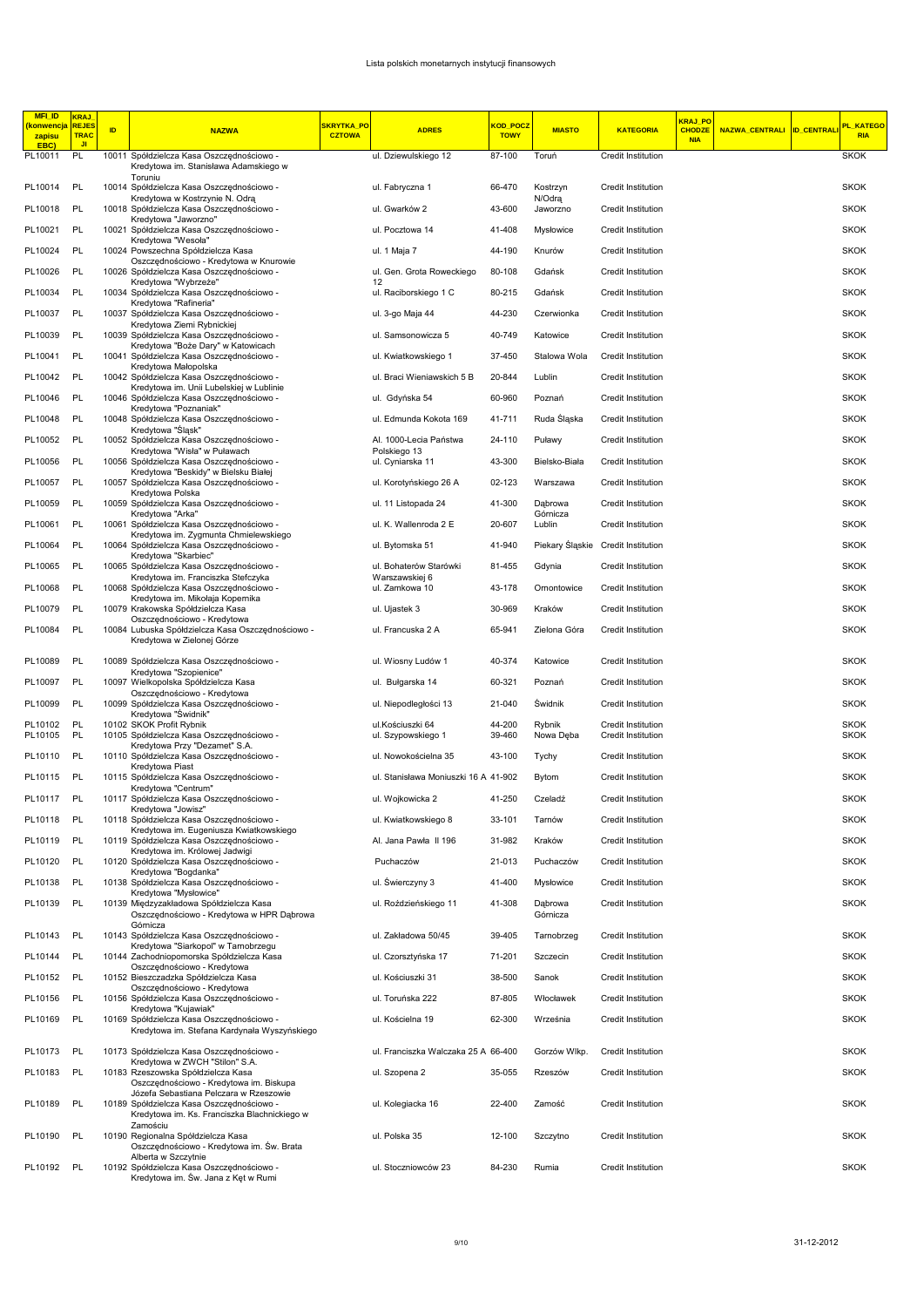| <b>MFI_ID</b><br>konwencja<br>zapisu | <b>KRAJ</b><br><b>REJES</b><br><b>TRAC</b><br>JI. | ID | <b>NAZWA</b>                                                                                            | <mark>SKRYTKA_PO</mark><br><b>CZTOWA</b> | <b>ADRES</b>                           | <mark>KOD_POCZ</mark><br><b>TOWY</b> | <b>MIASTO</b>       | <b>KATEGORIA</b>                         | KRAJ PO<br><b>CHODZE</b><br><b>NIA</b> | NAZWA_CENTRALI ID_CENTRALI | PL KATEGO<br><b>RIA</b>    |
|--------------------------------------|---------------------------------------------------|----|---------------------------------------------------------------------------------------------------------|------------------------------------------|----------------------------------------|--------------------------------------|---------------------|------------------------------------------|----------------------------------------|----------------------------|----------------------------|
| <b>EBC</b><br>PL10011                | PL                                                |    | 10011 Spółdzielcza Kasa Oszczędnościowo -<br>Kredytowa im. Stanisława Adamskiego w                      |                                          | ul. Dziewulskiego 12                   | 87-100                               | Toruń               | Credit Institution                       |                                        |                            | <b>SKOK</b>                |
| PL10014                              | PL                                                |    | Toruniu<br>10014 Spółdzielcza Kasa Oszczędnościowo -                                                    |                                          | ul. Fabryczna 1                        | 66-470                               | Kostrzyn            | Credit Institution                       |                                        |                            | <b>SKOK</b>                |
| PL10018                              | PL                                                |    | Kredytowa w Kostrzynie N. Odrą<br>10018 Spółdzielcza Kasa Oszczędnościowo -                             |                                          | ul. Gwarków 2                          | 43-600                               | N/Odra<br>Jaworzno  | Credit Institution                       |                                        |                            | <b>SKOK</b>                |
| PL10021                              | PL                                                |    | Kredytowa "Jaworzno"<br>10021 Spółdzielcza Kasa Oszczędnościowo -                                       |                                          | ul. Pocztowa 14                        | 41-408                               | Mysłowice           | Credit Institution                       |                                        |                            | <b>SKOK</b>                |
| PL10024                              | PL                                                |    | Kredytowa "Wesoła"<br>10024 Powszechna Spółdzielcza Kasa                                                |                                          | ul. 1 Maja 7                           | 44-190                               | Knurów              | Credit Institution                       |                                        |                            | <b>SKOK</b>                |
| PL10026                              | PL                                                |    | Oszczędnościowo - Kredytowa w Knurowie<br>10026 Spółdzielcza Kasa Oszczędnościowo -                     |                                          | ul. Gen. Grota Roweckiego              | 80-108                               | Gdańsk              | Credit Institution                       |                                        |                            | <b>SKOK</b>                |
| PL10034                              | PL                                                |    | Kredytowa "Wybrzeże"<br>10034 Spółdzielcza Kasa Oszczędnościowo -                                       |                                          | 12<br>ul. Raciborskiego 1 C            | 80-215                               | Gdańsk              | Credit Institution                       |                                        |                            | <b>SKOK</b>                |
| PL10037                              | PL                                                |    | Kredytowa "Rafineria"<br>10037 Spółdzielcza Kasa Oszczędnościowo -                                      |                                          | ul. 3-go Maja 44                       | 44-230                               | Czerwionka          | Credit Institution                       |                                        |                            | <b>SKOK</b>                |
| PL10039                              | PL                                                |    | Kredytowa Ziemi Rybnickiej<br>10039 Spółdzielcza Kasa Oszczędnościowo -                                 |                                          | ul. Samsonowicza 5                     | 40-749                               | Katowice            | Credit Institution                       |                                        |                            | <b>SKOK</b>                |
| PL10041                              | PL                                                |    | Kredytowa "Boże Dary" w Katowicach<br>10041 Spółdzielcza Kasa Oszczędnościowo -                         |                                          | ul. Kwiatkowskiego 1                   | 37-450                               | Stalowa Wola        | Credit Institution                       |                                        |                            | <b>SKOK</b>                |
| PL10042                              | PL                                                |    | Kredytowa Małopolska<br>10042 Spółdzielcza Kasa Oszczędnościowo -                                       |                                          | ul. Braci Wieniawskich 5 B             | 20-844                               | Lublin              | Credit Institution                       |                                        |                            | <b>SKOK</b>                |
| PL10046                              | PL                                                |    | Kredytowa im. Unii Lubelskiej w Lublinie<br>10046 Spółdzielcza Kasa Oszczędnościowo -                   |                                          | ul. Gdyńska 54                         | 60-960                               | Poznań              | Credit Institution                       |                                        |                            | <b>SKOK</b>                |
| PL10048                              | PL                                                |    | Kredytowa "Poznaniak"<br>10048 Spółdzielcza Kasa Oszczędnościowo -                                      |                                          | ul. Edmunda Kokota 169                 | 41-711                               | Ruda Śląska         | Credit Institution                       |                                        |                            | <b>SKOK</b>                |
| PL10052                              | - PL                                              |    | Kredytowa "Sląsk"<br>10052 Spółdzielcza Kasa Oszczędnościowo -                                          |                                          | Al. 1000-Lecia Państwa                 | 24-110                               | Puławy              | Credit Institution                       |                                        |                            | <b>SKOK</b>                |
| PL10056                              | - PL                                              |    | Kredytowa "Wisła" w Puławach<br>10056 Spółdzielcza Kasa Oszczędnościowo -                               |                                          | Polskiego 13<br>ul. Cyniarska 11       | 43-300                               | Bielsko-Biała       | Credit Institution                       |                                        |                            | <b>SKOK</b>                |
| PL10057                              | PL                                                |    | Kredytowa "Beskidy" w Bielsku Białej<br>10057 Spółdzielcza Kasa Oszczędnościowo -                       |                                          | ul. Korotyńskiego 26 A                 | 02-123                               | Warszawa            | Credit Institution                       |                                        |                            | <b>SKOK</b>                |
| PL10059                              | PL                                                |    | Kredytowa Polska<br>10059 Spółdzielcza Kasa Oszczędnościowo -                                           |                                          | ul. 11 Listopada 24                    | 41-300                               | Dabrowa             | Credit Institution                       |                                        |                            | <b>SKOK</b>                |
| PL10061                              | PL                                                |    | Kredytowa "Arka"<br>10061 Spółdzielcza Kasa Oszczędnościowo -                                           |                                          | ul. K. Wallenroda 2 E                  | 20-607                               | Górnicza<br>Lublin  | Credit Institution                       |                                        |                            | <b>SKOK</b>                |
| PL10064                              | PL                                                |    | Kredytowa im. Zygmunta Chmielewskiego<br>10064 Spółdzielcza Kasa Oszczędnościowo -                      |                                          | ul. Bytomska 51                        | 41-940                               |                     | Piekary Śląskie Credit Institution       |                                        |                            | <b>SKOK</b>                |
| PL10065                              | <b>PL</b>                                         |    | Kredytowa "Skarbiec"<br>10065 Spółdzielcza Kasa Oszczędnościowo -                                       |                                          | ul. Bohaterów Starówki                 | 81-455                               | Gdynia              | Credit Institution                       |                                        |                            | <b>SKOK</b>                |
| PL10068                              | PL                                                |    | Kredytowa im. Franciszka Stefczyka<br>10068 Spółdzielcza Kasa Oszczędnościowo -                         |                                          | Warszawskiej 6<br>ul. Zamkowa 10       | 43-178                               | Ornontowice         | Credit Institution                       |                                        |                            | <b>SKOK</b>                |
| PL10079                              | PL                                                |    | Kredytowa im. Mikołaja Kopernika<br>10079 Krakowska Spółdzielcza Kasa                                   |                                          | ul. Ujastek 3                          | 30-969                               | Kraków              | Credit Institution                       |                                        |                            | <b>SKOK</b>                |
| PL10084                              | PL                                                |    | Oszczędnościowo - Kredytowa<br>10084 Lubuska Spółdzielcza Kasa Oszczędnościowo -                        |                                          | ul. Francuska 2 A                      | 65-941                               | Zielona Góra        | Credit Institution                       |                                        |                            | <b>SKOK</b>                |
|                                      |                                                   |    | Kredytowa w Zielonej Górze                                                                              |                                          |                                        |                                      |                     |                                          |                                        |                            |                            |
| PL10089                              | PL                                                |    | 10089 Spółdzielcza Kasa Oszczędnościowo -<br>Kredytowa "Szopienice"                                     |                                          | ul. Wiosny Ludów 1                     | 40-374                               | Katowice            | Credit Institution                       |                                        |                            | <b>SKOK</b>                |
| PL10097                              | <b>PL</b>                                         |    | 10097 Wielkopolska Spółdzielcza Kasa<br>Oszczędnościowo - Kredytowa                                     |                                          | ul. Bułgarska 14                       | 60-321                               | Poznań              | Credit Institution                       |                                        |                            | <b>SKOK</b>                |
| PL10099                              | <b>PL</b>                                         |    | 10099 Spółdzielcza Kasa Oszczędnościowo -<br>Kredytowa "Swidnik"                                        |                                          | ul. Niepodległości 13                  | 21-040                               | Świdnik             | Credit Institution                       |                                        |                            | <b>SKOK</b>                |
| PL10102<br>PL10105                   | PL<br>PL                                          |    | 10102 SKOK Profit Rybnik<br>10105 Spółdzielcza Kasa Oszczędnościowo -                                   |                                          | ul.Kościuszki 64<br>ul. Szypowskiego 1 | 44-200<br>39-460                     | Rybnik<br>Nowa Dęba | Credit Institution<br>Credit Institution |                                        |                            | <b>SKOK</b><br><b>SKOK</b> |
| PL10110                              | PL                                                |    | Kredytowa Przy "Dezamet" S.A.<br>10110 Spółdzielcza Kasa Oszczędnościowo -                              |                                          | ul. Nowokościelna 35                   | 43-100                               | Tychy               | Credit Institution                       |                                        |                            | <b>SKOK</b>                |
| PL10115 PL                           |                                                   |    | Kredytowa Piast<br>10115 Spółdzielcza Kasa Oszczędnościowo -                                            |                                          | ul. Stanisława Moniuszki 16 A 41-902   |                                      | Bytom               | Credit Institution                       |                                        |                            | <b>SKOK</b>                |
| PL10117 PL                           |                                                   |    | Kredytowa "Centrum"<br>10117 Spółdzielcza Kasa Oszczędnościowo -                                        |                                          | ul. Wojkowicka 2                       | 41-250                               | Czeladź             | <b>Credit Institution</b>                |                                        |                            | <b>SKOK</b>                |
| PL10118 PL                           |                                                   |    | Kredytowa "Jowisz"<br>10118 Spółdzielcza Kasa Oszczędnościowo -                                         |                                          | ul. Kwiatkowskiego 8                   | 33-101                               | Tarnów              | Credit Institution                       |                                        |                            | <b>SKOK</b>                |
| PL10119                              | PL                                                |    | Kredytowa im. Eugeniusza Kwiatkowskiego<br>10119 Spółdzielcza Kasa Oszczędnościowo -                    |                                          | Al. Jana Pawła II 196                  | 31-982                               | Kraków              | Credit Institution                       |                                        |                            | <b>SKOK</b>                |
| PL10120 PL                           |                                                   |    | Kredytowa im. Królowej Jadwigi<br>10120 Spółdzielcza Kasa Oszczędnościowo -                             |                                          | Puchaczów                              | 21-013                               | Puchaczów           | Credit Institution                       |                                        |                            | <b>SKOK</b>                |
| PL10138                              | PL                                                |    | Kredytowa "Bogdanka"<br>10138 Spółdzielcza Kasa Oszczędnościowo -                                       |                                          | ul. Świerczyny 3                       | 41-400                               | Mysłowice           | Credit Institution                       |                                        |                            | <b>SKOK</b>                |
| PL10139                              | PL                                                |    | Kredytowa "Mysłowice"<br>10139 Międzyzakładowa Spółdzielcza Kasa                                        |                                          | ul. Roździeńskiego 11                  | 41-308                               | Dąbrowa             | Credit Institution                       |                                        |                            | <b>SKOK</b>                |
|                                      |                                                   |    | Oszczędnościowo - Kredytowa w HPR Dąbrowa<br>Górnicza                                                   |                                          |                                        |                                      | Górnicza            |                                          |                                        |                            |                            |
| PL10143                              | <b>PL</b>                                         |    | 10143 Spółdzielcza Kasa Oszczędnościowo -<br>Kredytowa "Siarkopol" w Tarnobrzegu                        |                                          | ul. Zakładowa 50/45                    | 39-405                               | Tarnobrzeg          | Credit Institution                       |                                        |                            | <b>SKOK</b>                |
| PL10144                              | PL                                                |    | 10144 Zachodniopomorska Spółdzielcza Kasa<br>Oszczędnościowo - Kredytowa                                |                                          | ul. Czorsztyńska 17                    | 71-201                               | Szczecin            | Credit Institution                       |                                        |                            | <b>SKOK</b>                |
| PL10152                              | PL                                                |    | 10152 Bieszczadzka Spółdzielcza Kasa<br>Oszczędnościowo - Kredytowa                                     |                                          | ul. Kościuszki 31                      | 38-500                               | Sanok               | Credit Institution                       |                                        |                            | <b>SKOK</b>                |
| PL10156                              | PL                                                |    | 10156 Spółdzielcza Kasa Oszczędnościowo -<br>Kredytowa "Kujawiak"                                       |                                          | ul. Toruńska 222                       | 87-805                               | Włocławek           | Credit Institution                       |                                        |                            | <b>SKOK</b>                |
| PL10169 PL                           |                                                   |    | 10169 Spółdzielcza Kasa Oszczędnościowo -<br>Kredytowa im. Stefana Kardynała Wyszyńskiego               |                                          | ul. Kościelna 19                       | 62-300                               | Września            | Credit Institution                       |                                        |                            | <b>SKOK</b>                |
| PL10173                              | PL                                                |    | 10173 Spółdzielcza Kasa Oszczędnościowo -                                                               |                                          | ul. Franciszka Walczaka 25 A 66-400    |                                      | Gorzów Wlkp.        | Credit Institution                       |                                        |                            | <b>SKOK</b>                |
| PL10183                              | PL                                                |    | Kredytowa w ZWCH "Stilon" S.A.<br>10183 Rzeszowska Spółdzielcza Kasa                                    |                                          | ul. Szopena 2                          | 35-055                               | Rzeszów             | Credit Institution                       |                                        |                            | <b>SKOK</b>                |
| PL10189                              | PL                                                |    | Oszczędnościowo - Kredytowa im. Biskupa<br>Józefa Sebastiana Pelczara w Rzeszowie                       |                                          |                                        |                                      | Zamość              | Credit Institution                       |                                        |                            | <b>SKOK</b>                |
|                                      |                                                   |    | 10189 Spółdzielcza Kasa Oszczędnościowo -<br>Kredytowa im. Ks. Franciszka Blachnickiego w<br>Zamościu   |                                          | ul. Kolegiacka 16                      | 22-400                               |                     |                                          |                                        |                            |                            |
| PL10190                              | PL                                                |    | 10190 Regionalna Spółdzielcza Kasa<br>Oszczędnościowo - Kredytowa im. Św. Brata                         |                                          | ul. Polska 35                          | 12-100                               | Szczytno            | Credit Institution                       |                                        |                            | <b>SKOK</b>                |
| PL10192                              | PL                                                |    | Alberta w Szczytnie<br>10192 Spółdzielcza Kasa Oszczędnościowo -<br>Kredytowa im. Św. Jana z Kęt w Rumi |                                          | ul. Stoczniowców 23                    | 84-230                               | Rumia               | Credit Institution                       |                                        |                            | <b>SKOK</b>                |